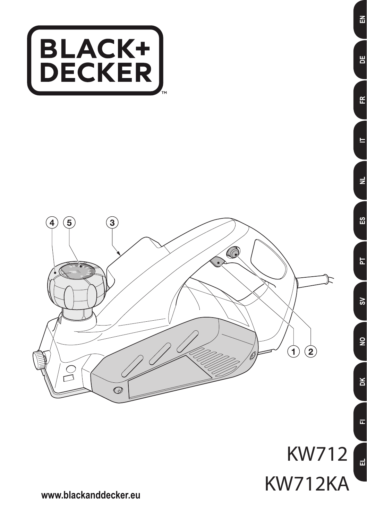



^

봄

Œ

Ë

 $\overline{z}$ 

នួ

出

 $\mathsf{S}$ 

 $\overline{2}$ 

 $\geq$ 

 $\overline{\mathbf{L}}$ 

 $\vec{a}$ 

**www.blackanddecker.eu**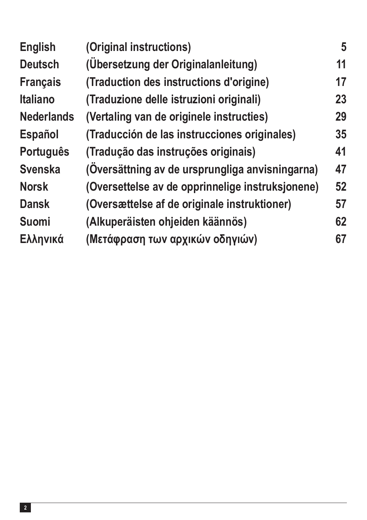| <b>English</b>    | (Original instructions)                          | 5  |
|-------------------|--------------------------------------------------|----|
| <b>Deutsch</b>    | (Übersetzung der Originalanleitung)              | 11 |
| <b>Français</b>   | (Traduction des instructions d'origine)          | 17 |
| <b>Italiano</b>   | (Traduzione delle istruzioni originali)          | 23 |
| <b>Nederlands</b> | (Vertaling van de originele instructies)         | 29 |
| <b>Español</b>    | (Traducción de las instrucciones originales)     | 35 |
| <b>Português</b>  | (Tradução das instruções originais)              | 41 |
| <b>Svenska</b>    | (Översättning av de ursprungliga anvisningarna)  | 47 |
| <b>Norsk</b>      | (Oversettelse av de opprinnelige instruksjonene) | 52 |
| <b>Dansk</b>      | (Oversættelse af de originale instruktioner)     | 57 |
| <b>Suomi</b>      | (Alkuperäisten ohjeiden käännös)                 | 62 |
| Ελληνικά          | (Μετάφραση των αρχικών οδηγιών)                  | 67 |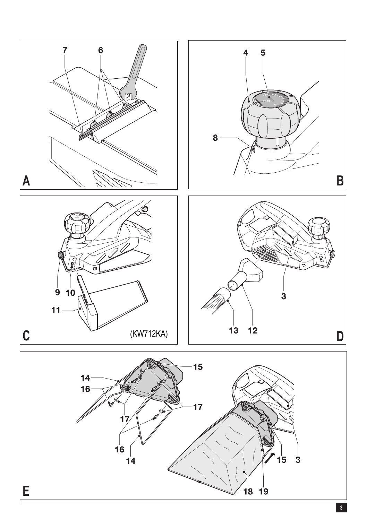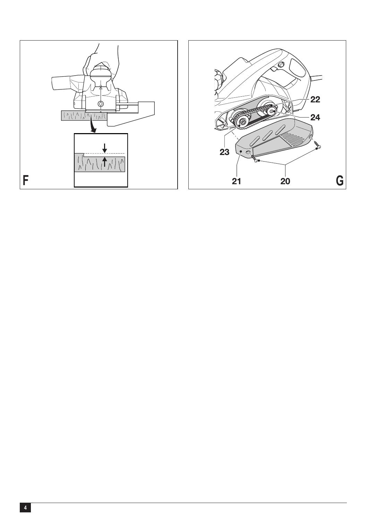

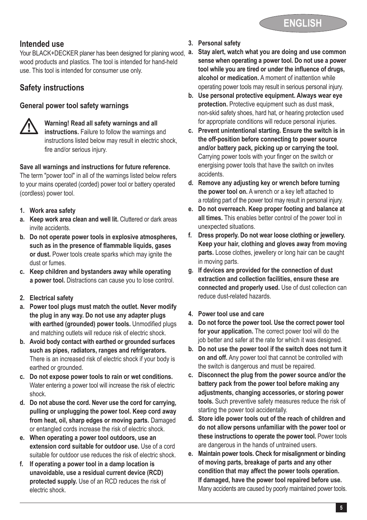

### **Intended use**

Your BLACK+DECKER planer has been designed for planing wood,  $a$ . wood products and plastics. The tool is intended for hand-held use. This tool is intended for consumer use only.

# **Safety instructions**

#### **General power tool safety warnings**



**11** Warning! Read all safety warnings and all instructions. Failure to follow the warnings and instructions listed below may result in electric shock, fire and/or serious injury.

#### **Save all warnings and instructions for future reference.**

The term "power tool" in all of the warnings listed below refers to your mains operated (corded) power tool or battery operated (cordless) power tool.

- **1. Work area safety**
- **a. Keep work area clean and well lit.** Cluttered or dark areas invite accidents.
- **b. Do not operate power tools in explosive atmospheres, such as in the presence of flammable liquids, gases or dust.** Power tools create sparks which may ignite the dust or fumes.
- **c. Keep children and bystanders away while operating a power tool.** Distractions can cause you to lose control.
- **2. Electrical safety**
- **a. Power tool plugs must match the outlet. Never modify the plug in any way. Do not use any adapter plugs with earthed (grounded) power tools.** Unmodified plugs and matching outlets will reduce risk of electric shock.
- **b. Avoid body contact with earthed or grounded surfaces such as pipes, radiators, ranges and refrigerators.** There is an increased risk of electric shock if your body is earthed or grounded.
- **c. Do not expose power tools to rain or wet conditions.** Water entering a power tool will increase the risk of electric shock.
- **d. Do not abuse the cord. Never use the cord for carrying, pulling or unplugging the power tool. Keep cord away from heat, oil, sharp edges or moving parts.** Damaged or entangled cords increase the risk of electric shock.
- **e. When operating a power tool outdoors, use an extension cord suitable for outdoor use.** Use of a cord suitable for outdoor use reduces the risk of electric shock.
- **f. If operating a power tool in a damp location is unavoidable, use a residual current device (RCD) protected supply.** Use of an RCD reduces the risk of electric shock.
- **3. Personal safety**
- **a. Stay alert, watch what you are doing and use common sense when operating a power tool. Do not use a power tool while you are tired or under the influence of drugs, alcohol or medication.** A moment of inattention while operating power tools may result in serious personal injury.
- **b. Use personal protective equipment. Always wear eye protection.** Protective equipment such as dust mask, non-skid safety shoes, hard hat, or hearing protection used for appropriate conditions will reduce personal injuries.
- **c. Prevent unintentional starting. Ensure the switch is in the off-position before connecting to power source and/or battery pack, picking up or carrying the tool.** Carrying power tools with your finger on the switch or energising power tools that have the switch on invites accidents.
- **d. Remove any adjusting key or wrench before turning the power tool on.** A wrench or a key left attached to a rotating part of the power tool may result in personal injury.
- **e. Do not overreach. Keep proper footing and balance at all times.** This enables better control of the power tool in unexpected situations.
- **f. Dress properly. Do not wear loose clothing or jewellery. Keep your hair, clothing and gloves away from moving parts.** Loose clothes, jewellery or long hair can be caught in moving parts.
- **g. If devices are provided for the connection of dust extraction and collection facilities, ensure these are connected and properly used.** Use of dust collection can reduce dust-related hazards.
- **4. Power tool use and care**
- **a. Do not force the power tool. Use the correct power tool for your application.** The correct power tool will do the job better and safer at the rate for which it was designed.
- **b. Do not use the power tool if the switch does not turn it on and off.** Any power tool that cannot be controlled with the switch is dangerous and must be repaired.
- **c. Disconnect the plug from the power source and/or the battery pack from the power tool before making any adjustments, changing accessories, or storing power tools.** Such preventive safety measures reduce the risk of starting the power tool accidentally.
- **d. Store idle power tools out of the reach of children and do not allow persons unfamiliar with the power tool or these instructions to operate the power tool.** Power tools are dangerous in the hands of untrained users.
- **e. Maintain power tools. Check for misalignment or binding of moving parts, breakage of parts and any other condition that may affect the power tools operation. If damaged, have the power tool repaired before use.** Many accidents are caused by poorly maintained power tools.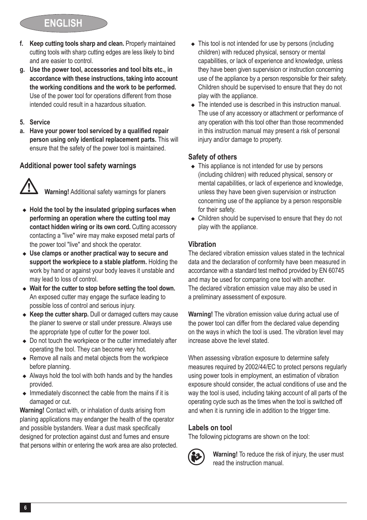# **ENGLISH**

- **f. Keep cutting tools sharp and clean.** Properly maintained cutting tools with sharp cutting edges are less likely to bind and are easier to control.
- **g. Use the power tool, accessories and tool bits etc., in accordance with these instructions, taking into account the working conditions and the work to be performed.** Use of the power tool for operations different from those intended could result in a hazardous situation.
- **5. Service**
- **a. Have your power tool serviced by a qualified repair person using only identical replacement parts.** This will ensure that the safety of the power tool is maintained.

### **Additional power tool safety warnings**



- $\bullet$  Hold the tool by the insulated gripping surfaces when **performing an operation where the cutting tool may contact hidden wiring or its own cord.** Cutting accessory contacting a "live" wire may make exposed metal parts of the power tool "live" and shock the operator.
- ◆ Use clamps or another practical way to secure and **support the workpiece to a stable platform.** Holding the work by hand or against your body leaves it unstable and may lead to loss of control.
- $\bullet$  Wait for the cutter to stop before setting the tool down. An exposed cutter may engage the surface leading to possible loss of control and serious injury.
- ◆ Keep the cutter sharp. Dull or damaged cutters may cause the planer to swerve or stall under pressure. Always use the appropriate type of cutter for the power tool.
- $\bullet$  Do not touch the workpiece or the cutter immediately after operating the tool. They can become very hot.
- $\triangle$  Remove all nails and metal objects from the workpiece before planning.
- $\triangleleft$  Always hold the tool with both hands and by the handles provided.
- $\bullet$  Immediately disconnect the cable from the mains if it is damaged or cut.

**Warning!** Contact with, or inhalation of dusts arising from planing applications may endanger the health of the operator and possible bystanders. Wear a dust mask specifically designed for protection against dust and fumes and ensure that persons within or entering the work area are also protected.

- $\triangle$  This tool is not intended for use by persons (including children) with reduced physical, sensory or mental capabilities, or lack of experience and knowledge, unless they have been given supervision or instruction concerning use of the appliance by a person responsible for their safety. Children should be supervised to ensure that they do not play with the appliance.
- $\bullet$  The intended use is described in this instruction manual. The use of any accessory or attachment or performance of any operation with this tool other than those recommended in this instruction manual may present a risk of personal injury and/or damage to property.

### **Safety of others**

- $\triangle$  This appliance is not intended for use by persons (including children) with reduced physical, sensory or mental capabilities, or lack of experience and knowledge, unless they have been given supervision or instruction concerning use of the appliance by a person responsible for their safety.
- $\triangle$  Children should be supervised to ensure that they do not play with the appliance.

### **Vibration**

The declared vibration emission values stated in the technical data and the declaration of conformity have been measured in accordance with a standard test method provided by EN 60745 and may be used for comparing one tool with another. The declared vibration emission value may also be used in a preliminary assessment of exposure.

**Warning!** The vibration emission value during actual use of the power tool can differ from the declared value depending on the ways in which the tool is used. The vibration level may increase above the level stated.

When assessing vibration exposure to determine safety measures required by 2002/44/EC to protect persons regularly using power tools in employment, an estimation of vibration exposure should consider, the actual conditions of use and the way the tool is used, including taking account of all parts of the operating cycle such as the times when the tool is switched off and when it is running idle in addition to the trigger time.

### **Labels on tool**

The following pictograms are shown on the tool:



: **Warning!** To reduce the risk of injury, the user must read the instruction manual.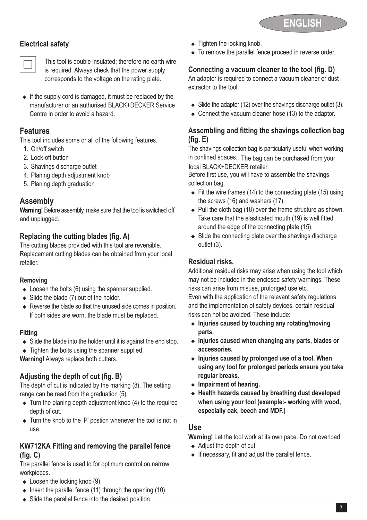

### **Electrical safety**



This tool is double insulated; therefore no earth wire<br>is required. Always check that the power supply corresponds to the voltage on the rating plate.

 $\bullet$  If the supply cord is damaged, it must be replaced by the manufacturer or an authorised BLACK+DECKER Service Centre in order to avoid a hazard.

# **Features**

This tool includes some or all of the following features.

- 1. On/off switch 2. Lock-off button
- 3. Shavings discharge outlet
- 4. Planing depth adjustment knob
- 5. Planing depth graduation

# **Assembly**

**Warning!** Before assembly, make sure that the tool is switched off and unplugged.

### **Replacing the cutting blades (fig. A)**

The cutting blades provided with this tool are reversible. Replacement cutting blades can be obtained from your local retailer.

#### **Removing**

- $\bullet$  Loosen the bolts (6) using the spanner supplied.
- $\bullet$  Slide the blade (7) out of the holder.
- $\triangle$  Reverse the blade so that the unused side comes in position. If both sides are worn, the blade must be replaced.

#### **Fitting**

- $\triangleleft$  Slide the blade into the holder until it is against the end stop.
- $\triangle$  Tighten the bolts using the spanner supplied.

**Warning!** Always replace both cutters.

### **Adjusting the depth of cut (fig. B)**

The depth of cut is indicated by the marking (8). The setting range can be read from the graduation (5).

- $\bullet$  Turn the planing depth adjustment knob (4) to the required depth of cut.
- $\bullet$  Turn the knob to the 'P' postion whenever the tool is not in use.

### **KW712KA Fitting and removing the parallel fence (fig. C)**

The parallel fence is used to for optimum control on narrow workpieces.

- $\bullet$  Loosen the locking knob (9).
- Insert the parallel fence (11) through the opening  $(10)$ .
- $\bullet$  Slide the parallel fence into the desired position.
- $\bullet$  Tighten the locking knob.
- $\bullet$  To remove the parallel fence proceed in reverse order.

# **Connecting a vacuum cleaner to the tool (fig. D)**

An adaptor is required to connect a vacuum cleaner or dust extractor to the tool.

- $\bullet$  Slide the adaptor (12) over the shavings discharge outlet (3).
- $\bullet$  Connect the vacuum cleaner hose (13) to the adaptor.

## **Assembling and fitting the shavings collection bag (fig. E)**

The shavings collection bag is particularly useful when working in confined spaces. The bag can be purchased from your local BLACK+DECKER retailer.

Before first use, you will have to assemble the shavings collection bag.

- $\bullet$  Fit the wire frames (14) to the connecting plate (15) using the screws (16) and washers (17).
- $\bullet$  Pull the cloth bag (18) over the frame structure as shown. Take care that the elasticated mouth (19) is well fitted around the edge of the connecting plate (15).
- $\bullet$  Slide the connecting plate over the shavings discharge outlet (3).

### **Residual risks.**

Additional residual risks may arise when using the tool which may not be included in the enclosed safety warnings. These risks can arise from misuse, prolonged use etc.

Even with the application of the relevant safety regulations and the implementation of safety devices, certain residual risks can not be avoided. These include:

- $\bullet$  Injuries caused by touching any rotating/moving **parts.**
- <sup>u</sup> **Injuries caused when changing any parts, blades or accessories.**
- ◆ Injuries caused by prolonged use of a tool. When **using any tool for prolonged periods ensure you take regular breaks.**
- $\bullet$  Impairment of hearing.
- $\triangleleft$  Health hazards caused by breathing dust developed **when using your tool (example:- working with wood, especially oak, beech and MDF.)**

### **Use**

**Warning!** Let the tool work at its own pace. Do not overload.

- $\triangleleft$  Adjust the depth of cut.
- $\bullet$  If necessary, fit and adjust the parallel fence.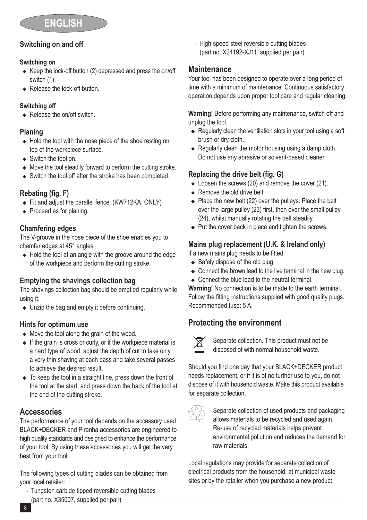## **Switching on and off**

#### **Switching on**

- $\triangle$  Keep the lock-off button (2) depressed and press the on/off switch (1).
- $\leftarrow$  Release the lock-off button.

### **Switching off**

 $\triangle$  Release the on/off switch.

### **Planing**

- $\triangle$  Hold the tool with the nose piece of the shoe resting on top of the workpiece surface.
- $\bullet$  Switch the tool on.
- $\triangleq$  Move the tool steadily forward to perform the cutting stroke.
- $\triangleleft$  Switch the tool off after the stroke has been completed.

### **Rebating (fig. F)**

- $\bullet$  Fit and adjust the parallel fence. (KW712KA ONLY)
- $\triangleleft$  Proceed as for planing.

### **Chamfering edges**

The V-groove in the nose piece of the shoe enables you to chamfer edges at 45° angles.

 $\triangleleft$  Hold the tool at an angle with the groove around the edge of the workpiece and perform the cutting stroke.

### **Emptying the shavings collection bag**

The shavings collection bag should be emptied regularly while using it.

 $\bullet$  Unzip the bag and empty it before continuing.

### **Hints for optimum use**

- $\bullet$  Move the tool along the grain of the wood.
- $\bullet$  If the grain is cross or curly, or if the workpiece material is a hard type of wood, adjust the depth of cut to take only a very thin shaving at each pass and take several passes to achieve the desired result.
- $\bullet$  To keep the tool in a straight line, press down the front of the tool at the start, and press down the back of the tool at the end of the cutting stroke.

# **Accessories**

The performance of your tool depends on the accessory used. BLACK+DECKER and Piranha accessories are engineered to high quality standards and designed to enhance the performance of your tool. By using these accessories you will get the very best from your tool.

The following types of cutting blades can be obtained from your local retailer:

- Tungsten carbide tipped reversible cutting blades (part no. X35007, supplied per pair)

- High-speed steel reversible cutting blades (part no. X24192-XJ11, supplied per pair)

## **Maintenance**

Your tool has been designed to operate over a long period of time with a minimum of maintenance. Continuous satisfactory operation depends upon proper tool care and regular cleaning.

**Warning!** Before performing any maintenance, switch off and unplug the tool.

- $\triangle$  Regularly clean the ventilation slots in your tool using a soft brush or dry cloth.
- $\triangle$  Regularly clean the motor housing using a damp cloth. Do not use any abrasive or solvent-based cleaner.

### **Replacing the drive belt (fig. G)**

- $\bullet$  Loosen the screws (20) and remove the cover (21).
- $\triangle$  Remove the old drive belt.
- $\triangle$  Place the new belt (22) over the pulleys. Place the belt over the large pulley (23) first, then over the small pulley (24), whilst manually rotating the belt steadily.
- $\bullet$  Put the cover back in place and tighten the screws.

# **Mains plug replacement (U.K. & Ireland only)**

If a new mains plug needs to be fitted:

- $\triangleleft$  Safely dispose of the old plug.
- $\triangle$  Connect the brown lead to the live terminal in the new plug.
- $\bullet$  Connect the blue lead to the neutral terminal

**Warning!** No connection is to be made to the earth terminal. Follow the fitting instructions supplied with good quality plugs. Recommended fuse: 5 A.

# **Protecting the environment**



Separate collection. This product must not be disposed of with normal household waste.

Should you find one day that your BLACK+DECKER product needs replacement, or if it is of no further use to you, do not dispose of it with household waste. Make this product available for separate collection.



 $\overline{\diamond}$  Separate collection of used products and packaging<br> $\overline{\diamond}$  allows materials to be recycled and used again. Re-use of recycled materials helps prevent environmental pollution and reduces the demand for raw materials.

Local regulations may provide for separate collection of electrical products from the household, at municipal waste sites or by the retailer when you purchase a new product.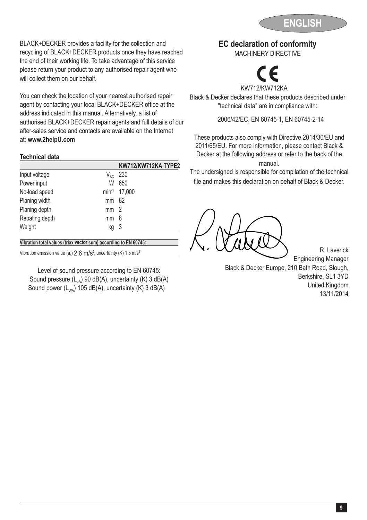

BLACK+DECKER provides a facility for the collection and recycling of BLACK+DECKER products once they have reached the end of their working life. To take advantage of this service please return your product to any authorised repair agent who will collect them on our behalf

You can check the location of your nearest authorised repair agent by contacting your local BLACK+DECKER office at the address indicated in this manual. Alternatively, a list of authorised BLACK+DECKER repair agents and full details of our after-sales service and contacts are available on the Internet at: **www.2helpU.com**

#### **Technical data**

|                |                 | KW712/KW712KA TYPE2      |
|----------------|-----------------|--------------------------|
| Input voltage  | $V_{AC}$        | 230                      |
| Power input    | W               | 650                      |
| No-load speed  |                 | min <sup>-1</sup> 17,000 |
| Planing width  | mm 82           |                          |
| Planing depth  | mm <sub>2</sub> |                          |
| Rebating depth | mm              | 8                        |
| Weight         | kq              | -3                       |
|                |                 |                          |

**Vibration total values (triax vector sum) according to EN 60745:**

Vibration emission value ( $a<sub>h</sub>$ ) 2.6 m/s<sup>2</sup>, uncertainty (K) 1.5 m/s<sup>2</sup>

Level of sound pressure according to EN 60745: Sound pressure  $(L_{pA})$  90 dB(A), uncertainty (K) 3 dB(A) Sound power  $(L_{WA})$  105 dB(A), uncertainty (K) 3 dB(A)

### **EC declaration of conformity**

MACHINERY DIRECTIVE



KW712 /KW712KA Black & Decker declares that these products described under "technical data" are in compliance with:

2006/42/EC, EN 60745-1, EN 60745-2-14

These products also comply with Directive 2014/30/EU and 2011/65/EU. For more information, please contact Black & Decker at the following address or refer to the back of the manual.

The undersigned is responsible for compilation of the technical file and makes this declaration on behalf of Black & Decker.

R. Laverick Engineering Manager Black & Decker Europe, 210 Bath Road, Slough, Berkshire, SL1 3YD United Kingdom 13/11/2014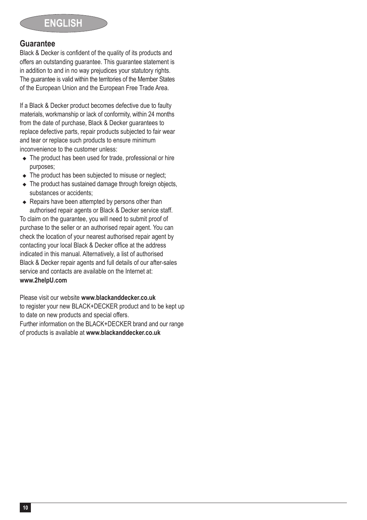### **Guarantee**

Black & Decker is confident of the quality of its products and offers an outstanding guarantee. This guarantee statement is in addition to and in no way prejudices your statutory rights. The guarantee is valid within the territories of the Member States of the European Union and the European Free Trade Area.

If a Black & Decker product becomes defective due to faulty materials, workmanship or lack of conformity, within 24 months from the date of purchase, Black & Decker guarantees to replace defective parts, repair products subjected to fair wear and tear or replace such products to ensure minimum inconvenience to the customer unless:

- $\triangle$  The product has been used for trade, professional or hire purposes;
- $\triangle$  The product has been subjected to misuse or neglect:
- $\triangle$  The product has sustained damage through foreign objects, substances or accidents:
- $\triangle$  Repairs have been attempted by persons other than authorised repair agents or Black & Decker service staff.

To claim on the guarantee, you will need to submit proof of purchase to the seller or an authorised repair agent. You can check the location of your nearest authorised repair agent by contacting your local Black & Decker office at the address indicated in this manual. Alternatively, a list of authorised Black & Decker repair agents and full details of our after-sales service and contacts are available on the Internet at: **www.2helpU.com**

Please visit our website **www.blackanddecker.co.uk** to register your new BLACK+DECKER product and to be kept up to date on new products and special offers.

Further information on the BLACK+DECKER brand and our range of products is available at **www.blackanddecker.co.uk**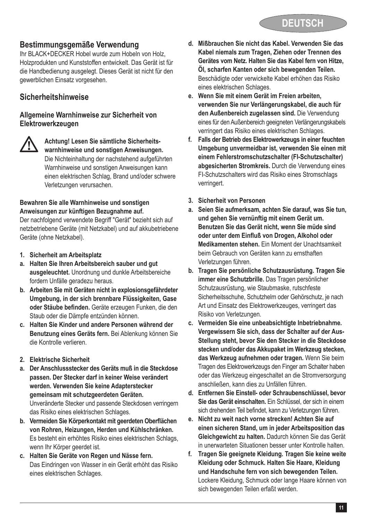# **Bestimmungsgemäße Verwendung**

Ihr BLACK+DECKER Hobel wurde zum Hobeln von Holz, Holzprodukten und Kunststoffen entwickelt. Das Gerät ist für die Handbedienung ausgelegt. Dieses Gerät ist nicht für den gewerblichen Einsatz vorgesehen.

# **Sicherheitshinweise**

#### **Allgemeine Warnhinweise zur Sicherheit von Elektrowerkzeugen**



@ **Achtung! Lesen Sie sämtliche Sicherheits-warnhinweise und sonstigen Anweisungen.** Die Nichteinhaltung der nachstehend aufgeführten Warnhinweise und sonstigen Anweisungen kann einen elektrischen Schlag, Brand und/oder schwere Verletzungen verursachen.

#### **Bewahren Sie alle Warnhinweise und sonstigen Anweisungen zur künftigen Bezugnahme auf.**

Der nachfolgend verwendete Begriff "Gerät" bezieht sich auf netzbetriebene Geräte (mit Netzkabel) und auf akkubetriebene Geräte (ohne Netzkabel).

- **1. Sicherheit am Arbeitsplatz**
- **a. Halten Sie Ihren Arbeitsbereich sauber und gut ausgeleuchtet.** Unordnung und dunkle Arbeitsbereiche fordern Unfälle geradezu heraus.
- **b. Arbeiten Sie mit Geräten nicht in explosionsgefährdeter Umgebung, in der sich brennbare Flüssigkeiten, Gase oder Stäube befinden.** Geräte erzeugen Funken, die den Staub oder die Dämpfe entzünden können.
- **c. Halten Sie Kinder und andere Personen während der Benutzung eines Geräts fern.** Bei Ablenkung können Sie die Kontrolle verlieren.
- **2. Elektrische Sicherheit**
- **a. Der Anschlussstecker des Geräts muß in die Steckdose passen. Der Stecker darf in keiner Weise verändert werden. Verwenden Sie keine Adapterstecker gemeinsam mit schutzgeerdeten Geräten.** Unveränderte Stecker und passende Steckdosen verringern

das Risiko eines elektrischen Schlages.

- **b. Vermeiden Sie Körperkontakt mit geerdeten Oberflächen von Rohren, Heizungen, Herden und Kühlschränken.** Es besteht ein erhöhtes Risiko eines elektrischen Schlags, wenn Ihr Körner geerdet ist.
- **c. Halten Sie Geräte von Regen und Nässe fern.** Das Eindringen von Wasser in ein Gerät erhöht das Risiko eines elektrischen Schlages.
- **d. Mißbrauchen Sie nicht das Kabel. Verwenden Sie das Kabel niemals zum Tragen, Ziehen oder Trennen des Gerätes vom Netz. Halten Sie das Kabel fern von Hitze, Öl, scharfen Kanten oder sich bewegenden Teilen.** Beschädigte oder verwickelte Kabel erhöhen das Risiko eines elektrischen Schlages.
- **e. Wenn Sie mit einem Gerät im Freien arbeiten, verwenden Sie nur Verlängerungskabel, die auch für den Außenbereich zugelassen sind.** Die Verwendung eines für den Außenbereich geeigneten Verlängerungskabels verringert das Risiko eines elektrischen Schlages.
- **f. Falls der Betrieb des Elektrowerkzeugs in einer feuchten Umgebung unvermeidbar ist, verwenden Sie einen mit einem Fehlerstromschutzschalter (FI-Schutzschalter) abgesicherten Stromkreis.** Durch die Verwendung eines FI-Schutzschalters wird das Risiko eines Stromschlags verringert.
- **3. Sicherheit von Personen**
- **a. Seien Sie aufmerksam, achten Sie darauf, was Sie tun, und gehen Sie vernünftig mit einem Gerät um. Benutzen Sie das Gerät nicht, wenn Sie müde sind oder unter dem Einfluß von Drogen, Alkohol oder Medikamenten stehen.** Ein Moment der Unachtsamkeit beim Gebrauch von Geräten kann zu ernsthaften Verletzungen führen.
- **b. Tragen Sie persönliche Schutzausrüstung. Tragen Sie immer eine Schutzbrille.** Das Tragen persönlicher Schutzausrüstung, wie Staubmaske, rutschfeste Sicherheitsschuhe, Schutzhelm oder Gehörschutz, je nach Art und Einsatz des Elektrowerkzeuges, verringert das Risiko von Verletzungen.
- **c. Vermeiden Sie eine unbeabsichtigte Inbetriebnahme. Vergewissern Sie sich, dass der Schalter auf der Aus-Stellung steht, bevor Sie den Stecker in die Steckdose stecken und/oder das Akkupaket im Werkzeug stecken, das Werkzeug aufnehmen oder tragen.** Wenn Sie beim Tragen des Elektrowerkzeugs den Finger am Schalter haben oder das Werkzeug eingeschaltet an die Stromversorgung anschließen, kann dies zu Unfällen führen.
- **d. Entfernen Sie Einstell- oder Schraubenschlüssel, bevor Sie das Gerät einschalten.** Ein Schlüssel, der sich in einem sich drehenden Teil befindet, kann zu Verletzungen führen.
- **e. Nicht zu weit nach vorne strecken! Achten Sie auf einen sicheren Stand, um in jeder Arbeitsposition das Gleichgewicht zu halten.** Dadurch können Sie das Gerät in unerwarteten Situationen besser unter Kontrolle halten.
- **f. Tragen Sie geeignete Kleidung. Tragen Sie keine weite Kleidung oder Schmuck. Halten Sie Haare, Kleidung und Handschuhe fern von sich bewegenden Teilen.** Lockere Kleidung, Schmuck oder lange Haare können von sich bewegenden Teilen erfaßt werden.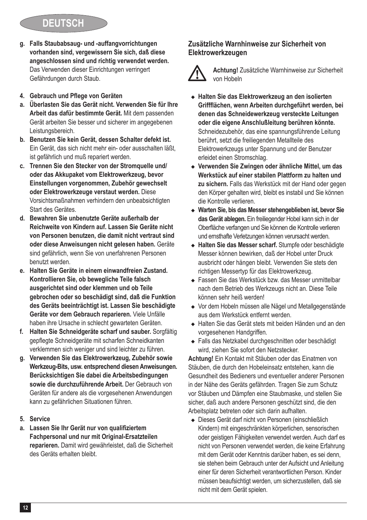- **g. Falls Staubabsaug- und -auffangvorrichtungen vorhanden sind, vergewissern Sie sich, daß diese angeschlossen sind und richtig verwendet werden.** Das Verwenden dieser Einrichtungen verringert Gefährdungen durch Staub.
- **4. Gebrauch und Pflege von Geräten**
- **a. Überlasten Sie das Gerät nicht. Verwenden Sie für Ihre Arbeit das dafür bestimmte Gerät.** Mit dem passenden Gerät arbeiten Sie besser und sicherer im angegebenen Leistungsbereich.
- **b. Benutzen Sie kein Gerät, dessen Schalter defekt ist.** Ein Gerät, das sich nicht mehr ein- oder ausschalten läßt, ist gefährlich und muß repariert werden.
- **c. Trennen Sie den Stecker von der Stromquelle und/ oder das Akkupaket vom Elektrowerkzeug, bevor Einstellungen vorgenommen, Zubehör gewechselt oder Elektrowerkzeuge verstaut werden.** Diese Vorsichtsmaßnahmen verhindern den unbeabsichtigten Start des Gerätes.
- **d. Bewahren Sie unbenutzte Geräte außerhalb der Reichweite von Kindern auf. Lassen Sie Geräte nicht von Personen benutzen, die damit nicht vertraut sind oder diese Anweisungen nicht gelesen haben.** Geräte sind gefährlich, wenn Sie von unerfahrenen Personen benutzt werden.
- **e. Halten Sie Geräte in einem einwandfreien Zustand. Kontrollieren Sie, ob bewegliche Teile falsch ausgerichtet sind oder klemmen und ob Teile gebrochen oder so beschädigt sind, daß die Funktion des Geräts beeinträchtigt ist. Lassen Sie beschädigte Geräte vor dem Gebrauch reparieren.** Viele Unfälle haben ihre Ursache in schlecht gewarteten Geräten.
- **f. Halten Sie Schneidgeräte scharf und sauber.** Sorgfältig gepflegte Schneidgeräte mit scharfen Schneidkanten verklemmen sich weniger und sind leichter zu führen.
- **g. Verwenden Sie das Elektrowerkzeug, Zubehör sowie Werkzeug-Bits, usw. entsprechend diesen Anweisungen. Berücksichtigen Sie dabei die Arbeitsbedingungen sowie die durchzuführende Arbeit.** Der Gebrauch von Geräten für andere als die vorgesehenen Anwendungen kann zu gefährlichen Situationen führen.
- **5. Service**
- **a. Lassen Sie Ihr Gerät nur von qualifiziertem Fachpersonal und nur mit Original-Ersatzteilen reparieren.** Damit wird gewährleistet, daß die Sicherheit des Geräts erhalten bleibt.

### **Zusätzliche Warnhinweise zur Sicherheit von Elektrowerkzeugen**

@ **Achtung!** Zusätzliche Warnhinweise zur Sicherheit von Hobeln

- ◆ Halten Sie das Elektrowerkzeug an den isolierten **Griffflächen, wenn Arbeiten durchgeführt werden, bei denen das Schneidewerkzeug versteckte Leitungen oder die eigene Anschlußleitung berühren könnte.**  Schneidezubehör, das eine spannungsführende Leitung berührt, setzt die freiliegenden Metallteile des Elektrowerkzeugs unter Spannung und der Benutzer erleidet einen Stromschlag.
- ◆ Verwenden Sie Zwingen oder ähnliche Mittel, um das **Werkstück auf einer stabilen Plattform zu halten und zu sichern.** Falls das Werkstück mit der Hand oder gegen den Körper gehalten wird, bleibt es instabil und Sie können die Kontrolle verlieren.
- <sup>u</sup> **Warten Sie, bis das Messer stehengeblieben ist, bevor Sie das Gerät ablegen.** Ein freiliegender Hobel kann sich in der Oberfläche verfangen und Sie können die Kontrolle verlieren und ernsthafte Verletzungen können verursacht werden.
- <sup>u</sup> **Halten Sie das Messer scharf.** Stumpfe oder beschädigte Messer können bewirken, daß der Hobel unter Druck ausbricht oder hängen bleibt. Verwenden Sie stets den richtigen Messertyp für das Elektrowerkzeug.
- ◆ Fassen Sie das Werkstück bzw. das Messer unmittelbar nach dem Betrieb des Werkzeugs nicht an. Diese Teile können sehr heiß werden!
- ◆ Vor dem Hobeln müssen alle Nägel und Metallgegenstände aus dem Werkstück entfernt werden.
- ◆ Halten Sie das Gerät stets mit beiden Händen und an den vorgesehenen Handgriffen.
- Falls das Netzkabel durchgeschnitten oder beschädigt wird, ziehen Sie sofort den Netzstecker.

**Achtung!** Ein Kontakt mit Stäuben oder das Einatmen von Stäuben, die durch den Hobeleinsatz entstehen, kann die Gesundheit des Bedieners und eventueller anderer Personen in der Nähe des Geräts gefährden. Tragen Sie zum Schutz vor Stäuben und Dämpfen eine Staubmaske, und stellen Sie sicher, daß auch andere Personen geschützt sind, die den Arbeitsplatz betreten oder sich darin aufhalten.

• Dieses Gerät darf nicht von Personen (einschließlich Kindern) mit eingeschränkten körperlichen, sensorischen oder geistigen Fähigkeiten verwendet werden. Auch darf es nicht von Personen verwendet werden, die keine Erfahrung mit dem Gerät oder Kenntnis darüber haben, es sei denn, sie stehen beim Gebrauch unter der Aufsicht und Anleitung einer für deren Sicherheit verantwortlichen Person. Kinder müssen beaufsichtigt werden, um sicherzustellen, daß sie nicht mit dem Gerät spielen.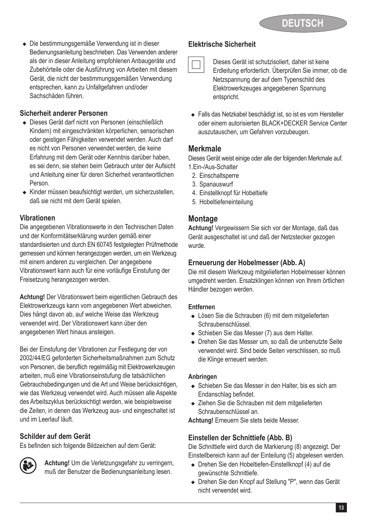◆ Die bestimmungsgemäße Verwendung ist in dieser Bedienungsanleitung beschrieben. Das Verwenden anderer als der in dieser Anleitung empfohlenen Anbaugeräte und Zubehörteile oder die Ausführung von Arbeiten mit diesem Gerät, die nicht der bestimmungsgemäßen Verwendung entsprechen, kann zu Unfallgefahren und/oder Sachschäden führen.

### **Sicherheit anderer Personen**

- Dieses Gerät darf nicht von Personen (einschließlich Kindern) mit eingeschränkten körperlichen, sensorischen oder geistigen Fähigkeiten verwendet werden. Auch darf es nicht von Personen verwendet werden, die keine Erfahrung mit dem Gerät oder Kenntnis darüber haben, es sei denn, sie stehen beim Gebrauch unter der Aufsicht und Anleitung einer für deren Sicherheit verantwortlichen Person.
- <sup>u</sup> Kinder müssen beaufsichtigt werden, um sicherzustellen, daß sie nicht mit dem Gerät spielen.

## **Vibrationen**

Die angegebenen Vibrationswerte in den Technischen Daten und der Konformitätserklärung wurden gemäß einer standardisierten und durch EN 60745 festgelegten Prüfmethode gemessen und können herangezogen werden, um ein Werkzeug mit einem anderen zu vergleichen. Der angegebene Vibrationswert kann auch für eine vorläufige Einstufung der Freisetzung herangezogen werden.

**Achtung!** Der Vibrationswert beim eigentlichen Gebrauch des Elektrowerkzeugs kann vom angegebenen Wert abweichen. Dies hängt davon ab, auf welche Weise das Werkzeug verwendet wird. Der Vibrationswert kann über den angegebenen Wert hinaus ansteigen.

Bei der Einstufung der Vibrationen zur Festlegung der von 2002/44/EG geforderten Sicherheitsmaßnahmen zum Schutz von Personen, die beruflich regelmäßig mit Elektrowerkzeugen arbeiten, muß eine Vibrationseinstufung die tatsächlichen Gebrauchsbedingungen und die Art und Weise berücksichtigen, wie das Werkzeug verwendet wird. Auch müssen alle Aspekte des Arbeitszyklus berücksichtigt werden, wie beispielsweise die Zeiten, in denen das Werkzeug aus- und eingeschaltet ist und im Leerlauf läuft.

### **Schilder auf dem Gerät**

Es befinden sich folgende Bildzeichen auf dem Gerät:



**(3) Achtung!** Um die Verletzungsgefahr zu verringern,<br>muß der Benutzer die Bedienungsanleitung lesen.

### **Elektrische Sicherheit**

# Dieses Gerät ist schutzisoliert, daher ist keine Erdleitung erforderlich. Überprüfen Sie immer, ob die Netzspannung der auf dem Typenschild des Elektrowerkzeuges angegebenen Spannung entspricht.

◆ Falls das Netzkabel beschädigt ist, so ist es vom Hersteller oder einem autorisierten BLACK+DECKER Service Center auszutauschen, um Gefahren vorzubeugen.

### **Merkmale**

Dieses Gerät weist einige oder alle der folgenden Merkmale auf. 1.Ein-/Aus-Schalter

- 2. Einschaltsperre
- 3. Spanauswurf
- 4. Einstellknopf für Hobeltiefe
- 5. Hobeltiefeneinteilung

### **Montage**

**Achtung!** Vergewissern Sie sich vor der Montage, daß das Gerät ausgeschaltet ist und daß der Netzstecker gezogen wurde.

### **Erneuerung der Hobelmesser (Abb. A)**

Die mit diesem Werkzeug mitgelieferten Hobelmesser können umgedreht werden. Ersatzklingen können von Ihrem örtlichen Händler bezogen werden.

#### **Entfernen**

- Lösen Sie die Schrauben (6) mit dem mitgelieferten Schraubenschlüssel.
- ◆ Schieben Sie das Messer (7) aus dem Halter.
- ◆ Drehen Sie das Messer um, so daß die unbenutzte Seite verwendet wird. Sind beide Seiten verschlissen, so muß die Klinge erneuert werden.

#### **Anbringen**

- $\triangle$  Schieben Sie das Messer in den Halter, bis es sich am Endanschlag befindet.
- Ziehen Sie die Schrauben mit dem mitgelieferten Schraubenschlüssel an.

**Achtung!** Erneuern Sie stets beide Messer.

### **Einstellen der Schnittiefe (Abb. B)**

Die Schnittiefe wird durch die Markierung (8) angezeigt. Der Einstellbereich kann auf der Einteilung (5) abgelesen werden.

- $\bullet$  Drehen Sie den Hobeltiefen-Einstellknopf (4) auf die gewünschte Schnittiefe.
- ◆ Drehen Sie den Knopf auf Stellung "P", wenn das Gerät nicht verwendet wird.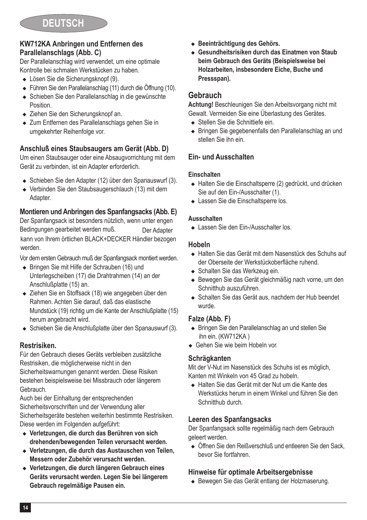### **KW712KA Anbringen und Entfernen des Parallelanschlags (Abb. C)**

Der Parallelanschlag wird verwendet, um eine optimale Kontrolle bei schmalen Werkstücken zu haben.

- Lösen Sie die Sicherungsknopf (9).
- <sup>u</sup> Führen Sie den Parallelanschlag (11) durch die Öffnung (10).
- ◆ Schieben Sie den Parallelanschlag in die gewünschte **Position**
- ◆ Ziehen Sie den Sicherungsknopf an.
- Zum Entfernen des Parallelanschlags gehen Sie in umgekehrter Reihenfolge vor.

### **Anschluß eines Staubsaugers am Gerät (Abb. D)**

Um einen Staubsauger oder eine Absaugvorrichtung mit dem Gerät zu verbinden, ist ein Adapter erforderlich.

- ◆ Schieben Sie den Adapter (12) über den Spanauswurf (3).
- ◆ Verbinden Sie den Staubsaugerschlauch (13) mit dem Adapter.

### **Montieren und Anbringen des Spanfangsacks (Abb. E)**

Der Spanfangsack ist besonders nützlich, wenn unter engen Bedingungen gearbeitet werden muß. 
Worden and Der Adapter kann von Ihrem örtlichen BLACK+DECKER Händler bezogen werden.

Vor dem ersten Gebrauch muß der Spanfangsack montiert werden.

- ◆ Bringen Sie mit Hilfe der Schrauben (16) und Unterlegscheiben (17) die Drahtrahmen (14) an der Anschlußplatte (15) an.
- ◆ Ziehen Sie en Stoffsack (18) wie angegeben über den Rahmen. Achten Sie darauf, daß das elastische Mundstück (19) richtig um die Kante der Anschlußplatte (15) herum angebracht wird.
- <sup>u</sup> Schieben Sie die Anschlußplatte über den Spanauswurf (3).

### **Restrisiken.**

Für den Gebrauch dieses Geräts verbleiben zusätzliche Restrisiken, die möglicherweise nicht in den Sicherheitswarnungen genannt werden. Diese Risiken bestehen beispielsweise bei Missbrauch oder längerem **Gebrauch** 

Auch bei der Einhaltung der entsprechenden Sicherheitsvorschriften und der Verwendung aller Sicherheitsgeräte bestehen weiterhin bestimmte Restrisiken. Diese werden im Folgenden aufgeführt:

- <sup>u</sup> **Verletzungen, die durch das Berühren von sich drehenden/bewegenden Teilen verursacht werden.**
- <sup>u</sup> **Verletzungen, die durch das Austauschen von Teilen, Messern oder Zubehör verursacht werden.**
- <sup>u</sup> **Verletzungen, die durch längeren Gebrauch eines Geräts verursacht werden. Legen Sie bei längerem Gebrauch regelmäßige Pausen ein.**
- <sup>u</sup> **Beeinträchtigung des Gehörs.**
- ◆ Gesundheitsrisiken durch das Einatmen von Staub **beim Gebrauch des Geräts (Beispielsweise bei Holzarbeiten, insbesondere Eiche, Buche und Pressspan).**

# **Gebrauch**

**Achtung!** Beschleunigen Sie den Arbeitsvorgang nicht mit Gewalt. Vermeiden Sie eine Überlastung des Gerätes.

- ◆ Stellen Sie die Schnittiefe ein.
- <sup>u</sup> Bringen Sie gegebenenfalls den Parallelanschlag an und stellen Sie ihn ein.

### **Ein- und Ausschalten**

#### **Einschalten**

- ◆ Halten Sie die Einschaltsperre (2) gedrückt, und drücken Sie auf den Ein-/Ausschalter (1).
- ▲ Lassen Sie die Einschaltsperre los.

#### **Ausschalten**

▲ Lassen Sie den Fin-/Ausschalter los.

#### **Hobeln**

- ▲ Halten Sie das Gerät mit dem Nasenstück des Schuhs auf der Oberseite der Werkstückoberfläche ruhend.
- Schalten Sie das Werkzeug ein.
- ◆ Bewegen Sie das Gerät gleichmäßig nach vorne, um den Schnitthub auszuführen.
- ◆ Schalten Sie das Gerät aus, nachdem der Hub beendet wurde.

### **Falze (Abb. F)**

- ◆ Bringen Sie den Parallelanschlag an und stellen Sie ihn ein. (KW712KA )
- ◆ Gehen Sie wie beim Hobeln vor.

### **Schrägkanten**

Mit der V-Nut im Nasenstück des Schuhs ist es möglich, Kanten mit Winkeln von 45 Grad zu hobeln.

<sup>u</sup> Halten Sie das Gerät mit der Nut um die Kante des Werkstücks herum in einem Winkel und führen Sie den Schnitthub durch.

### **Leeren des Spanfangsacks**

Der Spanfangsack sollte regelmäßig nach dem Gebrauch geleert werden.

◆ Öffnen Sie den Reißverschluß und entleeren Sie den Sack, bevor Sie fortfahren.

### **Hinweise für optimale Arbeitsergebnisse**

◆ Bewegen Sie das Gerät entlang der Holzmaserung.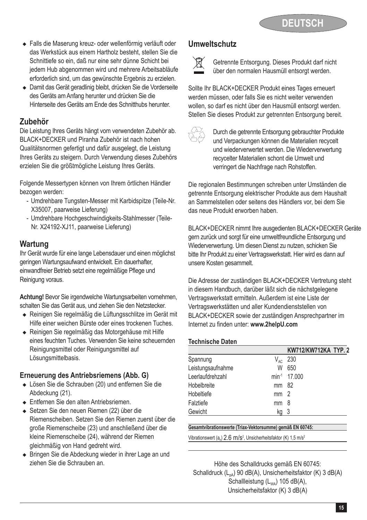- <sup>u</sup> Falls die Maserung kreuz- oder wellenförmig verläuft oder das Werkstück aus einem Hartholz besteht, stellen Sie die Schnittiefe so ein, daß nur eine sehr dünne Schicht bei jedem Hub abgenommen wird und mehrere Arbeitsabläufe erforderlich sind, um das gewünschte Ergebnis zu erzielen.
- <sup>u</sup> Damit das Gerät geradlinig bleibt, drücken Sie die Vorderseite des Geräts am Anfang herunter und drücken Sie die Hinterseite des Geräts am Ende des Schnitthubs herunter.

# **Zubehör**

Die Leistung Ihres Geräts hängt vom verwendeten Zubehör ab. BLACK+DECKER und Piranha Zubehör ist nach hohen Qualitätsnormen gefertigt und dafür ausgelegt, die Leistung Ihres Geräts zu steigern. Durch Verwendung dieses Zubehörs erzielen Sie die größtmögliche Leistung Ihres Geräts.

Folgende Messertypen können von Ihrem örtlichen Händler bezogen werden:

- Umdrehbare Tungsten-Messer mit Karbidspitze (Teile-Nr. X35007, paarweise Lieferung)
- Umdrehbare Hochgeschwindigkeits-Stahlmesser (Teile-Nr. X24192-XJ11, paarweise Lieferung)

# **Wartung**

Ihr Gerät wurde für eine lange Lebensdauer und einen möglichst geringen Wartungsaufwand entwickelt. Ein dauerhafter, einwandfreier Betrieb setzt eine regelmäßige Pflege und Reinigung voraus.

**Achtung!** Bevor Sie irgendwelche Wartungsarbeiten vornehmen, schalten Sie das Gerät aus, und ziehen Sie den Netzstecker.

- <sup>u</sup> Reinigen Sie regelmäßig die Lüftungsschlitze im Gerät mit Hilfe einer weichen Bürste oder eines trockenen Tuches.
- ◆ Reinigen Sie regelmäßig das Motorgehäuse mit Hilfe eines feuchten Tuches. Verwenden Sie keine scheuernden Reinigungsmittel oder Reinigungsmittel auf Lösungsmittelbasis.

### **Erneuerung des Antriebsriemens (Abb. G)**

- Lösen Sie die Schrauben (20) und entfernen Sie die Abdeckung (21).
- **Entfernen Sie den alten Antriebsriemen.**
- ◆ Setzen Sie den neuen Riemen (22) über die Riemenscheiben. Setzen Sie den Riemen zuerst über die große Riemenscheibe (23) und anschließend über die kleine Riemenscheibe (24), während der Riemen gleichmäßig von Hand gedreht wird.
- ◆ Bringen Sie die Abdeckung wieder in ihrer Lage an und ziehen Sie die Schrauben an.

# **Umweltschutz**



Getrennte Entsorgung. Dieses Produkt darf nicht über den normalen Hausmüll entsorgt werden.

Sollte Ihr BLACK+DECKER Produkt eines Tages erneuert werden müssen, oder falls Sie es nicht weiter verwenden wollen, so darf es nicht über den Hausmüll entsorgt werden. Stellen Sie dieses Produkt zur getrennten Entsorgung bereit.



z Durch die getrennte Entsorgung gebrauchter Produkte und Verpackungen können die Materialien recycelt und wiederverwertet werden. Die Wiederverwertung recycelter Materialien schont die Umwelt und verringert die Nachfrage nach Rohstoffen.

Die regionalen Bestimmungen schreiben unter Umständen die getrennte Entsorgung elektrischer Produkte aus dem Haushalt an Sammelstellen oder seitens des Händlers vor, bei dem Sie das neue Produkt erworben haben.

BLACK+DECKER nimmt Ihre ausgedienten BLACK+DECKER Geräte gern zurück und sorgt für eine umweltfreundliche Entsorgung und Wiederverwertung. Um diesen Dienst zu nutzen, schicken Sie bitte Ihr Produkt zu einer Vertragswerkstatt. Hier wird es dann auf unsere Kosten gesammelt.

Die Adresse der zuständigen BLACK+DECKER Vertretung steht in diesem Handbuch, darüber läßt sich die nächstgelegene Vertragswerkstatt ermitteln. Außerdem ist eine Liste der Vertragswerkstätten und aller Kundendienststellen von BLACK+DECKER sowie der zuständigen Ansprechpartner im Internet zu finden unter: **www.2helpU.com**

#### **Technische Daten**

l

|                   |                 | KW712/KW712KA TYP. 2     |
|-------------------|-----------------|--------------------------|
| Spannung          | $V_{AC}$        | 230                      |
| Leistungsaufnahme | W               | 650                      |
| Leerlaufdrehzahl  |                 | min <sup>-1</sup> 17.000 |
| Hobelbreite       | mm 82           |                          |
| Hobeltiefe        | mm <sub>2</sub> |                          |
| Falztiefe         | mm              | - 8                      |
| Gewicht           | kq              | -3                       |

#### **Gesamtvibrationswerte (Triax-Vektorsumme) gemäß EN 60745:**

Vibrationswert  $(a<sub>h</sub>)$  2.6 m/s<sup>2</sup>, Unsicherheitsfaktor (K) 1,5 m/s<sup>2</sup>

Höhe des Schalldrucks gemäß EN 60745: Schalldruck (L<sub>pA</sub>) 90 dB(A), Unsicherheitsfaktor (K) 3 dB(A) Schallleistung  $(L_{WA})$  105 dB(A), Unsicherheitsfaktor (K) 3 dB(A)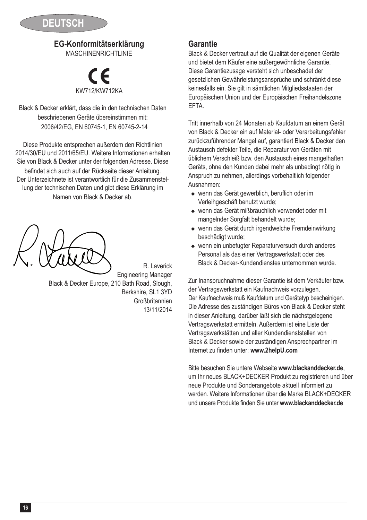

# **EG-Konformitätserklärung**

MASCHINENRICHTLINIE

# KW712 % /KW712KA

Black & Decker erklärt, dass die in den technischen Daten beschriebenen Geräte übereinstimmen mit: 2006/42/EG, EN 60745-1, EN 60745-2-14

Diese Produkte entsprechen außerdem den Richtlinien 2014/30/EU und 2011/65/EU. Weitere Informationen erhalten Sie von Black & Decker unter der folgenden Adresse. Diese befindet sich auch auf der Rückseite dieser Anleitung. Der Unterzeichnete ist verantwortlich für die Zusammenstellung der technischen Daten und gibt diese Erklärung im Namen von Black & Decker ab.

Engineering Manager Black & Decker Europe, 210 Bath Road, Slough, Berkshire, SL1 3YD Großbritannien 13/11/2014

R. Laverick

### **Garantie**

Black & Decker vertraut auf die Qualität der eigenen Geräte und bietet dem Käufer eine außergewöhnliche Garantie. Diese Garantiezusage versteht sich unbeschadet der gesetzlichen Gewährleistungsansprüche und schränkt diese keinesfalls ein. Sie gilt in sämtlichen Mitgliedsstaaten der Europäischen Union und der Europäischen Freihandelszone EFTA.

Tritt innerhalb von 24 Monaten ab Kaufdatum an einem Gerät von Black & Decker ein auf Material- oder Verarbeitungsfehler zurückzuführender Mangel auf, garantiert Black & Decker den Austausch defekter Teile, die Reparatur von Geräten mit üblichem Verschleiß bzw. den Austausch eines mangelhaften Geräts, ohne den Kunden dabei mehr als unbedingt nötig in Anspruch zu nehmen, allerdings vorbehaltlich folgender Ausnahmen:

- wenn das Gerät gewerblich, beruflich oder im Verleihgeschäft benutzt wurde;
- <sup>u</sup> wenn das Gerät mißbräuchlich verwendet oder mit mangelnder Sorgfalt behandelt wurde;
- wenn das Gerät durch irgendwelche Fremdeinwirkung beschädigt wurde;
- $\bullet$  wenn ein unbefugter Reparaturversuch durch anderes Personal als das einer Vertragswerkstatt oder des Black & Decker-Kundendienstes unternommen wurde.

Zur Inanspruchnahme dieser Garantie ist dem Verkäufer bzw. der Vertragswerkstatt ein Kaufnachweis vorzulegen. Der Kaufnachweis muß Kaufdatum und Gerätetyp bescheinigen. Die Adresse des zuständigen Büros von Black & Decker steht in dieser Anleitung, darüber läßt sich die nächstgelegene Vertragswerkstatt ermitteln. Außerdem ist eine Liste der Vertragswerkstätten und aller Kundendienststellen von Black & Decker sowie der zuständigen Ansprechpartner im Internet zu finden unter: **www.2helpU.com**

Bitte besuchen Sie untere Webseite **www.blackanddecker.de**, um Ihr neues BLACK+DECKER Produkt zu registrieren und über neue Produkte und Sonderangebote aktuell informiert zu werden. Weitere Informationen über die Marke BLACK+DECKER und unsere Produkte finden Sie unter **www.blackanddecker.de**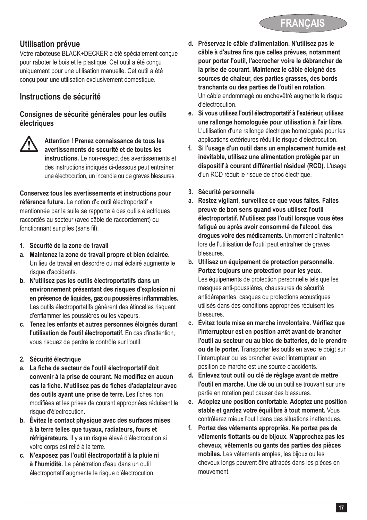

## **Utilisation prévue**

Votre raboteuse BLACK+DECKER a été spécialement conçue pour raboter le bois et le plastique. Cet outil a été conçu uniquement pour une utilisation manuelle. Cet outil a été conçu pour une utilisation exclusivement domestique.

# **Instructions de sécurité**

#### **Consignes de sécurité générales pour les outils électriques**



@ **Attention ! Prenez connaissance de tous les avertissements de sécurité et de toutes les instructions.** Le non-respect des avertissements et des instructions indiqués ci-dessous peut entraîner une électrocution, un incendie ou de graves blessures.

**Conservez tous les avertissements et instructions pour référence future.** La notion d'« outil électroportatif » mentionnée par la suite se rapporte à des outils électriques raccordés au secteur (avec câble de raccordement) ou fonctionnant sur piles (sans fil).

- **1. Sécurité de la zone de travail**
- **a. Maintenez la zone de travail propre et bien éclairée.** Un lieu de travail en désordre ou mal éclairé augmente le risque d'accidents.
- **b. N'utilisez pas les outils électroportatifs dans un environnement présentant des risques d'explosion ni en présence de liquides, gaz ou poussières inflammables.** Les outils électroportatifs génèrent des étincelles risquant d'enflammer les poussières ou les vapeurs.
- **c. Tenez les enfants et autres personnes éloignés durant l'utilisation de l'outil électroportatif.** En cas d'inattention, vous risquez de perdre le contrôle sur l'outil.
- **2. Sécurité électrique**
- **a. La fiche de secteur de l'outil électroportatif doit convenir à la prise de courant. Ne modifiez en aucun cas la fiche. N'utilisez pas de fiches d'adaptateur avec des outils ayant une prise de terre.** Les fiches non modifiées et les prises de courant appropriées réduisent le risque d'électrocution.
- **b. Évitez le contact physique avec des surfaces mises à la terre telles que tuyaux, radiateurs, fours et réfrigérateurs.** Il y a un risque élevé d'électrocution si votre corps est relié à la terre.
- **c. N'exposez pas l'outil électroportatif à la pluie ni à l'humidité.** La pénétration d'eau dans un outil électroportatif augmente le risque d'électrocution.
- **d. Préservez le câble d'alimentation. N'utilisez pas le câble à d'autres fins que celles prévues, notamment pour porter l'outil, l'accrocher voire le débrancher de la prise de courant. Maintenez le câble éloigné des sources de chaleur, des parties grasses, des bords tranchants ou des parties de l'outil en rotation.** Un câble endommagé ou enchevêtré augmente le risque d'électrocution.
- **e. Si vous utilisez l'outil électroportatif à l'extérieur, utilisez une rallonge homologuée pour utilisation à l'air libre.** L'utilisation d'une rallonge électrique homologuée pour les applications extérieures réduit le risque d'électrocution.
- **f. Si l'usage d'un outil dans un emplacement humide est inévitable, utilisez une alimentation protégée par un dispositif à courant différentiel résiduel (RCD).** L'usage d'un RCD réduit le risque de choc électrique.
- **3. Sécurité personnelle**
- **a. Restez vigilant, surveillez ce que vous faites. Faites preuve de bon sens quand vous utilisez l'outil électroportatif. N'utilisez pas l'outil lorsque vous êtes fatigué ou après avoir consommé de l'alcool, des drogues voire des médicaments.** Un moment d'inattention lors de l'utilisation de l'outil peut entraîner de graves blessures.
- **b. Utilisez un équipement de protection personnelle. Portez toujours une protection pour les yeux.** Les équipements de protection personnelle tels que les masques anti-poussières, chaussures de sécurité antidérapantes, casques ou protections acoustiques utilisés dans des conditions appropriées réduisent les blessures.
- **c. Évitez toute mise en marche involontaire. Vérifiez que l'interrupteur est en position arrêt avant de brancher l'outil au secteur ou au bloc de batteries, de le prendre ou de le porter.** Transporter les outils en avec le doigt sur l'interrupteur ou les brancher avec l'interrupteur en position de marche est une source d'accidents.
- **d. Enlevez tout outil ou clé de réglage avant de mettre l'outil en marche.** Une clé ou un outil se trouvant sur une partie en rotation peut causer des blessures.
- **e. Adoptez une position confortable. Adoptez une position stable et gardez votre équilibre à tout moment.** Vous contrôlerez mieux l'outil dans des situations inattendues.
- **f. Portez des vêtements appropriés. Ne portez pas de vêtements flottants ou de bijoux. N'approchez pas les cheveux, vêtements ou gants des parties des pièces mobiles.** Les vêtements amples, les bijoux ou les cheveux longs peuvent être attrapés dans les pièces en mouvement.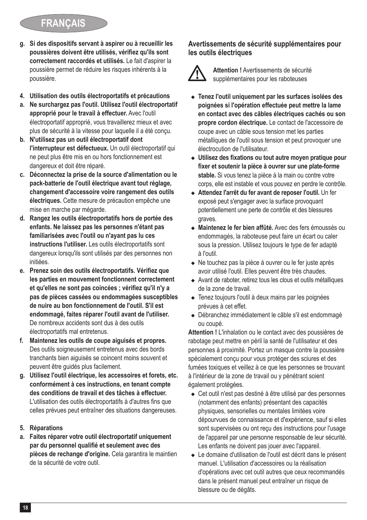# **FRANÇAIS**

- **g. Si des dispositifs servant à aspirer ou à recueillir les poussières doivent être utilisés, vérifiez qu'ils sont correctement raccordés et utilisés.** Le fait d'aspirer la poussière permet de réduire les risques inhérents à la poussière.
- **4. Utilisation des outils électroportatifs et précautions**
- **a. Ne surchargez pas l'outil. Utilisez l'outil électroportatif approprié pour le travail à effectuer.** Avec l'outil électroportatif approprié, vous travaillerez mieux et avec plus de sécurité à la vitesse pour laquelle il a été conçu.
- **b. N'utilisez pas un outil électroportatif dont l'interrupteur est défectueux.** Un outil électroportatif qui ne peut plus être mis en ou hors fonctionnement est dangereux et doit être réparé.
- **c. Déconnectez la prise de la source d'alimentation ou le pack-batterie de l'outil électrique avant tout réglage, changement d'accessoire voire rangement des outils électriques.** Cette mesure de précaution empêche une mise en marche par mégarde.
- **d. Rangez les outils électroportatifs hors de portée des enfants. Ne laissez pas les personnes n'étant pas familiarisées avec l'outil ou n'ayant pas lu ces instructions l'utiliser.** Les outils électroportatifs sont dangereux lorsqu'ils sont utilisés par des personnes non initiées.
- **e. Prenez soin des outils électroportatifs. Vérifiez que les parties en mouvement fonctionnent correctement et qu'elles ne sont pas coincées ; vérifiez qu'il n'y a pas de pièces cassées ou endommagées susceptibles de nuire au bon fonctionnement de l'outil. S'il est endommagé, faites réparer l'outil avant de l'utiliser.** De nombreux accidents sont dus à des outils électroportatifs mal entretenus.
- **f. Maintenez les outils de coupe aiguisés et propres.** Des outils soigneusement entretenus avec des bords tranchants bien aiguisés se coincent moins souvent et peuvent être guidés plus facilement.
- **g. Utilisez l'outil électrique, les accessoires et forets, etc. conformément à ces instructions, en tenant compte des conditions de travail et des tâches à effectuer.** L'utilisation des outils électroportatifs à d'autres fins que celles prévues peut entraîner des situations dangereuses.

#### **5. Réparations**

**a. Faites réparer votre outil électroportatif uniquement par du personnel qualifié et seulement avec des pièces de rechange d'origine.** Cela garantira le maintien de la sécurité de votre outil.

#### **Avertissements de sécurité supplémentaires pour les outils électriques**



**Attention !** Avertissements de sécurité<br>supplémentaires pour les raboteuses

- <sup>u</sup> **Tenez l'outil uniquement par les surfaces isolées des poignées si l'opération effectuée peut mettre la lame en contact avec des câbles électriques cachés ou son propre cordon électrique.** Le contact de l'accessoire de coupe avec un câble sous tension met les parties métalliques de l'outil sous tension et peut provoquer une électrocution de l'utilisateur.
- <sup>u</sup> **Utilisez des fixations ou tout autre moyen pratique pour fixer et soutenir la pièce à ouvrer sur une plate-forme stable.** Si vous tenez la pièce à la main ou contre votre corps, elle est instable et vous pouvez en perdre le contrôle.
- $\triangleleft$  Attendez l'arrêt du fer avant de reposer l'outil. Un fer exposé peut s'engager avec la surface provoquant potentiellement une perte de contrôle et des blessures graves.
- <sup>u</sup> **Maintenez le fer bien affûté.** Avec des fers émoussés ou endommagés, la raboteuse peut faire un écart ou caler sous la pression. Utilisez toujours le type de fer adapté à l'outil.
- ◆ Ne touchez pas la pièce à ouvrer ou le fer juste après avoir utilisé l'outil. Elles peuvent être très chaudes.
- ◆ Avant de raboter, retirez tous les clous et outils métalliques de la zone de travail.
- Tenez toujours l'outil à deux mains par les poignées prévues à cet effet.
- <sup>u</sup> Débranchez immédiatement le câble s'il est endommagé ou coupé.

**Attention !** L'inhalation ou le contact avec des poussières de rabotage peut mettre en péril la santé de l'utilisateur et des personnes à proximité. Portez un masque contre la poussière spécialement conçu pour vous protéger des sciures et des fumées toxiques et veillez à ce que les personnes se trouvant à l'intérieur de la zone de travail ou y pénétrant soient également protégées.

- Cet outil n'est pas destiné à être utilisé par des personnes (notamment des enfants) présentant des capacités physiques, sensorielles ou mentales limitées voire dépourvues de connaissance et d'expérience, sauf si elles sont supervisées ou ont reçu des instructions pour l'usage de l'appareil par une personne responsable de leur sécurité. Les enfants ne doivent pas jouer avec l'appareil.
- ◆ Le domaine d'utilisation de l'outil est décrit dans le présent manuel. L'utilisation d'accessoires ou la réalisation d'opérations avec cet outil autres que ceux recommandés dans le présent manuel peut entraîner un risque de blessure ou de dégâts.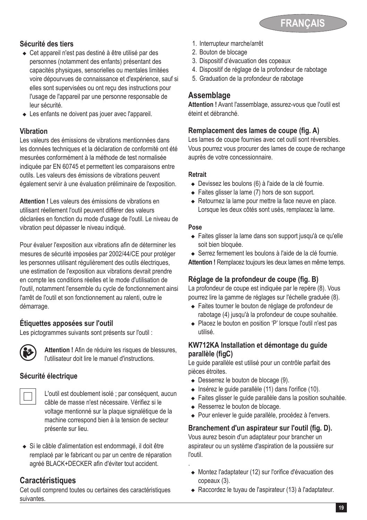

#### **Sécurité des tiers**

- ◆ Cet appareil n'est pas destiné à être utilisé par des personnes (notamment des enfants) présentant des capacités physiques, sensorielles ou mentales limitées voire dépourvues de connaissance et d'expérience, sauf si elles sont supervisées ou ont reçu des instructions pour l'usage de l'appareil par une personne responsable de leur sécurité.
- $\triangle$  Les enfants ne doivent pas jouer avec l'appareil.

#### **Vibration**

Les valeurs des émissions de vibrations mentionnées dans les données techniques et la déclaration de conformité ont été mesurées conformément à la méthode de test normalisée indiquée par EN 60745 et permettent les comparaisons entre outils. Les valeurs des émissions de vibrations peuvent également servir à une évaluation préliminaire de l'exposition.

**Attention !** Les valeurs des émissions de vibrations en utilisant réellement l'outil peuvent différer des valeurs déclarées en fonction du mode d'usage de l'outil. Le niveau de vibration peut dépasser le niveau indiqué.

Pour évaluer l'exposition aux vibrations afin de déterminer les mesures de sécurité imposées par 2002/44/CE pour protéger les personnes utilisant régulièrement des outils électriques, une estimation de l'exposition aux vibrations devrait prendre en compte les conditions réelles et le mode d'utilisation de l'outil, notamment l'ensemble du cycle de fonctionnement ainsi l'arrêt de l'outil et son fonctionnement au ralenti, outre le démarrage.

### **Étiquettes apposées sur l'outil**

Les pictogrammes suivants sont présents sur l'outil :



**Attention !** Afin de réduire les risques de blessures,<br>
l'utilisateur doit lire le manuel d'instructions.

### **Sécurité électrique**



L'outil est doublement isolé ; par conséquent, aucun câble de masse n'est nécessaire. Vérifiez si le voltage mentionné sur la plaque signalétique de la machine correspond bien à la tension de secteur présente sur lieu.

◆ Si le câble d'alimentation est endommagé, il doit être remplacé par le fabricant ou par un centre de réparation agréé BLACK+DECKER afin d'éviter tout accident.

# **Caractéristiques**

Cet outil comprend toutes ou certaines des caractéristiques suivantes.

- 1. Interrupteur marche/arrêt
- 2. Bouton de blocage
- 3. Dispositif d'évacuation des copeaux
- 4. Dispositif de réglage de la profondeur de rabotage
- 5. Graduation de la profondeur de rabotage

### **Assemblage**

**Attention !** Avant l'assemblage, assurez-vous que l'outil est éteint et débranché.

#### **Remplacement des lames de coupe (fig. A)**

Les lames de coupe fournies avec cet outil sont réversibles. Vous pourrez vous procurer des lames de coupe de rechange auprès de votre concessionnaire.

#### **Retrait**

- ◆ Devissez les boulons (6) à l'aide de la clé fournie.
- $\bullet$  Faites glisser la lame (7) hors de son support.
- Retournez la lame pour mettre la face neuve en place. Lorsque les deux côtés sont usés, remplacez la lame.

#### **Pose**

.

◆ Faites glisser la lame dans son support jusqu'à ce qu'elle soit bien bloquée.

◆ Serrez fermement les boulons à l'aide de la clé fournie. **Attention !** Remplacez toujours les deux lames en même temps.

### **Réglage de la profondeur de coupe (fig. B)**

La profondeur de coupe est indiquée par le repère (8). Vous pourrez lire la gamme de réglages sur l'échelle graduée (8).

- ◆ Faites tourner le bouton de réglage de profondeur de rabotage (4) jusqu'à la profondeur de coupe souhaitée.
- ◆ Placez le bouton en position 'P' lorsque l'outil n'est pas utilisé.

### **KW712KA Installation et démontage du guide parallèle (fig.C)**

Le guide parallèle est utilisé pour un contrôle parfait des pièces étroites.

- $\triangleleft$  Desserrez le bouton de blocage (9).
- $\bullet$  Insérez le guide parallèle (11) dans l'orifice (10).
- ◆ Faites glisser le quide parallèle dans la position souhaitée.
- ◆ Resserrez le bouton de blocage.
- ◆ Pour enlever le guide parallèle, procédez à l'envers.

### **Branchement d'un aspirateur sur l'outil (fig. D).**

Vous aurez besoin d'un adaptateur pour brancher un aspirateur ou un système d'aspiration de la poussière sur l'outil.

- ◆ Montez l'adaptateur (12) sur l'orifice d'évacuation des copeaux (3).
- ◆ Raccordez le tuyau de l'aspirateur (13) à l'adaptateur.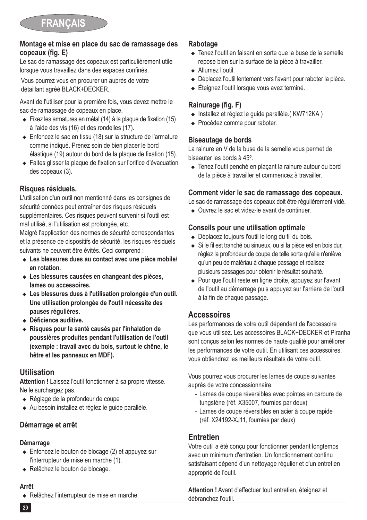#### **Montage et mise en place du sac de ramassage des copeaux (fig. E)**

Le sac de ramassage des copeaux est particulièrement utile lorsque vous travaillez dans des espaces confinés.

Vous pourrez vous en procurer un auprès de votre détaillant agréé BLACK+DECKER.

Avant de l'utiliser pour la première fois, vous devez mettre le sac de ramassage de copeaux en place.

- $\triangleq$  Fixez les armatures en métal (14) à la plaque de fixation (15) à l'aide des vis (16) et des rondelles (17).
- ◆ Enfoncez le sac en tissu (18) sur la structure de l'armature comme indiqué. Prenez soin de bien placer le bord élastique (19) autour du bord de la plaque de fixation (15).
- ◆ Faites glisser la plaque de fixation sur l'orifice d'évacuation des copeaux (3).

### **Risques résiduels.**

L'utilisation d'un outil non mentionné dans les consignes de sécurité données peut entraîner des risques résiduels supplémentaires. Ces risques peuvent survenir si l'outil est mal utilisé, si l'utilisation est prolongée, etc.

Malgré l'application des normes de sécurité correspondantes et la présence de dispositifs de sécurité, les risques résiduels suivants ne peuvent être évités. Ceci comprend :

- $\triangle$  Les blessures dues au contact avec une pièce mobile/ **en rotation.**
- ◆ Les blessures causées en changeant des pièces, **lames ou accessoires.**
- ◆ Les blessures dues à l'utilisation prolongée d'un outil. **Une utilisation prolongée de l'outil nécessite des pauses régulières.**
- <sup>u</sup> **Déficience auditive.**
- <sup>u</sup> **Risques pour la santé causés par l'inhalation de poussières produites pendant l'utilisation de l'outil (exemple : travail avec du bois, surtout le chêne, le hêtre et les panneaux en MDF).**

# **Utilisation**

**Attention !** Laissez l'outil fonctionner à sa propre vitesse. Ne le surchargez pas.

- ◆ Réglage de la profondeur de coupe
- ◆ Au besoin installez et réglez le quide parallèle.

### **Démarrage et arrêt**

### **Démarrage**

- $\triangle$  Enfoncez le bouton de blocage (2) et appuyez sur l'interrupteur de mise en marche (1).
- ◆ Relâchez le bouton de blocage.

### **Arrêt**

◆ Relâchez l'interrupteur de mise en marche.

### **Rabotage**

- ◆ Tenez l'outil en faisant en sorte que la buse de la semelle repose bien sur la surface de la pièce à travailler.
- Allumez l'outil.
- ◆ Déplacez l'outil lentement vers l'avant pour raboter la pièce.
- $\triangleq$  Éteignez l'outil lorsque vous avez terminé.

# **Rainurage (fig. F)**

- ◆ Installez et réglez le quide parallèle.( KW712KA)
- $\leftarrow$  Procédez comme pour raboter.

### **Biseautage de bords**

La rainure en V de la buse de la semelle vous permet de biseauter les bords à 45º.

◆ Tenez l'outil penché en plaçant la rainure autour du bord de la pièce à travailler et commencez à travailler.

### **Comment vider le sac de ramassage des copeaux.**

Le sac de ramassage des copeaux doit être régulièrement vidé.

▲ Ouvrez le sac et videz-le avant de continuer

### **Conseils pour une utilisation optimale**

- ◆ Déplacez toujours l'outil le long du fil du bois.
- ◆ Si le fil est tranché ou sinueux, ou si la pièce est en bois dur, réglez la profondeur de coupe de telle sorte qu'elle n'enlève qu'un peu de matériau à chaque passage et réalisez plusieurs passages pour obtenir le résultat souhaité.
- ◆ Pour que l'outil reste en ligne droite, appuyez sur l'avant de l'outil au démarrage puis appuyez sur l'arrière de l'outil à la fin de chaque passage.

# **Accessoires**

Les performances de votre outil dépendent de l'accessoire que vous utilisez. Les accessoires BLACK+DECKER et Piranha sont conçus selon les normes de haute qualité pour améliorer les performances de votre outil. En utilisant ces accessoires, vous obtiendrez les meilleurs résultats de votre outil.

Vous pourrez vous procurer les lames de coupe suivantes auprès de votre concessionnaire.

- Lames de coupe réversibles avec pointes en carbure de tungstène (réf. X35007, fournies par deux)
- Lames de coupe réversibles en acier à coupe rapide (réf. X24192-XJ11, fournies par deux)

# **Entretien**

Votre outil a été conçu pour fonctionner pendant longtemps avec un minimum d'entretien. Un fonctionnement continu satisfaisant dépend d'un nettoyage régulier et d'un entretien approprié de l'outil.

**Attention !** Avant d'effectuer tout entretien, éteignez et débranchez l'outil.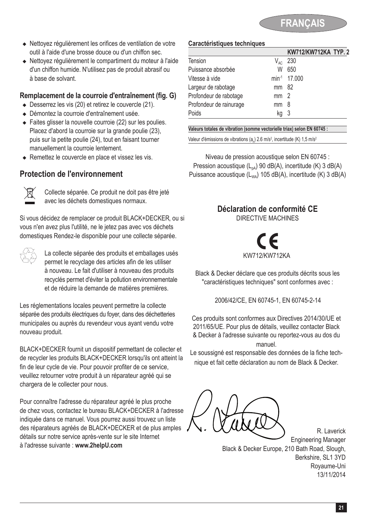

- <sup>u</sup> Nettoyez régulièrement les orifices de ventilation de votre outil à l'aide d'une brosse douce ou d'un chiffon sec.
- <sup>u</sup> Nettoyez régulièrement le compartiment du moteur à l'aide d'un chiffon humide. N'utilisez pas de produit abrasif ou à base de solvant.

#### **Remplacement de la courroie d'entraînement (fig. G)**

- $\bullet$  Desserrez les vis (20) et retirez le couvercle (21).
- <sup>u</sup> Démontez la courroie d'entraînement usée.
- $\triangle$  Faites glisser la nouvelle courroie (22) sur les poulies. Placez d'abord la courroie sur la grande poulie (23), puis sur la petite poulie (24), tout en faisant tourner manuellement la courroie lentement.
- ◆ Remettez le couvercle en place et vissez les vis.

### **Protection de l'environnement**



Collecte séparée. Ce produit ne doit pas être jeté avec les déchets domestiques normaux.

Si vous décidez de remplacer ce produit BLACK+DECKER, ou si vous n'en avez plus l'utilité, ne le jetez pas avec vos déchets domestiques Rendez-le disponible pour une collecte séparée.

 $\overleftrightarrow{C}$  La collecte séparée des produits et emballages usés<br>permet le recyclage des articles afin de les utiliser à nouveau. Le fait d'utiliser à nouveau des produits recyclés permet d'éviter la pollution environnementale et de réduire la demande de matières premières.

Les réglementations locales peuvent permettre la collecte séparée des produits électriques du foyer, dans des déchetteries municipales ou auprès du revendeur vous ayant vendu votre nouveau produit.

BLACK+DECKER fournit un dispositif permettant de collecter et de recycler les produits BLACK+DECKER lorsqu'ils ont atteint la fin de leur cycle de vie. Pour pouvoir profiter de ce service, veuillez retourner votre produit à un réparateur agréé qui se chargera de le collecter pour nous.

Pour connaître l'adresse du réparateur agréé le plus proche de chez vous, contactez le bureau BLACK+DECKER à l'adresse indiquée dans ce manuel. Vous pourrez aussi trouvez un liste des réparateurs agréés de BLACK+DECKER et de plus amples détails sur notre service après-vente sur le site Internet à l'adresse suivante : **www.2helpU.com**

#### **Caractéristiques techniques**

|                         |                 | KW712/KW712KA TYP. 2     |
|-------------------------|-----------------|--------------------------|
| Tension                 | $V_{AC}$        | 230                      |
| Puissance absorbée      | W               | 650                      |
| Vitesse à vide          |                 | min <sup>-1</sup> 17.000 |
| Largeur de rabotage     | mm 82           |                          |
| Profondeur de rabotage  | mm <sub>2</sub> |                          |
| Profondeur de rainurage | mm              | - 8                      |
| Poids                   | kg              | - 3                      |
|                         |                 |                          |

**Valeurs totales de vibration (somme vectorielle triax) selon EN 60745 :**

Valeur d'émissions de vibrations (a<sub>n</sub>) 2.6 m/s<sup>2</sup>, incertitude (K) 1,5 m/s<sup>2</sup>

Niveau de pression acoustique selon EN 60745 : Pression acoustique  $(L_{pA})$  90 dB(A), incertitude (K) 3 dB(A) Puissance acoustique  $(L_{wa})$  105 dB(A), incertitude (K) 3 dB(A)

# **Déclaration de conformité CE**

DIRECTIVE MACHINES



Black & Decker déclare que ces produits décrits sous les "caractéristiques techniques" sont conformes avec :

2006/42/CE, EN 60745-1, EN 60745-2-14

Ces produits sont conformes aux Directives 2014/30/UE et 2011/65/UE. Pour plus de détails, veuillez contacter Black & Decker à l'adresse suivante ou reportez-vous au dos du manuel.

Le soussigné est responsable des données de la fiche technique et fait cette déclaration au nom de Black & Decker.

Engineering Manager Black & Decker Europe, 210 Bath Road, Slough, Berkshire, SL1 3YD Royaume-Uni 13/11/2014

R. Laverick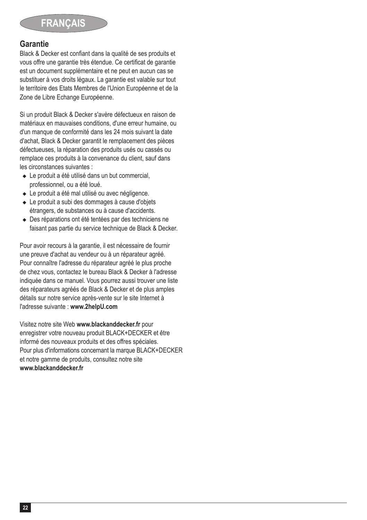

#### **Garantie**

Black & Decker est confiant dans la qualité de ses produits et vous offre une garantie très étendue. Ce certificat de garantie est un document supplémentaire et ne peut en aucun cas se substituer à vos droits légaux. La garantie est valable sur tout le territoire des Etats Membres de l'Union Européenne et de la Zone de Libre Echange Européenne.

Si un produit Black & Decker s'avère défectueux en raison de matériaux en mauvaises conditions, d'une erreur humaine, ou d'un manque de conformité dans les 24 mois suivant la date d'achat, Black & Decker garantit le remplacement des pièces défectueuses, la réparation des produits usés ou cassés ou remplace ces produits à la convenance du client, sauf dans les circonstances suivantes :

- $\bullet$  Le produit a été utilisé dans un but commercial. professionnel, ou a été loué.
- ◆ Le produit a été mal utilisé ou avec négligence.
- ◆ Le produit a subi des dommages à cause d'objets étrangers, de substances ou à cause d'accidents.
- ◆ Des réparations ont été tentées par des techniciens ne faisant pas partie du service technique de Black & Decker.

Pour avoir recours à la garantie, il est nécessaire de fournir une preuve d'achat au vendeur ou à un réparateur agréé. Pour connaître l'adresse du réparateur agréé le plus proche de chez vous, contactez le bureau Black & Decker à l'adresse indiquée dans ce manuel. Vous pourrez aussi trouver une liste des réparateurs agréés de Black & Decker et de plus amples détails sur notre service après-vente sur le site Internet à l'adresse suivante : **www.2helpU.com**

Visitez notre site Web **www.blackanddecker.fr** pour enregistrer votre nouveau produit BLACK+DECKER et être informé des nouveaux produits et des offres spéciales. Pour plus d'informations concernant la marque BLACK+DECKER et notre gamme de produits, consultez notre site **www.blackanddecker.fr**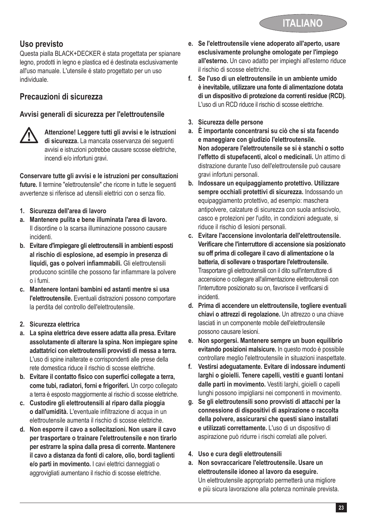# **Uso previsto**

Questa pialla BLACK+DECKER è stata progettata per spianare legno, prodotti in legno e plastica ed é destinata esclusivamente all'uso manuale. L'utensile é stato progettato per un uso individuale.

# **Precauzioni di sicurezza**

### **Avvisi generali di sicurezza per l'elettroutensile**



@ **Attenzione! Leggere tutti gli avvisi e le istruzioni di sicurezza.** La mancata osservanza dei seguenti avvisi e istruzioni potrebbe causare scosse elettriche, incendi e/o infortuni gravi.

**Conservare tutte gli avvisi e le istruzioni per consultazioni future.** Il termine "elettroutensile" che ricorre in tutte le seguenti avvertenze si riferisce ad utensili elettrici con o senza filo.

- **1. Sicurezza dell'area di lavoro**
- **a. Mantenere pulita e bene illuminata l'area di lavoro.** Il disordine o la scarsa illuminazione possono causare incidenti.
- **b. Evitare d'impiegare gli elettroutensili in ambienti esposti al rischio di esplosione, ad esempio in presenza di liquidi, gas o polveri infiammabili.** Gli elettroutensili producono scintille che possono far infiammare la polvere o i fumi.
- **c. Mantenere lontani bambini ed astanti mentre si usa l'elettroutensile.** Eventuali distrazioni possono comportare la perdita del controllo dell'elettroutensile.
- **2. Sicurezza elettrica**
- **a. La spina elettrica deve essere adatta alla presa. Evitare assolutamente di alterare la spina. Non impiegare spine adattatrici con elettroutensili provvisti di messa a terra.** L'uso di spine inalterate e corrispondenti alle prese della rete domestica riduce il rischio di scosse elettriche.
- **b. Evitare il contatto fisico con superfici collegate a terra, come tubi, radiatori, forni e frigoriferi.** Un corpo collegato a terra è esposto maggiormente al rischio di scosse elettriche.
- **c. Custodire gli elettroutensili al riparo dalla pioggia o dall'umidità.** L'eventuale infiltrazione di acqua in un elettroutensile aumenta il rischio di scosse elettriche.
- **d. Non esporre il cavo a sollecitazioni. Non usare il cavo per trasportare o trainare l'elettroutensile e non tirarlo per estrarre la spina dalla presa di corrente. Mantenere il cavo a distanza da fonti di calore, olio, bordi taglienti e/o parti in movimento.** I cavi elettrici danneggiati o aggrovigliati aumentano il rischio di scosse elettriche.
- **e. Se l'elettroutensile viene adoperato all'aperto, usare esclusivamente prolunghe omologate per l'impiego all'esterno.** Un cavo adatto per impieghi all'esterno riduce il rischio di scosse elettriche.
- **f. Se l'uso di un elettroutensile in un ambiente umido è inevitabile, utilizzare una fonte di alimentazione dotata di un dispositivo di protezione da correnti residue (RCD).** L'uso di un RCD riduce il rischio di scosse elettriche.
- **3. Sicurezza delle persone**
- **a. È importante concentrarsi su ciò che si sta facendo e maneggiare con giudizio l'elettroutensile. Non adoperare l'elettroutensile se si è stanchi o sotto l'effetto di stupefacenti, alcol o medicinali.** Un attimo di distrazione durante l'uso dell'elettroutensile può causare gravi infortuni personali.
- **b. Indossare un equipaggiamento protettivo. Utilizzare sempre occhiali protettivi di sicurezza.** Indossando un equipaggiamento protettivo, ad esempio: maschera antipolvere, calzature di sicurezza con suola antiscivolo, casco e protezioni per l'udito, in condizioni adeguate, si riduce il rischio di lesioni personali.
- **c. Evitare l'accensione involontaria dell'elettroutensile. Verificare che l'interruttore di accensione sia posizionato su off prima di collegare il cavo di alimentazione o la batteria, di sollevare o trasportare l'elettroutensile.** Trasportare gli elettroutensili con il dito sull'interruttore di accensione o collegare all'alimentazione elettroutensili con l'interruttore posizionato su on, favorisce il verificarsi di incidenti.
- **d. Prima di accendere un elettroutensile, togliere eventuali chiavi o attrezzi di regolazione.** Un attrezzo o una chiave lasciati in un componente mobile dell'elettroutensile possono causare lesioni.
- **e. Non sporgersi. Mantenere sempre un buon equilibrio evitando posizioni malsicure.** In questo modo è possibile controllare meglio l'elettroutensile in situazioni inaspettate.
- **f. Vestirsi adeguatamente. Evitare di indossare indumenti larghi o gioielli. Tenere capelli, vestiti e guanti lontani dalle parti in movimento.** Vestiti larghi, gioielli o capelli lunghi possono impigliarsi nei componenti in movimento.
- **g. Se gli elettroutensili sono provvisti di attacchi per la connessione di dispositivi di aspirazione o raccolta della polvere, assicurarsi che questi siano installati e utilizzati correttamente.** L'uso di un dispositivo di aspirazione può ridurre i rischi correlati alle polveri.
- **4. Uso e cura degli elettroutensili**
- **a. Non sovraccaricare l'elettroutensile. Usare un elettroutensile idoneo al lavoro da eseguire.** Un elettroutensile appropriato permetterà una migliore e più sicura lavorazione alla potenza nominale prevista.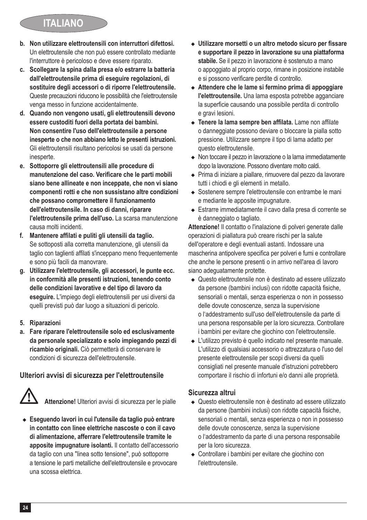# **ITALIANO**

- **b. Non utilizzare elettroutensili con interruttori difettosi.** Un elettroutensile che non può essere controllato mediante l'interruttore è pericoloso e deve essere riparato.
- **c. Scollegare la spina dalla presa e/o estrarre la batteria dall'elettroutensile prima di eseguire regolazioni, di sostituire degli accessori o di riporre l'elettroutensile.**  Queste precauzioni riducono le possibilità che l'elettroutensile venga messo in funzione accidentalmente.
- **d. Quando non vengono usati, gli elettroutensili devono essere custoditi fuori della portata dei bambini. Non consentire l'uso dell'elettroutensile a persone inesperte o che non abbiano letto le presenti istruzioni.** Gli elettroutensili risultano pericolosi se usati da persone inesperte.
- **e. Sottoporre gli elettroutensili alle procedure di manutenzione del caso. Verificare che le parti mobili siano bene allineate e non inceppate, che non vi siano componenti rotti e che non sussistano altre condizioni che possano compromettere il funzionamento dell'elettroutensile. In caso di danni, riparare l'elettroutensile prima dell'uso.** La scarsa manutenzione causa molti incidenti.
- **f. Mantenere affilati e puliti gli utensili da taglio.** Se sottoposti alla corretta manutenzione, gli utensili da taglio con taglienti affilati s'inceppano meno frequentemente e sono più facili da manovrare.
- **g. Utilizzare l'elettroutensile, gli accessori, le punte ecc. in conformità alle presenti istruzioni, tenendo conto delle condizioni lavorative e del tipo di lavoro da eseguire.** L'impiego degli elettroutensili per usi diversi da quelli previsti può dar luogo a situazioni di pericolo.
- **5. Riparazioni**
- **a. Fare riparare l'elettroutensile solo ed esclusivamente da personale specializzato e solo impiegando pezzi di ricambio originali.** Ciò permetterà di conservare le condizioni di sicurezza dell'elettroutensile.

### **Ulteriori avvisi di sicurezza per l'elettroutensile**



@ **Attenzione!** Ulteriori avvisi di sicurezza per le pialle

◆ Eseguendo lavori in cui l'utensile da taglio può entrare **in contatto con linee elettriche nascoste o con il cavo di alimentazione, afferrare l'elettroutensile tramite le apposite impugnature isolanti.** Il contatto dell'accessorio da taglio con una "linea sotto tensione", può sottoporre a tensione le parti metalliche dell'elettroutensile e provocare una scossa elettrica.

- <sup>u</sup> **Utilizzare morsetti o un altro metodo sicuro per fissare e supportare il pezzo in lavorazione su una piattaforma stabile.** Se il pezzo in lavorazione è sostenuto a mano o appoggiato al proprio corpo, rimane in posizione instabile e si possono verificare perdite di controllo.
- ◆ Attendere che le lame si fermino prima di appoggiare **l'elettroutensile.** Una lama esposta potrebbe agganciare la superficie causando una possibile perdita di controllo e gravi lesioni.
- <sup>u</sup> **Tenere la lama sempre ben affilata.** Lame non affilate o danneggiate possono deviare o bloccare la pialla sotto pressione. Utilizzare sempre il tipo di lama adatto per questo elettroutensile.
- ◆ Non toccare il pezzo in lavorazione o la lama immediatamente dopo la lavorazione. Possono diventare molto caldi.
- ◆ Prima di iniziare a piallare, rimuovere dal pezzo da lavorare tutti i chiodi e gli elementi in metallo.
- ◆ Sostenere sempre l'elettroutensile con entrambe le mani e mediante le apposite impugnature.
- ◆ Estrarre immediatamente il cavo dalla presa di corrente se è danneggiato o tagliato.

**Attenzione!** Il contatto o l'inalazione di polveri generate dalle operazioni di piallatura può creare rischi per la salute dell'operatore e degli eventuali astanti. Indossare una mascherina antipolvere specifica per polveri e fumi e controllare che anche le persone presenti o in arrivo nell'area di lavoro siano adeguatamente protette.

- ◆ Questo elettroutensile non è destinato ad essere utilizzato da persone (bambini inclusi) con ridotte capacità fisiche, sensoriali o mentali, senza esperienza o non in possesso delle dovute conoscenze, senza la supervisione o l'addestramento sull'uso dell'elettroutensile da parte di una persona responsabile per la loro sicurezza. Controllare i bambini per evitare che giochino con l'elettroutensile.
- L'utilizzo previsto è quello indicato nel presente manuale. L'utilizzo di qualsiasi accessorio o attrezzatura o l'uso del presente elettroutensile per scopi diversi da quelli consigliati nel presente manuale d'istruzioni potrebbero comportare il rischio di infortuni e/o danni alle proprietà.

### **Sicurezza altrui**

- ◆ Questo elettroutensile non è destinato ad essere utilizzato da persone (bambini inclusi) con ridotte capacità fisiche, sensoriali o mentali, senza esperienza o non in possesso delle dovute conoscenze, senza la supervisione o l'addestramento da parte di una persona responsabile per la loro sicurezza.
- Controllare i bambini per evitare che giochino con l'elettroutensile.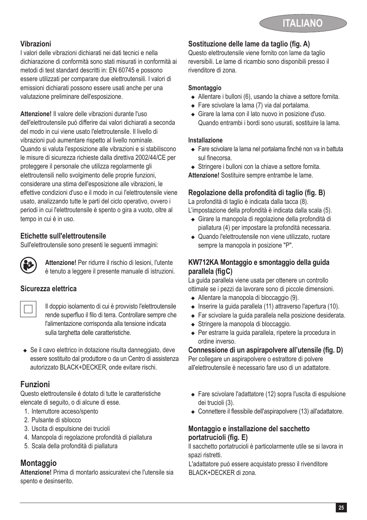### **Vibrazioni**

I valori delle vibrazioni dichiarati nei dati tecnici e nella dichiarazione di conformità sono stati misurati in conformità ai metodi di test standard descritti in: EN 60745 e possono essere utilizzati per comparare due elettroutensili. I valori di emissioni dichiarati possono essere usati anche per una valutazione preliminare dell'esposizione.

**Attenzione!** Il valore delle vibrazioni durante l'uso dell'elettroutensile può differire dai valori dichiarati a seconda del modo in cui viene usato l'elettroutensile. Il livello di vibrazioni può aumentare rispetto al livello nominale. Quando si valuta l'esposizione alle vibrazioni e si stabiliscono le misure di sicurezza richieste dalla direttiva 2002/44/CE per proteggere il personale che utilizza regolarmente gli elettroutensili nello svolgimento delle proprie funzioni, considerare una stima dell'esposizione alle vibrazioni, le effettive condizioni d'uso e il modo in cui l'elettroutensile viene usato, analizzando tutte le parti del ciclo operativo, ovvero i periodi in cui l'elettroutensile è spento o gira a vuoto, oltre al tempo in cui è in uso.

### **Etichette sull'elettroutensile**

Sull'elettroutensile sono presenti le seguenti immagini:



**Attenzione!** Per ridurre il rischio di lesioni, l'utente<br>
è tenuto a leggere il presente manuale di istruzioni.

### **Sicurezza elettrica**



Il doppio isolamento di cui è provvisto l'elettroutensile<br>rende superfluo il filo di terra. Controllare sempre che l'alimentazione corrisponda alla tensione indicata sulla targhetta delle caratteristiche.

 $\triangle$  Se il cavo elettrico in dotazione risulta danneggiato, deve essere sostituito dal produttore o da un Centro di assistenza autorizzato BLACK+DECKER, onde evitare rischi.

# **Funzioni**

Questo elettroutensile è dotato di tutte le caratteristiche elencate di seguito, o di alcune di esse.

- 1. Interruttore acceso/spento
- 2. Pulsante di sblocco
- 3. Uscita di espulsione dei trucioli
- 4. Manopola di regolazione profondità di piallatura
- 5. Scala della profondità di piallatura

# **Montaggio**

**Attenzione!** Prima di montarlo assicuratevi che l'utensile sia spento e desinserito.

### **Sostituzione delle lame da taglio (fig. A)**

Questo elettroutensile viene fornito con lame da taglio reversibili. Le lame di ricambio sono disponibili presso il rivenditore di zona.

#### **Smontaggio**

- $\triangleleft$  Allentare i bulloni (6), usando la chiave a settore fornita.
- $\triangle$  Fare scivolare la lama (7) via dal portalama.
- ◆ Girare la lama con il lato nuovo in posizione d'uso. Quando entrambi i bordi sono usurati, sostituire la lama.

#### **Installazione**

- ◆ Fare scivolare la lama nel portalama finché non va in battuta sul finecorsa.
- $\triangle$  Stringere i bulloni con la chiave a settore fornita.

**Attenzione!** Sostituire sempre entrambe le lame.

### **Regolazione della profondità di taglio (fig. B)**

La profondità di taglio è indicata dalla tacca (8).

- L'impostazione della profondità è indicata dalla scala (5). <sup>u</sup> Girare la manopola di regolazione della profondità di
- piallatura (4) per impostare la profondità necessaria.
- Quando l'elettroutensile non viene utilizzato, ruotare sempre la manopola in posizione "P".

### **KW712KA Montaggio e smontaggio della guida parallela (figC) .**

La guida parallela viene usata per ottenere un controllo ottimale se i pezzi da lavorare sono di piccole dimensioni.

- ◆ Allentare la manopola di bloccaggio (9).
- $\bullet$  Inserire la guida parallela (11) attraverso l'apertura (10).
- ◆ Far scivolare la quida parallela nella posizione desiderata.
- ◆ Stringere la manopola di bloccaggio.
- ◆ Per estrarre la guida parallela, ripetere la procedura in ordine inverso.

### **Connessione di un aspirapolvere all'utensile (fig. D)**

Per collegare un aspirapolvere o estrattore di polvere all'elettroutensile è necessario fare uso di un adattatore.

- ◆ Fare scivolare l'adattatore (12) sopra l'uscita di espulsione dei trucioli (3).
- ◆ Connettere il flessibile dell'aspirapolvere (13) all'adattatore.

#### **Montaggio e installazione del sacchetto portatrucioli (fig. E)**

Il sacchetto portatrucioli è particolarmente utile se si lavora in spazi ristretti.

L'adattatore può essere acquistato presso il rivenditore BLACK+DECKER di zona.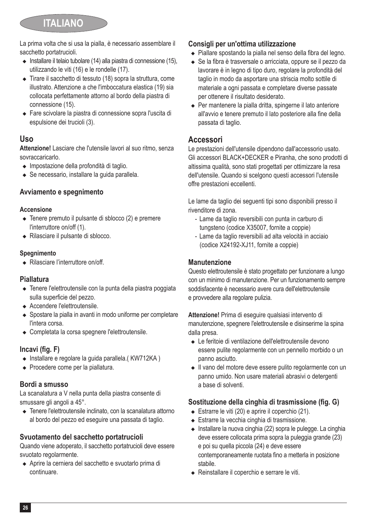# **ITALIANO**

La prima volta che si usa la pialla, è necessario assemblare il sacchetto portatrucioli.

- $\bullet$  Installare il telaio tubolare (14) alla piastra di connessione (15), utilizzando le viti (16) e le rondelle (17).
- <sup>u</sup> Tirare il sacchetto di tessuto (18) sopra la struttura, come illustrato. Attenzione a che l'imboccatura elastica (19) sia collocata perfettamente attorno al bordo della piastra di connessione (15).
- <sup>u</sup> Fare scivolare la piastra di connessione sopra l'uscita di espulsione dei trucioli (3).

# **Uso**

**Attenzione!** Lasciare che l'utensile lavori al suo ritmo, senza sovraccaricarlo.

- $\bullet$  Impostazione della profondità di taglio.
- $\triangle$  Se necessario, installare la quida parallela.

### **Avviamento e spegnimento**

#### **Accensione**

- $\triangle$  Tenere premuto il pulsante di sblocco (2) e premere l'interruttore on/off (1).
- ◆ Rilasciare il pulsante di sblocco.

#### **Spegnimento**

 $\triangle$  Rilasciare l'interruttore on/off

### **Piallatura**

- Tenere l'elettroutensile con la punta della piastra poggiata sulla superficie del pezzo.
- $\triangle$  Accendere l'elettroutensile.
- ◆ Spostare la pialla in avanti in modo uniforme per completare l'intera corsa.
- <sup>u</sup> Completata la corsa spegnere l'elettroutensile.

### **Incavi (fig. F)**

- $\bullet$  Installare e regolare la guida parallela.( KW712KA)
- $\leftarrow$  Procedere come per la piallatura.

### **Bordi a smusso**

La scanalatura a V nella punta della piastra consente di smussare gli angoli a 45°.

◆ Tenere l'elettroutensile inclinato, con la scanalatura attorno al bordo del pezzo ed eseguire una passata di taglio.

### **Svuotamento del sacchetto portatrucioli**

Quando viene adoperato, il sacchetto portatrucioli deve essere svuotato regolarmente.

<sup>u</sup> Aprire la cerniera del sacchetto e svuotarlo prima di continuare.

### **Consigli per un'ottima utilizzazione**

- ◆ Piallare spostando la pialla nel senso della fibra del legno.
- ◆ Se la fibra è trasversale o arricciata, oppure se il pezzo da lavorare è in legno di tipo duro, regolare la profondità del taglio in modo da asportare una striscia molto sottile di materiale a ogni passata e completare diverse passate per ottenere il risultato desiderato.
- ◆ Per mantenere la pialla dritta, spingerne il lato anteriore all'avvio e tenere premuto il lato posteriore alla fine della passata di taglio.

# **Accessori**

Le prestazioni dell'utensile dipendono dall'accessorio usato. Gli accessori BLACK+DECKER e Piranha, che sono prodotti di altissima qualità, sono stati progettati per ottimizzare la resa dell'utensile. Quando si scelgono questi accessori l'utensile offre prestazioni eccellenti.

Le lame da taglio dei seguenti tipi sono disponibili presso il rivenditore di zona.

- Lame da taglio reversibili con punta in carburo di tungsteno (codice X35007, fornite a coppie)
- Lame da taglio reversibili ad alta velocità in acciaio (codice X24192-XJ11, fornite a coppie)

### **Manutenzione**

Questo elettroutensile è stato progettato per funzionare a lungo con un minimo di manutenzione. Per un funzionamento sempre soddisfacente è necessario avere cura dell'elettroutensile e provvedere alla regolare pulizia.

**Attenzione!** Prima di eseguire qualsiasi intervento di manutenzione, spegnere l'elettroutensile e disinserirne la spina dalla presa.

- <sup>u</sup> Le feritoie di ventilazione dell'elettroutensile devono essere pulite regolarmente con un pennello morbido o un panno asciutto.
- Il vano del motore deve essere pulito regolarmente con un panno umido. Non usare materiali abrasivi o detergenti a base di solventi.

### **Sostituzione della cinghia di trasmissione (fig. G)**

- $\triangleleft$  Estrarre le viti (20) e aprire il coperchio (21).
- $\triangle$  Estrarre la vecchia cinghia di trasmissione.
- $\bullet$  Installare la nuova cinghia (22) sopra le pulegge. La cinghia deve essere collocata prima sopra la puleggia grande (23) e poi su quella piccola (24) e deve essere contemporaneamente ruotata fino a metterla in posizione stabile.
- <sup>u</sup> Reinstallare il coperchio e serrare le viti.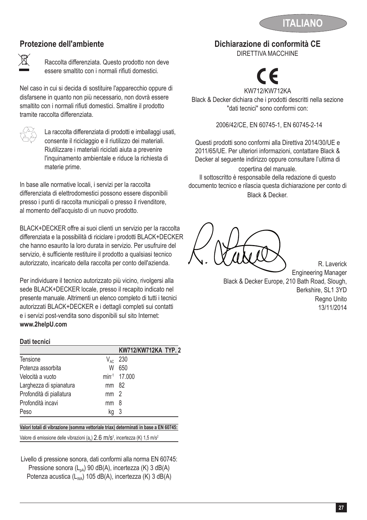

# **Protezione dell'ambiente**



Raccolta differenziata. Questo prodotto non deve essere smaltito con i normali rifiuti domestici.

Nel caso in cui si decida di sostituire l'apparecchio oppure di disfarsene in quanto non più necessario, non dovrà essere smaltito con i normali rifiuti domestici. Smaltire il prodotto tramite raccolta differenziata.

 $\overline{\diamond}$  La raccolta differenziata di prodotti e imballaggi usati,<br>consente il riciclaggio e il riutilizzo dei materiali. Riutilizzare i materiali riciclati aiuta a prevenire l'inquinamento ambientale e riduce la richiesta di materie prime.

In base alle normative locali, i servizi per la raccolta differenziata di elettrodomestici possono essere disponibili presso i punti di raccolta municipali o presso il rivenditore, al momento dell'acquisto di un nuovo prodotto.

BLACK+DECKER offre ai suoi clienti un servizio per la raccolta differenziata e la possibilità di riciclare i prodotti BLACK+DECKER che hanno esaurito la loro durata in servizio. Per usufruire del servizio, è sufficiente restituire il prodotto a qualsiasi tecnico autorizzato, incaricato della raccolta per conto dell'azienda.

Per individuare il tecnico autorizzato più vicino, rivolgersi alla sede BLACK+DECKER locale, presso il recapito indicato nel presente manuale. Altrimenti un elenco completo di tutti i tecnici autorizzati BLACK+DECKER e i dettagli completi sui contatti e i servizi post-vendita sono disponibili sul sito Internet: **www.2helpU.com**

#### **Dati tecnici**

|                          |                 | KW712/KW712KA TYP. 2     |  |
|--------------------------|-----------------|--------------------------|--|
| Tensione                 | $V_{AC}$        | 230                      |  |
| Potenza assorbita        | W               | 650                      |  |
| Velocità a vuoto         |                 | min <sup>-1</sup> 17,000 |  |
| Larghezza di spianatura  | mm 82           |                          |  |
| Profondità di piallatura | mm <sub>2</sub> |                          |  |
| Profondità incavi        | mm              | - 8                      |  |
| Peso                     | ka              | - 3                      |  |
|                          |                 |                          |  |

### **Valori totali di vibrazione (somma vettoriale triax) determinati in base a EN 60745:**

Valore di emissione delle vibrazioni (a<sub>n</sub>)  $2.6 \text{ m/s}^2$ , incertezza (K) 1,5 m/s<sup>2</sup>

Livello di pressione sonora, dati conformi alla norma EN 60745: Pressione sonora (L<sub>oA</sub>) 90 dB(A), incertezza (K) 3 dB(A) Potenza acustica (L<sub>WA</sub>) 105 dB(A), incertezza (K) 3 dB(A)

# **Dichiarazione di conformità CE**

DIRETTIVA MACCHINE



KW712 /KW712KA Black & Decker dichiara che i prodotti descritti nella sezione "dati tecnici" sono conformi con:

2006/42/CE, EN 60745-1, EN 60745-2-14

Questi prodotti sono conformi alla Direttiva 2014/30/UE e 2011/65/UE. Per ulteriori informazioni, contattare Black & Decker al seguente indirizzo oppure consultare l'ultima di

copertina del manuale. Il sottoscritto è responsabile della redazione di questo documento tecnico e rilascia questa dichiarazione per conto di Black & Decker.

R. Laverick Engineering Manager Black & Decker Europe, 210 Bath Road, Slough, Berkshire, SL1 3YD Regno Unito 13/11/2014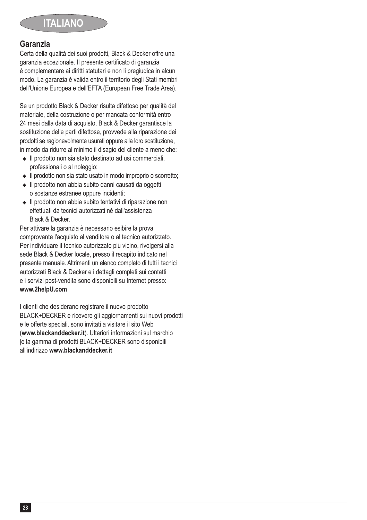## **Garanzia**

Certa della qualità dei suoi prodotti, Black & Decker offre una garanzia eccezionale. Il presente certificato di garanzia è complementare ai diritti statutari e non li pregiudica in alcun modo. La garanzia è valida entro il territorio degli Stati membri dell'Unione Europea e dell'EFTA (European Free Trade Area).

Se un prodotto Black & Decker risulta difettoso per qualità del materiale, della costruzione o per mancata conformità entro 24 mesi dalla data di acquisto, Black & Decker garantisce la sostituzione delle parti difettose, provvede alla riparazione dei prodotti se ragionevolmente usurati oppure alla loro sostituzione, in modo da ridurre al minimo il disagio del cliente a meno che:

- $\bullet$  Il prodotto non sia stato destinato ad usi commerciali. professionali o al noleggio;
- Il prodotto non sia stato usato in modo improprio o scorretto;
- ◆ Il prodotto non abbia subito danni causati da oggetti o sostanze estranee oppure incidenti;
- <sup>u</sup> Il prodotto non abbia subito tentativi di riparazione non effettuati da tecnici autorizzati né dall'assistenza Black & Decker.

Per attivare la garanzia è necessario esibire la prova comprovante l'acquisto al venditore o al tecnico autorizzato. Per individuare il tecnico autorizzato più vicino, rivolgersi alla sede Black & Decker locale, presso il recapito indicato nel presente manuale. Altrimenti un elenco completo di tutti i tecnici autorizzati Black & Decker e i dettagli completi sui contatti e i servizi post-vendita sono disponibili su Internet presso: **www.2helpU.com**

I clienti che desiderano registrare il nuovo prodotto BLACK+DECKER e ricevere gli aggiornamenti sui nuovi prodotti e le offerte speciali, sono invitati a visitare il sito Web (**www.blackanddecker.it**). Ulteriori informazioni sul marchio le la gamma di prodotti BLACK+DECKER sono disponibili all'indirizzo **www.blackanddecker.it**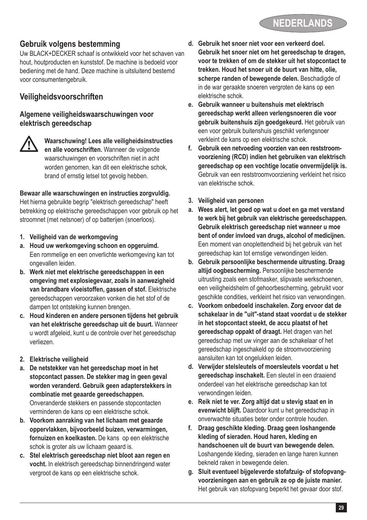# **Gebruik volgens bestemming**

Uw BLACK+DECKER schaaf is ontwikkeld voor het schaven van hout, houtproducten en kunststof. De machine is bedoeld voor bediening met de hand. Deze machine is uitsluitend bestemd voor consumentengebruik.

# **Veiligheidsvoorschriften**

#### **Algemene veiligheidswaarschuwingen voor elektrisch gereedschap**



@ **Waarschuwing! Lees alle veiligheidsinstructies en alle voorschriften.** Wanneer de volgende waarschuwingen en voorschriften niet in acht worden genomen, kan dit een elektrische schok, brand of ernstig letsel tot gevolg hebben.

#### **Bewaar alle waarschuwingen en instructies zorgvuldig.**

Het hierna gebruikte begrip "elektrisch gereedschap" heeft betrekking op elektrische gereedschappen voor gebruik op het stroomnet (met netsnoer) of op batterijen (snoerloos).

- **1. Veiligheid van de werkomgeving**
- **a. Houd uw werkomgeving schoon en opgeruimd.** Een rommelige en een onverlichte werkomgeving kan tot ongevallen leiden.
- **b. Werk niet met elektrische gereedschappen in een omgeving met explosiegevaar, zoals in aanwezigheid van brandbare vloeistoffen, gassen of stof.** Elektrische gereedschappen veroorzaken vonken die het stof of de dampen tot ontsteking kunnen brengen.
- **c. Houd kinderen en andere personen tijdens het gebruik van het elektrische gereedschap uit de buurt.** Wanneer u wordt afgeleid, kunt u de controle over het gereedschap verliezen.
- **2. Elektrische veiligheid**
- **a. De netstekker van het gereedschap moet in het stopcontact passen. De stekker mag in geen geval worden veranderd. Gebruik geen adapterstekkers in combinatie met geaarde gereedschappen.** Onveranderde stekkers en passende stopcontacten verminderen de kans op een elektrische schok.
- **b. Voorkom aanraking van het lichaam met geaarde oppervlakken, bijvoorbeeld buizen, verwarmingen, fornuizen en koelkasten.** De kans op een elektrische schok is groter als uw lichaam geaard is.
- **c. Stel elektrisch gereedschap niet bloot aan regen en vocht.** In elektrisch gereedschap binnendringend water vergroot de kans op een elektrische schok.
- **d. Gebruik het snoer niet voor een verkeerd doel. Gebruik het snoer niet om het gereedschap te dragen, voor te trekken of om de stekker uit het stopcontact te trekken. Houd het snoer uit de buurt van hitte, olie, scherpe randen of bewegende delen.** Beschadigde of in de war geraakte snoeren vergroten de kans op een elektrische schok.
- **e. Gebruik wanneer u buitenshuis met elektrisch gereedschap werkt alleen verlengsnoeren die voor gebruik buitenshuis zijn goedgekeurd.** Het gebruik van een voor gebruik buitenshuis geschikt verlengsnoer verkleint de kans op een elektrische schok.
- **f. Gebruik een netvoeding voorzien van een reststroomvoorziening (RCD) indien het gebruiken van elektrisch gereedschap op een vochtige locatie onvermijdelijk is.** Gebruik van een reststroomvoorziening verkleint het risico van elektrische schok.
- **3. Veiligheid van personen**
- **a. Wees alert, let goed op wat u doet en ga met verstand te werk bij het gebruik van elektrische gereedschappen. Gebruik elektrisch gereedschap niet wanneer u moe bent of onder invloed van drugs, alcohol of medicijnen.** Een moment van onoplettendheid bij het gebruik van het gereedschap kan tot ernstige verwondingen leiden.
- **b. Gebruik persoonlijke beschermende uitrusting. Draag altijd oogbescherming.** Persoonlijke beschermende uitrusting zoals een stofmasker, slipvaste werkschoenen, een veiligheidshelm of gehoorbescherming, gebruikt voor geschikte condities, verkleint het risico van verwondingen.
- **c. Voorkom onbedoeld inschakelen. Zorg ervoor dat de schakelaar in de "uit"-stand staat voordat u de stekker in het stopcontact steekt, de accu plaatst of het gereedschap oppakt of draagt.** Het dragen van het gereedschap met uw vinger aan de schakelaar of het gereedschap ingeschakeld op de stroomvoorziening aansluiten kan tot ongelukken leiden.
- **d. Verwijder stelsleutels of moersleutels voordat u het gereedschap inschakelt.** Een sleutel in een draaiend onderdeel van het elektrische gereedschap kan tot verwondingen leiden.
- **e. Reik niet te ver. Zorg altijd dat u stevig staat en in evenwicht blijft.** Daardoor kunt u het gereedschap in onverwachte situaties beter onder controle houden.
- **f. Draag geschikte kleding. Draag geen loshangende kleding of sieraden. Houd haren, kleding en handschoenen uit de buurt van bewegende delen.** Loshangende kleding, sieraden en lange haren kunnen bekneld raken in bewegende delen.
- **g. Sluit eventueel bijgeleverde stofafzuig- of stofopvangvoorzieningen aan en gebruik ze op de juiste manier.** Het gebruik van stofopvang beperkt het gevaar door stof.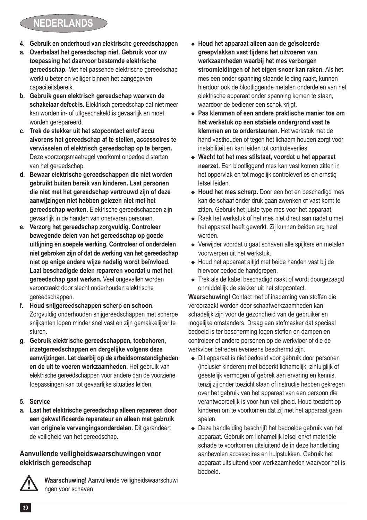# **NEDERLANDS**

- **4. Gebruik en onderhoud van elektrische gereedschappen**
- **a. Overbelast het gereedschap niet. Gebruik voor uw toepassing het daarvoor bestemde elektrische gereedschap.** Met het passende elektrische gereedschap werkt u beter en veiliger binnen het aangegeven capaciteitsbereik.
- **b. Gebruik geen elektrisch gereedschap waarvan de schakelaar defect is.** Elektrisch gereedschap dat niet meer kan worden in- of uitgeschakeld is gevaarlijk en moet worden gerepareerd.
- **c. Trek de stekker uit het stopcontact en/of accu alvorens het gereedschap af te stellen, accessoires te verwisselen of elektrisch gereedschap op te bergen.** Deze voorzorgsmaatregel voorkomt onbedoeld starten van het gereedschap.
- **d. Bewaar elektrische gereedschappen die niet worden gebruikt buiten bereik van kinderen. Laat personen die niet met het gereedschap vertrouwd zijn of deze aanwijzingen niet hebben gelezen niet met het gereedschap werken.** Elektrische gereedschappen zijn gevaarlijk in de handen van onervaren personen.
- **e. Verzorg het gereedschap zorgvuldig. Controleer bewegende delen van het gereedschap op goede uitlijning en soepele werking. Controleer of onderdelen niet gebroken zijn of dat de werking van het gereedschap niet op enige andere wijze nadelig wordt beïnvloed. Laat beschadigde delen repareren voordat u met het gereedschap gaat werken.** Veel ongevallen worden veroorzaakt door slecht onderhouden elektrische gereedschappen.
- **f. Houd snijgereedschappen scherp en schoon.** Zorgvuldig onderhouden snijgereedschappen met scherpe snijkanten lopen minder snel vast en zijn gemakkelijker te sturen.
- **g. Gebruik elektrische gereedschappen, toebehoren, inzetgereedschappen en dergelijke volgens deze aanwijzingen. Let daarbij op de arbeidsomstandigheden en de uit te voeren werkzaamheden.** Het gebruik van elektrische gereedschappen voor andere dan de voorziene toepassingen kan tot gevaarlijke situaties leiden.
- **5. Service**
- **a. Laat het elektrische gereedschap alleen repareren door een gekwalificeerde reparateur en alleen met gebruik van originele vervangingsonderdelen.** Dit garandeert de veiligheid van het gereedschap.

#### **Aanvullende veiligheidswaarschuwingen voor elektrisch gereedschap**



@ **Waarschuwing!** Aanvullende veiligheidswaarschuwi ngen voor schaven

- <sup>u</sup> **Houd het apparaat alleen aan de geïsoleerde greepvlakken vast tijdens het uitvoeren van werkzaamheden waarbij het mes verborgen stroomleidingen of het eigen snoer kan raken.** Als het mes een onder spanning staande leiding raakt, kunnen hierdoor ook de blootliggende metalen onderdelen van het elektrische apparaat onder spanning komen te staan, waardoor de bediener een schok krijgt.
- <sup>u</sup> **Pas klemmen of een andere praktische manier toe om het werkstuk op een stabiele ondergrond vast te klemmen en te ondersteunen.** Het werkstuk met de hand vasthouden of tegen het lichaam houden zorgt voor instabiliteit en kan leiden tot controleverlies.
- ◆ Wacht tot het mes stilstaat, voordat u het apparaat **neerzet.** Een blootliggend mes kan vast komen zitten in het oppervlak en tot mogelijk controleverlies en ernstig letsel leiden.
- ◆ Houd het mes scherp. Door een bot en beschadigd mes kan de schaaf onder druk gaan zwenken of vast komt te zitten. Gebruik het juiste type mes voor het apparaat.
- $\triangle$  Raak het werkstuk of het mes niet direct aan nadat u met het apparaat heeft gewerkt. Zij kunnen beiden erg heet worden.
- ◆ Verwijder voordat u gaat schaven alle spijkers en metalen voorwerpen uit het werkstuk.
- ◆ Houd het apparaat altijd met beide handen vast bij de hiervoor bedoelde handgrepen.
- $\bullet$  Trek als de kabel beschadigd raakt of wordt doorgezaagd onmiddellijk de stekker uit het stopcontact.

**Waarschuwing!** Contact met of inademing van stoffen die veroorzaakt worden door schaafwerkzaamheden kan schadelijk zijn voor de gezondheid van de gebruiker en mogelijke omstanders. Draag een stofmasker dat speciaal bedoeld is ter bescherming tegen stoffen en dampen en controleer of andere personen op de werkvloer of die de werkvloer betreden eveneens beschermd zijn.

- $\triangle$  Dit apparaat is niet bedoeld voor gebruik door personen (inclusief kinderen) met beperkt lichamelijk, zintuiglijk of geestelijk vermogen of gebrek aan ervaring en kennis, tenzij zij onder toezicht staan of instructie hebben gekregen over het gebruik van het apparaat van een persoon die verantwoordelijk is voor hun veiligheid. Houd toezicht op kinderen om te voorkomen dat zij met het apparaat gaan spelen.
- ◆ Deze handleiding beschrijft het bedoelde gebruik van het apparaat. Gebruik om lichamelijk letsel en/of materiële schade te voorkomen uitsluitend de in deze handleiding aanbevolen accessoires en hulpstukken. Gebruik het apparaat uitsluitend voor werkzaamheden waarvoor het is bedoeld.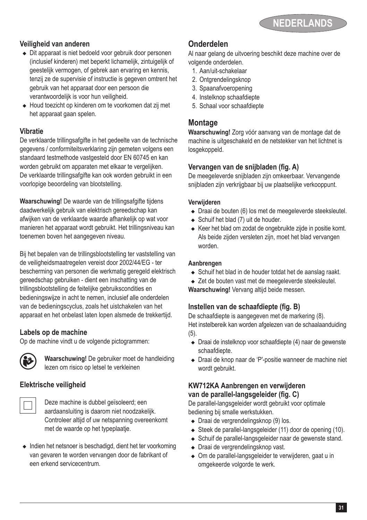

#### **Veiligheid van anderen**

- $\bullet$  Dit apparaat is niet bedoeld voor gebruik door personen (inclusief kinderen) met beperkt lichamelijk, zintuigelijk of geestelijk vermogen, of gebrek aan ervaring en kennis, tenzij ze de supervisie of instructie is gegeven omtrent het gebruik van het apparaat door een persoon die verantwoordelijk is voor hun veiligheid.
- ◆ Houd toezicht op kinderen om te voorkomen dat zij met het apparaat gaan spelen.

#### **Vibratie**

De verklaarde trillingsafgifte in het gedeelte van de technische gegevens / conformiteitsverklaring zijn gemeten volgens een standaard testmethode vastgesteld door EN 60745 en kan worden gebruikt om apparaten met elkaar te vergelijken. De verklaarde trillingsafgifte kan ook worden gebruikt in een voorlopige beoordeling van blootstelling.

**Waarschuwing!** De waarde van de trillingsafgifte tijdens daadwerkelijk gebruik van elektrisch gereedschap kan afwijken van de verklaarde waarde afhankelijk op wat voor manieren het apparaat wordt gebruikt. Het trillingsniveau kan toenemen boven het aangegeven niveau.

Bij het bepalen van de trillingsblootstelling ter vaststelling van de veiligheidsmaatregelen vereist door 2002/44/EG - ter bescherming van personen die werkmatig geregeld elektrisch gereedschap gebruiken - dient een inschatting van de trillingsblootstelling de feitelijke gebruikscondities en bedieningswijze in acht te nemen, inclusief alle onderdelen van de bedieningscyclus, zoals het uistchakelen van het apparaat en het onbelast laten lopen alsmede de trekkertijd.

#### **Labels op de machine**

Op de machine vindt u de volgende pictogrammen:



: **Waarschuwing!** De gebruiker moet de handleiding lezen om risico op letsel te verkleinen

### **Elektrische veiligheid**

Deze machine is dubbel geïsoleerd; een aardaansluiting is daarom niet noodzakelijk. Controleer altijd of uw netspanning overeenkomt met de waarde op het typeplaatje.

 $\triangleq$  Indien het netsnoer is beschadigd, dient het ter voorkoming van gevaren te worden vervangen door de fabrikant of een erkend servicecentrum.

### **Onderdelen**

Al naar gelang de uitvoering beschikt deze machine over de volgende onderdelen.

- 1. Aan/uit-schakelaar
- 2. Ontgrendelingsknop
- 3. Spaanafvoeropening
- 4. Instelknop schaafdiepte
- 5. Schaal voor schaafdiepte

#### **Montage**

**Waarschuwing!** Zorg vóór aanvang van de montage dat de machine is uitgeschakeld en de netstekker van het lichtnet is losgekoppeld.

#### **Vervangen van de snijbladen (fig. A)**

De meegeleverde snijbladen zijn omkeerbaar. Vervangende snijbladen zijn verkrijgbaar bij uw plaatselijke verkooppunt.

#### **Verwijderen**

- ◆ Draai de bouten (6) los met de meegeleverde steeksleutel.
- $\triangleleft$  Schuif het blad (7) uit de houder.
- $\triangle$  Keer het blad om zodat de ongebruikte zijde in positie komt. Als beide zijden versleten zijn, moet het blad vervangen worden.

#### **Aanbrengen**

- ◆ Schuif het blad in de houder totdat het de aanslag raakt.
- ◆ Zet de bouten vast met de meegeleverde steeksleutel.
- **Waarschuwing!** Vervang altijd beide messen.

#### **Instellen van de schaafdiepte (fig. B)**

De schaafdiepte is aangegeven met de markering (8). Het instelbereik kan worden afgelezen van de schaalaanduiding (5).

- $\bullet$  Draai de instelknop voor schaafdiepte (4) naar de gewenste schaafdiepte.
- <sup>u</sup> Draai de knop naar de 'P'-positie wanneer de machine niet wordt gebruikt.

### **KW712KA Aanbrengen en verwijderen van de parallel-langsgeleider (fig. C)**

De parallel-langsgeleider wordt gebruikt voor optimale bediening bij smalle werkstukken.

- $\bullet$  Draai de vergrendelingsknop (9) los.
- $\triangleleft$  Steek de parallel-langsgeleider (11) door de opening (10).
- ◆ Schuif de parallel-langsgeleider naar de gewenste stand.
- $\bullet$  Draai de vergrendelingsknop vast.
- Om de parallel-langsgeleider te verwijderen, gaat u in omgekeerde volgorde te werk.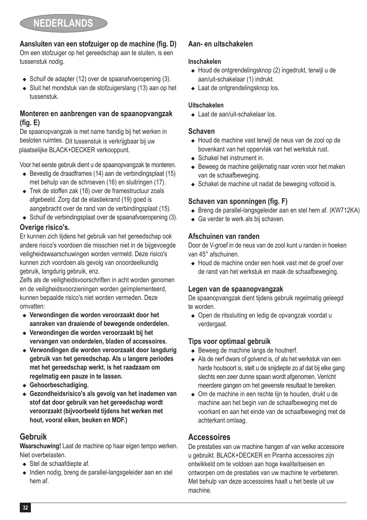

### **Aansluiten van een stofzuiger op de machine (fig. D)**

Om een stofzuiger op het gereedschap aan te sluiten, is een tussenstuk nodig.

- $\triangle$  Schuif de adapter (12) over de spaanafvoeropening (3).
- $\bullet$  Sluit het mondstuk van de stofzuigerslang (13) aan op het tussenstuk.

#### **Monteren en aanbrengen van de spaanopvangzak (fig. E)**

De spaanopvangzak is met name handig bij het werken in besloten ruimtes. Dit tussenstuk is verkrijgbaar bij uw plaatselijke BLACK+DECKER verkooppunt.

Voor het eerste gebruik dient u de spaanopvangzak te monteren.

- $\triangle$  Bevestig de draadframes (14) aan de verbindingsplaat (15) met behulp van de schroeven (16) en sluitringen (17).
- $\leftarrow$  Trek de stoffen zak (18) over de framestructuur zoals afgebeeld. Zorg dat de elastiekrand (19) goed is aangebracht over de rand van de verbindingsplaat (15).
- $\triangle$  Schuif de verbindingsplaat over de spaanafvoeropening (3).

#### **Overige risico's.**

Er kunnen zich tijdens het gebruik van het gereedschap ook andere risico's voordoen die misschien niet in de bijgevoegde veiligheidswaarschuwingen worden vermeld. Deze risico's kunnen zich voordoen als gevolg van onoordeelkundig gebruik, langdurig gebruik, enz.

Zelfs als de veiligheidsvoorschriften in acht worden genomen en de veiligheidsvoorzieningen worden geïmplementeerd, kunnen bepaalde risico's niet worden vermeden. Deze omvatten:

- <sup>u</sup> **Verwondingen die worden veroorzaakt door het aanraken van draaiende of bewegende onderdelen.**
- <sup>u</sup> **Verwondingen die worden veroorzaakt bij het vervangen van onderdelen, bladen of accessoires.**
- <sup>u</sup> **Verwondingen die worden veroorzaakt door langdurig gebruik van het gereedschap. Als u langere periodes met het gereedschap werkt, is het raadzaam om regelmatig een pauze in te lassen.**
- <sup>u</sup> **Gehoorbeschadiging.**
- <sup>u</sup> **Gezondheidsrisico's als gevolg van het inademen van stof dat door gebruik van het gereedschap wordt veroorzaakt (bijvoorbeeld tijdens het werken met hout, vooral eiken, beuken en MDF.)**

### **Gebruik**

**Waarschuwing!** Laat de machine op haar eigen tempo werken. Niet overbelasten.

- $\triangleleft$  Stel de schaafdiepte af.
- $\triangleleft$  Indien nodig, breng de parallel-langsgeleider aan en stel hem af.

### **Aan- en uitschakelen**

#### **Inschakelen**

- ◆ Houd de ontgrendelingsknop (2) ingedrukt, terwijl u de aan/uit-schakelaar (1) indrukt.
- $\triangle$  Laat de ontgrendelingsknop los.

#### **Uitschakelen**

 $\triangle$  Laat de aan/uit-schakelaar los.

#### **Schaven**

- ◆ Houd de machine vast terwijl de neus van de zool op de bovenkant van het oppervlak van het werkstuk rust.
- $\triangle$  Schakel het instrument in.
- $\triangle$  Beweeg de machine gelijkmatig naar voren voor het maken van de schaafbeweging.
- $\triangle$  Schakel de machine uit nadat de beweging voltooid is.

#### **Schaven van sponningen (fig. F)**

- $\triangle$  Breng de parallel-langsgeleider aan en stel hem af. (KW712KA)
- $\triangleleft$  Ga verder te werk als bij schaven.

#### **Afschuinen van randen**

Door de V-groef in de neus van de zool kunt u randen in hoeken van 45° afschuinen.

◆ Houd de machine onder een hoek vast met de groef over de rand van het werkstuk en maak de schaafbeweging.

#### **Legen van de spaanopvangzak**

De spaanopvangzak dient tijdens gebruik regelmatig geleegd te worden.

◆ Open de ritssluiting en ledig de opvangzak voordat u verdergaat.

### **Tips voor optimaal gebruik**

- $\triangleleft$  Beweeg de machine langs de houtnerf.
- $\triangle$  Als de nerf dwars of golvend is, of als het werkstuk van een harde houtsoort is, stelt u de snijdiepte zo af dat bij elke gang slechts een zeer dunne spaan wordt afgenomen. Verricht meerdere gangen om het gewenste resultaat te bereiken.
- ◆ Om de machine in een rechte liin te houden, drukt u de machine aan het begin van de schaafbeweging met de voorkant en aan het einde van de schaafbeweging met de achterkant omlaag.

### **Accessoires**

De prestaties van uw machine hangen af van welke accessoire u gebruikt. BLACK+DECKER en Piranha accessoires zijn ontwikkeld om te voldoen aan hoge kwaliteitseisen en ontworpen om de prestaties van uw machine te verbeteren. Met behulp van deze accessoires haalt u het beste uit uw machine.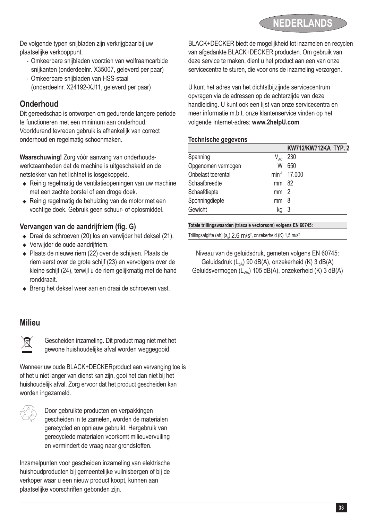

De volgende typen snijbladen zijn verkrijgbaar bij uw plaatselijke verkooppunt.

- Omkeerbare snijbladen voorzien van wolfraamcarbide snijkanten (onderdeelnr. X35007, geleverd per paar)
- Omkeerbare snijbladen van HSS-staal (onderdeelnr. X24192-XJ11, geleverd per paar)

### **Onderhoud**

Dit gereedschap is ontworpen om gedurende langere periode te functioneren met een minimum aan onderhoud. Voortdurend tevreden gebruik is afhankelijk van correct onderhoud en regelmatig schoonmaken.

**Waarschuwing!** Zorg vóór aanvang van onderhoudswerkzaamheden dat de machine is uitgeschakeld en de netstekker van het lichtnet is losgekoppeld.

- <sup>u</sup> Reinig regelmatig de ventilatieopeningen van uw machine met een zachte borstel of een droge doek.
- ◆ Reinig regelmatig de behuizing van de motor met een vochtige doek. Gebruik geen schuur- of oplosmiddel.

#### **Vervangen van de aandrijfriem (fig. G)**

- $\bullet$  Draai de schroeven (20) los en verwijder het deksel (21).
- $\triangleq$  Verwijder de oude aandrijfriem.
- ◆ Plaats de nieuwe riem (22) over de schijven. Plaats de riem eerst over de grote schijf (23) en vervolgens over de kleine schijf (24), terwijl u de riem gelijkmatig met de hand ronddraait.
- ◆ Breng het deksel weer aan en draai de schroeven vast.

### **Milieu**



Gescheiden inzameling. Dit product mag niet met het gewone huishoudelijke afval worden weggegooid.

Wanneer uw oude BLACK+DECKERproduct aan vervanging toe is of het u niet langer van dienst kan zijn, gooi het dan niet bij het huishoudelijk afval. Zorg ervoor dat het product gescheiden kan worden ingezameld.



z Door gebruikte producten en verpakkingen gescheiden in te zamelen, worden de materialen gerecycled en opnieuw gebruikt. Hergebruik van gerecyclede materialen voorkomt milieuvervuiling en vermindert de vraag naar grondstoffen.

Inzamelpunten voor gescheiden inzameling van elektrische huishoudproducten bij gemeentelijke vuilnisbergen of bij de verkoper waar u een nieuw product koopt, kunnen aan plaatselijke voorschriften gebonden zijn.

BLACK+DECKER biedt de mogelijkheid tot inzamelen en recyclen van afgedankte BLACK+DECKER producten. Om gebruik van deze service te maken, dient u het product aan een van onze servicecentra te sturen, die voor ons de inzameling verzorgen.

U kunt het adres van het dichtstbijzijnde servicecentrum opvragen via de adressen op de achterzijde van deze handleiding. U kunt ook een lijst van onze servicecentra en meer informatie m.b.t. onze klantenservice vinden op het volgende Internet-adres: **www.2helpU.com**

#### **Technische gegevens**

|                    |                 | KW712/KW712KA TYP. 2     |
|--------------------|-----------------|--------------------------|
| Spanning           |                 | $V_{AC}$ 230             |
| Opgenomen vermogen | W               | 650                      |
| Onbelast toerental |                 | min <sup>-1</sup> 17.000 |
| Schaafbreedte      | mm 82           |                          |
| Schaafdiepte       | mm <sub>2</sub> |                          |
| Sponningdiepte     | mm              | - 8                      |
| Gewicht            | kq              | - 3                      |

#### **Totale trillingswaarden (triaxale vectorsom) volgens EN 60745:**

Trillingsafgifte (ah)  $(a_h)$  2.6 m/s<sup>2</sup>, onzekerheid (K) 1,5 m/s<sup>2</sup>

Niveau van de geluidsdruk, gemeten volgens EN 60745: Geluidsdruk (L<sub>ca</sub>) 90 dB(A), onzekerheid (K) 3 dB(A) Geluidsvermogen (L<sub>wA</sub>) 105 dB(A), onzekerheid (K) 3 dB(A)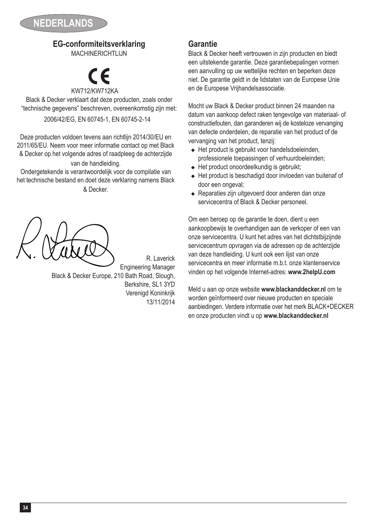

# **EG-conformiteitsverklaring**

MACHINERICHTLIJN

# KW712 % /KW712KA

Black & Decker verklaart dat deze producten, zoals onder "technische gegevens" beschreven, overeenkomstig zijn met: 2006/42/EG, EN 60745-1, EN 60745-2-14

Deze producten voldoen tevens aan richtlijn 2014/30/EU en 2011/65/EU. Neem voor meer informatie contact op met Black & Decker op het volgende adres of raadpleeg de achterzijde van de handleiding.

Ondergetekende is verantwoordelijk voor de compilatie van het technische bestand en doet deze verklaring namens Black & Decker.

R. Laverick Engineering Manager Black & Decker Europe, 210 Bath Road, Slough, Berkshire, SL1 3YD Verenigd Koninkrijk 13/11/2014

## **Garantie**

Black & Decker heeft vertrouwen in zijn producten en biedt een uitstekende garantie. Deze garantiebepalingen vormen een aanvulling op uw wettelijke rechten en beperken deze niet. De garantie geldt in de lidstaten van de Europese Unie en de Europese Vrijhandelsassociatie.

Mocht uw Black & Decker product binnen 24 maanden na datum van aankoop defect raken tengevolge van materiaal- of constructiefouten, dan garanderen wij de kosteloze vervanging van defecte onderdelen, de reparatie van het product of de vervanging van het product, tenzij:

- $\triangleleft$  Het product is gebruikt voor handelsdoeleinden, professionele toepassingen of verhuurdoeleinden;
- $\triangleleft$  Het product onoordeelkundig is gebruikt;
- ◆ Het product is beschadigd door invloeden van buitenaf of door een ongeval;
- $\triangle$  Reparaties zijn uitgevoerd door anderen dan onze servicecentra of Black & Decker personeel.

Om een beroep op de garantie te doen, dient u een aankoopbewijs te overhandigen aan de verkoper of een van onze servicecentra. U kunt het adres van het dichtstbijzijnde servicecentrum opvragen via de adressen op de achterzijde van deze handleiding. U kunt ook een lijst van onze servicecentra en meer informatie m.b.t. onze klantenservice vinden op het volgende Internet-adres: **www.2helpU.com**

Meld u aan op onze website **www.blackanddecker.nl** om te worden geïnformeerd over nieuwe producten en speciale aanbiedingen. Verdere informatie over het merk BLACK+DECKER en onze producten vindt u op **www.blackanddecker.nl**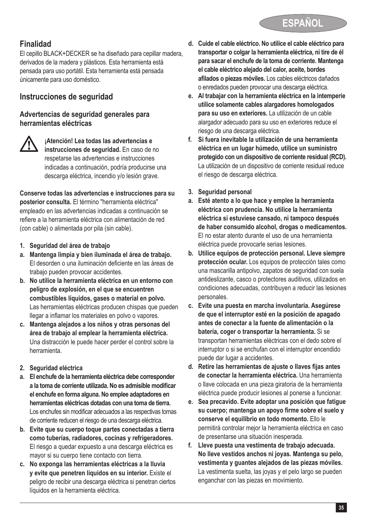

# **Finalidad**

El cepillo BLACK+DECKER se ha diseñado para cepillar madera, derivados de la madera y plásticos. Esta herramienta está pensada para uso portátil. Esta herramienta está pensada únicamente para uso doméstico.

# **Instrucciones de seguridad**

#### **Advertencias de seguridad generales para herramientas eléctricas**



@ **¡Atención! Lea todas las advertencias e instrucciones de seguridad.** En caso de no respetarse las advertencias e instrucciones indicadas a continuación, podría producirse una descarga eléctrica, incendio y/o lesión grave.

**Conserve todas las advertencias e instrucciones para su posterior consulta.** El término "herramienta eléctrica" empleado en las advertencias indicadas a continuación se refiere a la herramienta eléctrica con alimentación de red (con cable) o alimentada por pila (sin cable).

- **1. Seguridad del área de trabajo**
- **a. Mantenga limpia y bien iluminada el área de trabajo.** El desorden o una iluminación deficiente en las áreas de trabajo pueden provocar accidentes.
- **b. No utilice la herramienta eléctrica en un entorno con peligro de explosión, en el que se encuentren combustibles líquidos, gases o material en polvo.** Las herramientas eléctricas producen chispas que pueden llegar a inflamar los materiales en polvo o vapores.
- **c. Mantenga alejados a los niños y otras personas del área de trabajo al emplear la herramienta eléctrica.** Una distracción le puede hacer perder el control sobre la herramienta.
- **2. Seguridad eléctrica**
- **a. El enchufe de la herramienta eléctrica debe corresponder a la toma de corriente utilizada. No es admisible modificar el enchufe en forma alguna. No emplee adaptadores en herramientas eléctricas dotadas con una toma de tierra.** Los enchufes sin modificar adecuados a las respectivas tomas de corriente reducen el riesgo de una descarga eléctrica.
- **b. Evite que su cuerpo toque partes conectadas a tierra como tuberías, radiadores, cocinas y refrigeradores.** El riesgo a quedar expuesto a una descarga eléctrica es mayor si su cuerpo tiene contacto con tierra.
- **c. No exponga las herramientas eléctricas a la lluvia y evite que penetren líquidos en su interior.** Existe el peligro de recibir una descarga eléctrica si penetran ciertos líquidos en la herramienta eléctrica.
- **d. Cuide el cable eléctrico. No utilice el cable eléctrico para transportar o colgar la herramienta eléctrica, ni tire de él para sacar el enchufe de la toma de corriente. Mantenga el cable eléctrico alejado del calor, aceite, bordes afilados o piezas móviles.** Los cables eléctricos dañados o enredados pueden provocar una descarga eléctrica.
- **e. Al trabajar con la herramienta eléctrica en la intemperie utilice solamente cables alargadores homologados para su uso en exteriores.** La utilización de un cable alargador adecuado para su uso en exteriores reduce el riesgo de una descarga eléctrica.
- **f. Si fuera inevitable la utilización de una herramienta eléctrica en un lugar húmedo, utilice un suministro protegido con un dispositivo de corriente residual (RCD).** La utilización de un dispositivo de corriente residual reduce el riesgo de descarga eléctrica.
- **3. Seguridad personal**
- **a. Esté atento a lo que hace y emplee la herramienta eléctrica con prudencia. No utilice la herramienta eléctrica si estuviese cansado, ni tampoco después de haber consumido alcohol, drogas o medicamentos.** El no estar atento durante el uso de una herramienta eléctrica puede provocarle serias lesiones.
- **b. Utilice equipos de protección personal. Lleve siempre protección ocular.** Los equipos de protección tales como una mascarilla antipolvo, zapatos de seguridad con suela antideslizante, casco o protectores auditivos, utilizados en condiciones adecuadas, contribuyen a reducir las lesiones personales.
- **c. Evite una puesta en marcha involuntaria. Asegúrese de que el interruptor esté en la posición de apagado antes de conectar a la fuente de alimentación o la batería, coger o transportar la herramienta.** Si se transportan herramientas eléctricas con el dedo sobre el interruptor o si se enchufan con el interruptor encendido puede dar lugar a accidentes.
- **d. Retire las herramientas de ajuste o llaves fijas antes de conectar la herramienta eléctrica.** Una herramienta o llave colocada en una pieza giratoria de la herramienta eléctrica puede producir lesiones al ponerse a funcionar.
- **e. Sea precavido. Evite adoptar una posición que fatigue su cuerpo; mantenga un apoyo firme sobre el suelo y conserve el equilibrio en todo momento.** Ello le permitirá controlar mejor la herramienta eléctrica en caso de presentarse una situación inesperada.
- **f. Lleve puesta una vestimenta de trabajo adecuada. No lleve vestidos anchos ni joyas. Mantenga su pelo, vestimenta y guantes alejados de las piezas móviles.** La vestimenta suelta, las joyas y el pelo largo se pueden enganchar con las piezas en movimiento.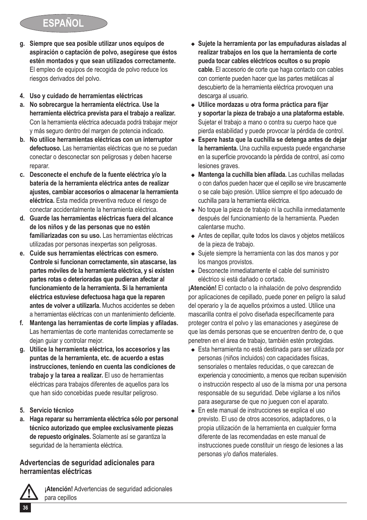# **ESPAÑOL**

- **g. Siempre que sea posible utilizar unos equipos de aspiración o captación de polvo, asegúrese que éstos estén montados y que sean utilizados correctamente.** El empleo de equipos de recogida de polvo reduce los riesgos derivados del polvo.
- **4. Uso y cuidado de herramientas eléctricas**
- **a. No sobrecargue la herramienta eléctrica. Use la herramienta eléctrica prevista para el trabajo a realizar.** Con la herramienta eléctrica adecuada podrá trabajar mejor y más seguro dentro del margen de potencia indicado.
- **b. No utilice herramientas eléctricas con un interruptor defectuoso.** Las herramientas eléctricas que no se puedan conectar o desconectar son peligrosas y deben hacerse reparar.
- **c. Desconecte el enchufe de la fuente eléctrica y/o la batería de la herramienta eléctrica antes de realizar ajustes, cambiar accesorios o almacenar la herramienta eléctrica.** Esta medida preventiva reduce el riesgo de conectar accidentalmente la herramienta eléctrica.
- **d. Guarde las herramientas eléctricas fuera del alcance de los niños y de las personas que no estén familiarizadas con su uso.** Las herramientas eléctricas utilizadas por personas inexpertas son peligrosas.
- **e. Cuide sus herramientas eléctricas con esmero. Controle si funcionan correctamente, sin atascarse, las partes móviles de la herramienta eléctrica, y si existen partes rotas o deterioradas que pudieran afectar al funcionamiento de la herramienta. Si la herramienta eléctrica estuviese defectuosa haga que la reparen antes de volver a utilizarla.** Muchos accidentes se deben a herramientas eléctricas con un mantenimiento deficiente.
- **f. Mantenga las herramientas de corte limpias y afiladas.** Las herramientas de corte mantenidas correctamente se dejan guiar y controlar mejor.
- **g. Utilice la herramienta eléctrica, los accesorios y las puntas de la herramienta, etc. de acuerdo a estas instrucciones, teniendo en cuenta las condiciones de trabajo y la tarea a realizar.** El uso de herramientas eléctricas para trabajos diferentes de aquellos para los que han sido concebidas puede resultar peligroso.
- **5. Servicio técnico**
- **a. Haga reparar su herramienta eléctrica sólo por personal técnico autorizado que emplee exclusivamente piezas de repuesto originales.** Solamente así se garantiza la seguridad de la herramienta eléctrica.

### **Advertencias de seguridad adicionales para herramientas eléctricas**



@ **¡Atención!** Advertencias de seguridad adicionales para cepillos

- <sup>u</sup> **Sujete la herramienta por las empuñaduras aisladas al realizar trabajos en los que la herramienta de corte pueda tocar cables eléctricos ocultos o su propio cable.** El accesorio de corte que haga contacto con cables con corriente pueden hacer que las partes metálicas al descubierto de la herramienta eléctrica provoquen una descarga al usuario.
- <sup>u</sup> **Utilice mordazas u otra forma práctica para fijar y soportar la pieza de trabajo a una plataforma estable.**  Sujetar el trabajo a mano o contra su cuerpo hace que pierda estabilidad y puede provocar la pérdida de control.
- ◆ Espere hasta que la cuchilla se detenga antes de dejar **la herramienta.** Una cuchilla expuesta puede engancharse en la superficie provocando la pérdida de control, así como lesiones graves.
- <sup>u</sup> **Mantenga la cuchilla bien afilada.** Las cuchillas melladas o con daños pueden hacer que el cepillo se vire bruscamente o se cale bajo presión. Utilice siempre el tipo adecuado de cuchilla para la herramienta eléctrica.
- ◆ No toque la pieza de trabajo ni la cuchilla inmediatamente después del funcionamiento de la herramienta. Pueden calentarse mucho.
- ◆ Antes de cepillar, quite todos los clavos y objetos metálicos de la pieza de trabajo.
- ◆ Suiete siempre la herramienta con las dos manos y por los mangos provistos.
- ◆ Desconecte inmediatamente el cable del suministro eléctrico si está dañado o cortado.

**¡Atención!** El contacto o la inhalación de polvo desprendido por aplicaciones de cepillado, puede poner en peligro la salud del operario y la de aquellos próximos a usted. Utilice una mascarilla contra el polvo diseñada específicamente para proteger contra el polvo y las emanaciones y asegúrese de que las demás personas que se encuentren dentro de, o que penetren en el área de trabajo, también estén protegidas.

- ◆ Esta herramienta no está destinada para ser utilizada por personas (niños incluidos) con capacidades físicas, sensoriales o mentales reducidas, o que carezcan de experiencia y conocimiento, a menos que reciban supervisión o instrucción respecto al uso de la misma por una persona responsable de su seguridad. Debe vigilarse a los niños para asegurarse de que no jueguen con el aparato.
- En este manual de instrucciones se explica el uso previsto. El uso de otros accesorios, adaptadores, o la propia utilización de la herramienta en cualquier forma diferente de las recomendadas en este manual de instrucciones puede constituir un riesgo de lesiones a las personas y/o daños materiales.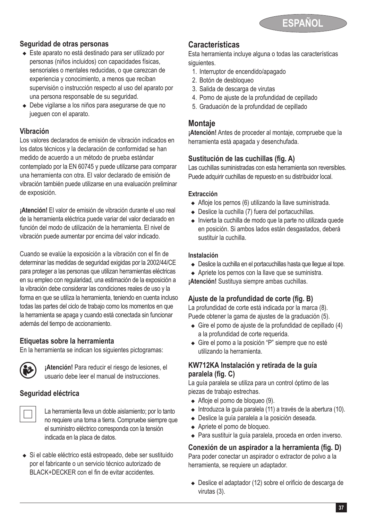

#### **Seguridad de otras personas**

- ◆ Este aparato no está destinado para ser utilizado por personas (niños incluidos) con capacidades físicas, sensoriales o mentales reducidas, o que carezcan de experiencia y conocimiento, a menos que reciban supervisión o instrucción respecto al uso del aparato por una persona responsable de su seguridad.
- ◆ Debe vigilarse a los niños para asegurarse de que no jueguen con el aparato.

#### **Vibración**

Los valores declarados de emisión de vibración indicados en los datos técnicos y la declaración de conformidad se han medido de acuerdo a un método de prueba estándar contemplado por la EN 60745 y puede utilizarse para comparar una herramienta con otra. El valor declarado de emisión de vibración también puede utilizarse en una evaluación preliminar de exposición.

**¡Atención!** El valor de emisión de vibración durante el uso real de la herramienta eléctrica puede variar del valor declarado en función del modo de utilización de la herramienta. El nivel de vibración puede aumentar por encima del valor indicado.

Cuando se evalúe la exposición a la vibración con el fin de determinar las medidas de seguridad exigidas por la 2002/44/CE para proteger a las personas que utilizan herramientas eléctricas en su empleo con regularidad, una estimación de la exposición a la vibración debe considerar las condiciones reales de uso y la forma en que se utiliza la herramienta, teniendo en cuenta incluso todas las partes del ciclo de trabajo como los momentos en que la herramienta se apaga y cuando está conectada sin funcionar además del tiempo de accionamiento.

#### **Etiquetas sobre la herramienta**

En la herramienta se indican los siguientes pictogramas:



**(3) ¡Atención!** Para reducir el riesgo de lesiones, el<br>usuario debe leer el manual de instrucciones.

### **Seguridad eléctrica**

La herramienta lleva un doble aislamiento; por lo tanto no requiere una toma a tierra. Compruebe siempre que el suministro eléctrico corresponda con la tensión indicada en la placa de datos.

◆ Si el cable eléctrico está estropeado, debe ser sustituido por el fabricante o un servicio técnico autorizado de BLACK+DECKER con el fin de evitar accidentes.

### **Características**

Esta herramienta incluye alguna o todas las características siguientes.

- 1. Interruptor de encendido/apagado
- 2. Botón de desbloqueo
- 3. Salida de descarga de virutas
- 4. Pomo de ajuste de la profundidad de cepillado
- 5. Graduación de la profundidad de cepillado

### **Montaje**

**¡Atención!** Antes de proceder al montaje, compruebe que la herramienta está apagada y desenchufada.

#### **Sustitución de las cuchillas (fig. A)**

Las cuchillas suministradas con esta herramienta son reversibles. Puede adquirir cuchillas de repuesto en su distribuidor local.

#### **Extracción**

- $\triangle$  Afloie los pernos (6) utilizando la llave suministrada.
- $\bullet$  Deslice la cuchilla (7) fuera del portacuchillas.
- <sup>u</sup> Invierta la cuchilla de modo que la parte no utilizada quede en posición. Si ambos lados están desgastados, deberá sustituir la cuchilla.

#### **Instalación**

- ◆ Deslice la cuchilla en el portacuchillas hasta que lleque al tope.
- ◆ Apriete los pernos con la llave que se suministra.

**¡Atención!** Sustituya siempre ambas cuchillas.

### **Ajuste de la profundidad de corte (fig. B)**

La profundidad de corte está indicada por la marca (8). Puede obtener la gama de ajustes de la graduación (5).

- $\triangle$  Gire el pomo de ajuste de la profundidad de cepillado (4) a la profundidad de corte requerida.
- ◆ Gire el pomo a la posición "P" siempre que no esté utilizando la herramienta.

#### **KW712KA Instalación y retirada de la guía paralela (fig. C)**

La guía paralela se utiliza para un control óptimo de las piezas de trabajo estrechas.

- $\triangleleft$  Afloje el pomo de bloqueo (9).
- $\bullet$  Introduzca la quía paralela (11) a través de la abertura (10).
- ◆ Deslice la quía paralela a la posición deseada.
- ◆ Apriete el pomo de bloqueo.
- ◆ Para sustituir la guía paralela, proceda en orden inverso.

#### **Conexión de un aspirador a la herramienta (fig. D)**

Para poder conectar un aspirador o extractor de polvo a la herramienta, se requiere un adaptador.

◆ Deslice el adaptador (12) sobre el orificio de descarga de virutas (3).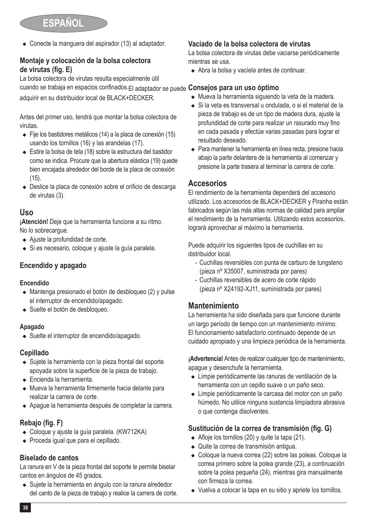$\bullet$  Conecte la manguera del aspirador (13) al adaptador.

#### **Montaje y colocación de la bolsa colectora de virutas (fig. E)**

La bolsa colectora de virutas resulta especialmente útil cuando se trabaja en espacios confinados.El adaptador se puede **Consejos para un uso óptimo** adquirir en su distribuidor local de BLACK+DECKER.

Antes del primer uso, tendrá que montar la bolsa colectora de virutas.

- $\leftarrow$  Fije los bastidores metálicos (14) a la placa de conexión (15) usando los tornillos (16) y las arandelas (17).
- ◆ Estire la bolsa de tela (18) sobre la estructura del bastidor como se indica. Procure que la abertura elástica (19) quede bien encajada alrededor del borde de la placa de conexión (15).
- ◆ Deslice la placa de conexión sobre el orificio de descarga de virutas (3).

### **Uso**

**¡Atención!** Deje que la herramienta funcione a su ritmo. No lo sobrecargue.

- ◆ Aiuste la profundidad de corte.
- ◆ Si es necesario, coloque y ajuste la quía paralela.

### **Encendido y apagado**

#### **Encendido**

- ◆ Mantenga presionado el botón de desbloqueo (2) y pulse el interruptor de encendido/apagado.
- ◆ Suelte el botón de desbloqueo.

#### **Apagado**

 $\bullet$  Suelte el interruptor de encendido/apagado.

### **Cepillado**

- ◆ Sujete la herramienta con la pieza frontal del soporte apoyada sobre la superficie de la pieza de trabajo.
- $\triangle$  Encienda la herramienta.
- <sup>u</sup> Mueva la herramienta firmemente hacia delante para realizar la carrera de corte.
- <sup>u</sup> Apague la herramienta después de completar la carrera.

### **Rebajo (fig. F)**

- $\bullet$  Coloque y ajuste la quía paralela. (KW712KA)
- ◆ Proceda igual que para el cepillado.

### **Biselado de cantos**

La ranura en V de la pieza frontal del soporte le permite biselar cantos en ángulos de 45 grados.

◆ Suiete la herramienta en ángulo con la ranura alrededor del canto de la pieza de trabajo y realice la carrera de corte.

#### **Vaciado de la bolsa colectora de virutas**

La bolsa colectora de virutas debe vaciarse periódicamente mientras se usa.

◆ Abra la bolsa y vacíela antes de continuar.

- $\bullet$  Mueva la herramienta siguiendo la veta de la madera.
- <sup>u</sup> Si la veta es transversal u ondulada, o si el material de la pieza de trabajo es de un tipo de madera dura, ajuste la profundidad de corte para realizar un rasurado muy fino en cada pasada y efectúe varias pasadas para lograr el resultado deseado.
- ◆ Para mantener la herramienta en línea recta, presione hacia abajo la parte delantera de la herramienta al comenzar y presione la parte trasera al terminar la carrera de corte.

### **Accesorios**

El rendimiento de la herramienta dependerá del accesorio utilizado. Los accesorios de BLACK+DECKER y Piranha están fabricados según las más altas normas de calidad para ampliar el rendimiento de la herramienta. Utilizando estos accesorios, logrará aprovechar al máximo la herramienta.

Puede adquirir los siguientes tipos de cuchillas en su distribuidor local.

- Cuchillas reversibles con punta de carburo de tungsteno (pieza nº X35007, suministrada por pares)
- Cuchillas reversibles de acero de corte rápido (pieza nº X24192-XJ11, suministrada por pares)

### **Mantenimiento**

La herramienta ha sido diseñada para que funcione durante un largo período de tiempo con un mantenimiento mínimo. El funcionamiento satisfactorio continuado depende de un cuidado apropiado y una limpieza periódica de la herramienta.

**¡Advertencia!** Antes de realizar cualquier tipo de mantenimiento, apague y desenchufe la herramienta.

- ◆ Limpie periódicamente las ranuras de ventilación de la herramienta con un cepillo suave o un paño seco.
- Limpie periódicamente la carcasa del motor con un paño húmedo. No utilice ninguna sustancia limpiadora abrasiva o que contenga disolventes.

### **Sustitución de la correa de transmisión (fig. G)**

- $\triangleleft$  Afloje los tornillos (20) y quite la tapa (21).
- ◆ Quite la correa de transmisión antigua.
- ◆ Coloque la nueva correa (22) sobre las poleas. Coloque la correa primero sobre la polea grande (23), a continuación sobre la polea pequeña (24), mientras gira manualmente con firmeza la correa.
- $\bullet$  Vuelva a colocar la tapa en su sitio y apriete los tornillos.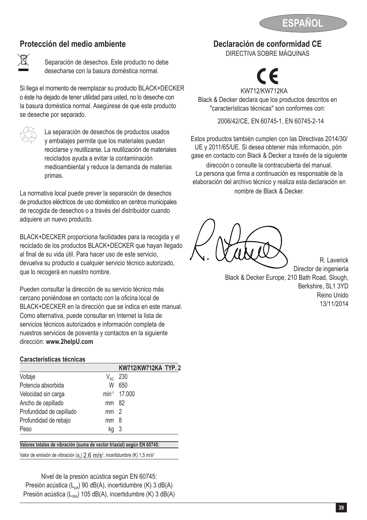

### **Protección del medio ambiente**



Separación de desechos. Este producto no debe desecharse con la basura doméstica normal.

Si llega el momento de reemplazar su producto BLACK+DECKER o éste ha dejado de tener utilidad para usted, no lo deseche con la basura doméstica normal. Asegúrese de que este producto se deseche por separado.



 $\overline{\text{2}}$  La separación de desechos de productos usados<br>y embalajes permite que los materiales puedan reciclarse y reutilizarse. La reutilización de materiales reciclados ayuda a evitar la contaminación medioambiental y reduce la demanda de materias primas.

La normativa local puede prever la separación de desechos de productos eléctricos de uso doméstico en centros municipales de recogida de desechos o a través del distribuidor cuando adquiere un nuevo producto.

BLACK+DECKER proporciona facilidades para la recogida y el reciclado de los productos BLACK+DECKER que hayan llegado al final de su vida útil. Para hacer uso de este servicio, devuelva su producto a cualquier servicio técnico autorizado, que lo recogerá en nuestro nombre.

Pueden consultar la dirección de su servicio técnico más cercano poniéndose en contacto con la oficina local de BLACK+DECKER en la dirección que se indica en este manual. Como alternativa, puede consultar en Internet la lista de servicios técnicos autorizados e información completa de nuestros servicios de posventa y contactos en la siguiente dirección: **www.2helpU.com**

#### **Características técnicas**

|                          |                 | <b>KW712/KW712KA TYP. 2</b> |
|--------------------------|-----------------|-----------------------------|
| Voltaje                  | $V_{AC}$        | - 230                       |
| Potencia absorbida       | W               | 650                         |
| Velocidad sin carga      |                 | min <sup>-1</sup> 17.000    |
| Ancho de cepillado       | mm 82           |                             |
| Profundidad de cepillado | mm <sub>2</sub> |                             |
| Profundidad de rebajo    | mm              | -8                          |
| Peso                     | kq              | - 3                         |

**Valores totales de vibración (suma de vector triaxial) según EN 60745:**

Valor de emisión de vibración (a<sub>h</sub>) 2.6 m/s<sup>2</sup>, incertidumbre (K) 1,5 m/s<sup>2</sup>

Nivel de la presión acústica según EN 60745: Presión acústica ( $L_{pA}$ ) 90 dB(A), incertidumbre (K) 3 dB(A) Presión acústica (L<sub>WA</sub>) 105 dB(A), incertidumbre (K) 3 dB(A) **Declaración de conformidad CE**

DIRECTIVA SOBRE MÁQUINAS



Black & Decker declara que los productos descritos en "características técnicas" son conformes con:

2006/42/CE, EN 60745-1, EN 60745-2-14

Estos productos también cumplen con las Directivas 2014/30/ UE y 2011/65/UE. Si desea obtener más información, pón gase en contacto con Black & Decker a través de la siguiente

dirección o consulte la contracubierta del manual. La persona que firma a continuación es responsable de la elaboración del archivo técnico y realiza esta declaración en nombre de Black & Decker.

R. Laverick Director de ingeniería Black & Decker Europe, 210 Bath Road, Slough, Berkshire, SL1 3YD Reino Unido 13/11/2014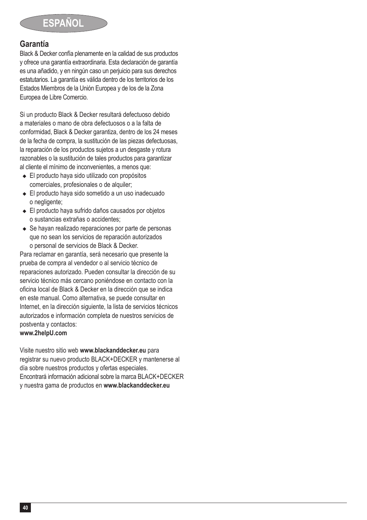### **Garantía**

Black & Decker confía plenamente en la calidad de sus productos y ofrece una garantía extraordinaria. Esta declaración de garantía es una añadido, y en ningún caso un perjuicio para sus derechos estatutarios. La garantía es válida dentro de los territorios de los Estados Miembros de la Unión Europea y de los de la Zona Europea de Libre Comercio.

Si un producto Black & Decker resultará defectuoso debido a materiales o mano de obra defectuosos o a la falta de conformidad, Black & Decker garantiza, dentro de los 24 meses de la fecha de compra, la sustitución de las piezas defectuosas, la reparación de los productos sujetos a un desgaste y rotura razonables o la sustitución de tales productos para garantizar al cliente el mínimo de inconvenientes, a menos que:

- ◆ El producto haya sido utilizado con propósitos comerciales, profesionales o de alquiler:
- ◆ El producto haya sido sometido a un uso inadecuado o negligente;
- ◆ El producto haya sufrido daños causados por objetos o sustancias extrañas o accidentes;
- $\triangle$  Se hayan realizado reparaciones por parte de personas que no sean los servicios de reparación autorizados o personal de servicios de Black & Decker.

Para reclamar en garantía, será necesario que presente la prueba de compra al vendedor o al servicio técnico de reparaciones autorizado. Pueden consultar la dirección de su servicio técnico más cercano poniéndose en contacto con la oficina local de Black & Decker en la dirección que se indica en este manual. Como alternativa, se puede consultar en Internet, en la dirección siguiente, la lista de servicios técnicos autorizados e información completa de nuestros servicios de postventa y contactos: **www.2helpU.com**

Visite nuestro sitio web **www.blackanddecker.eu** para registrar su nuevo producto BLACK+DECKER y mantenerse al día sobre nuestros productos y ofertas especiales. Encontrará información adicional sobre la marca BLACK+DECKER y nuestra gama de productos en **www.blackanddecker.eu**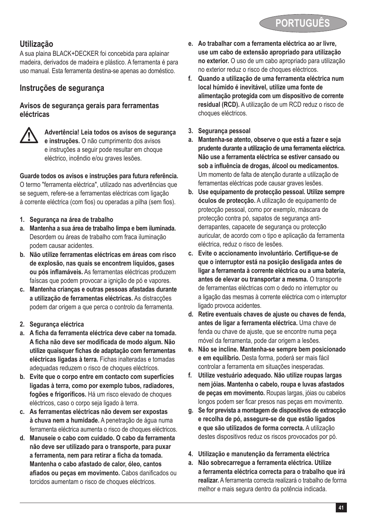

### **Utilização**

A sua plaina BLACK+DECKER foi concebida para aplainar madeira, derivados de madeira e plástico. A ferramenta é para uso manual. Esta ferramenta destina-se apenas ao doméstico.

### **Instruções de segurança**

#### **Avisos de segurança gerais para ferramentas eléctricas**



@ **Advertência! Leia todos os avisos de segurança e instruções.** O não cumprimento dos avisos e instruções a seguir pode resultar em choque eléctrico, incêndio e/ou graves lesões.

**Guarde todos os avisos e instruções para futura referência.** O termo "ferramenta eléctrica", utilizado nas advertências que se seguem, refere-se a ferramentas eléctricas com ligação à corrente eléctrica (com fios) ou operadas a pilha (sem fios).

- **1. Segurança na área de trabalho**
- **a. Mantenha a sua área de trabalho limpa e bem iluminada.** Desordem ou áreas de trabalho com fraca iluminação podem causar acidentes.
- **b. Não utilize ferramentas eléctricas em áreas com risco de explosão, nas quais se encontrem líquidos, gases ou pós inflamáveis.** As ferramentas eléctricas produzem faíscas que podem provocar a ignição de pó e vapores.
- **c. Mantenha crianças e outras pessoas afastadas durante a utilização de ferramentas eléctricas.** As distracções podem dar origem a que perca o controlo da ferramenta.
- **2. Segurança eléctrica**
- **a. A ficha da ferramenta eléctrica deve caber na tomada. A ficha não deve ser modificada de modo algum. Não utilize quaisquer fichas de adaptação com ferramentas eléctricas ligadas à terra.** Fichas inalteradas e tomadas adequadas reduzem o risco de choques eléctricos.
- **b. Evite que o corpo entre em contacto com superfícies ligadas à terra, como por exemplo tubos, radiadores, fogões e frigoríficos.** Há um risco elevado de choques eléctricos, caso o corpo seja ligado à terra.
- **c. As ferramentas eléctricas não devem ser expostas à chuva nem a humidade.** A penetração de água numa ferramenta eléctrica aumenta o risco de choques eléctricos.
- **d. Manuseie o cabo com cuidado. O cabo da ferramenta não deve ser utilizado para o transporte, para puxar a ferramenta, nem para retirar a ficha da tomada. Mantenha o cabo afastado de calor, óleo, cantos afiados ou peças em movimento.** Cabos danificados ou torcidos aumentam o risco de choques eléctricos.
- **e. Ao trabalhar com a ferramenta eléctrica ao ar livre, use um cabo de extensão apropriado para utilização no exterior.** O uso de um cabo apropriado para utilização no exterior reduz o risco de choques eléctricos.
- **f. Quando a utilização de uma ferramenta eléctrica num local húmido é inevitável, utilize uma fonte de alimentação protegida com um dispositivo de corrente residual (RCD).** A utilização de um RCD reduz o risco de choques eléctricos.
- **3. Segurança pessoal**
- **a. Mantenha-se atento, observe o que está a fazer e seja prudente durante a utilização de uma ferramenta eléctrica. Não use a ferramenta eléctrica se estiver cansado ou sob a influência de drogas, álcool ou medicamentos.** Um momento de falta de atenção durante a utilização de ferramentas eléctricas pode causar graves lesões.
- **b. Use equipamento de protecção pessoal. Utilize sempre óculos de protecção.** A utilização de equipamento de protecção pessoal, como por exemplo, máscara de protecção contra pó, sapatos de segurança antiderrapantes, capacete de segurança ou protecção auricular, de acordo com o tipo e aplicação da ferramenta eléctrica, reduz o risco de lesões.
- **c. Evite o accionamento involuntário. Certifique-se de que o interruptor está na posição desligada antes de ligar a ferramenta à corrente eléctrica ou a uma bateria, antes de elevar ou transportar a mesma.** O transporte de ferramentas eléctricas com o dedo no interruptor ou a ligação das mesmas à corrente eléctrica com o interruptor ligado provoca acidentes.
- **d. Retire eventuais chaves de ajuste ou chaves de fenda, antes de ligar a ferramenta eléctrica.** Uma chave de fenda ou chave de ajuste, que se encontre numa peça móvel da ferramenta, pode dar origem a lesões.
- **e. Não se incline. Mantenha-se sempre bem posicionado e em equilíbrio.** Desta forma, poderá ser mais fácil controlar a ferramenta em situações inesperadas.
- **f. Utilize vestuário adequado. Não utilize roupas largas nem jóias. Mantenha o cabelo, roupa e luvas afastados de peças em movimento.** Roupas largas, jóias ou cabelos longos podem ser ficar presos nas peças em movimento.
- **g. Se for prevista a montagem de dispositivos de extracção e recolha de pó, assegure-se de que estão ligados e que são utilizados de forma correcta.** A utilização destes dispositivos reduz os riscos provocados por pó.
- **4. Utilização e manutenção da ferramenta eléctrica**
- **a. Não sobrecarregue a ferramenta eléctrica. Utilize a ferramenta eléctrica correcta para o trabalho que irá realizar.** A ferramenta correcta realizará o trabalho de forma melhor e mais segura dentro da potência indicada.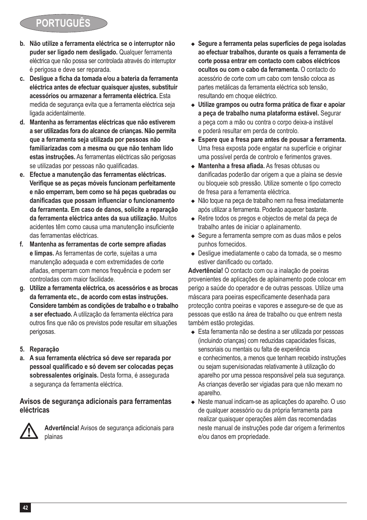## **PORTUGUÉ**

- **b. Não utilize a ferramenta eléctrica se o interruptor não puder ser ligado nem desligado.** Qualquer ferramenta eléctrica que não possa ser controlada através do interruptor é perigosa e deve ser reparada.
- **c. Desligue a ficha da tomada e/ou a bateria da ferramenta eléctrica antes de efectuar quaisquer ajustes, substituir acessórios ou armazenar a ferramenta eléctrica.** Esta medida de segurança evita que a ferramenta eléctrica seja ligada acidentalmente.
- **d. Mantenha as ferramentas eléctricas que não estiverem a ser utilizadas fora do alcance de crianças. Não permita que a ferramenta seja utilizada por pessoas não familiarizadas com a mesma ou que não tenham lido estas instruções.** As ferramentas eléctricas são perigosas se utilizadas por pessoas não qualificadas.
- **e. Efectue a manutenção das ferramentas eléctricas. Verifique se as peças móveis funcionam perfeitamente e não emperram, bem como se há peças quebradas ou danificadas que possam influenciar o funcionamento da ferramenta. Em caso de danos, solicite a reparação da ferramenta eléctrica antes da sua utilização.** Muitos acidentes têm como causa uma manutenção insuficiente das ferramentas eléctricas.
- **f. Mantenha as ferramentas de corte sempre afiadas e limpas.** As ferramentas de corte, sujeitas a uma manutenção adequada e com extremidades de corte afiadas, emperram com menos frequência e podem ser controladas com maior facilidade.
- **g. Utilize a ferramenta eléctrica, os acessórios e as brocas da ferramenta etc., de acordo com estas instruções. Considere também as condições de trabalho e o trabalho a ser efectuado.** A utilização da ferramenta eléctrica para outros fins que não os previstos pode resultar em situações perigosas.
- **5. Reparação**
- **a. A sua ferramenta eléctrica só deve ser reparada por pessoal qualificado e só devem ser colocadas peças sobressalentes originais.** Desta forma, é assegurada a segurança da ferramenta eléctrica.

#### **Avisos de segurança adicionais para ferramentas eléctricas**



@ **Advertência!** Avisos de segurança adicionais para plainas

- Segure a ferramenta pelas superfícies de pega isoladas **ao efectuar trabalhos, durante os quais a ferramenta de corte possa entrar em contacto com cabos eléctricos ocultos ou com o cabo da ferramenta.** O contacto do acessório de corte com um cabo com tensão coloca as partes metálicas da ferramenta eléctrica sob tensão, resultando em choque eléctrico.
- <sup>u</sup> **Utilize grampos ou outra forma prática de fixar e apoiar a peça de trabalho numa plataforma estável.** Segurar a peça com a mão ou contra o corpo deixa-a instável e poderá resultar em perda de controlo.
- $\triangle$  Espere que a fresa pare antes de pousar a ferramenta. Uma fresa exposta pode engatar na superfície e originar uma possível perda de controlo e ferimentos graves.
- <sup>u</sup> **Mantenha a fresa afiada.** As fresas obtusas ou danificadas poderão dar origem a que a plaina se desvie ou bloqueie sob pressão. Utilize somente o tipo correcto de fresa para a ferramenta eléctrica.
- ◆ Não toque na peça de trabalho nem na fresa imediatamente após utilizar a ferramenta. Poderão aquecer bastante.
- ◆ Retire todos os pregos e objectos de metal da peça de trabalho antes de iniciar o aplainamento.
- ◆ Segure a ferramenta sempre com as duas mãos e pelos punhos fornecidos.
- ◆ Deslique imediatamente o cabo da tomada, se o mesmo estiver danificado ou cortado.

**Advertência!** O contacto com ou a inalação de poeiras provenientes de aplicações de aplainamento pode colocar em perigo a saúde do operador e de outras pessoas. Utilize uma máscara para poeiras especificamente desenhada para protecção contra poeiras e vapores e assegure-se de que as pessoas que estão na área de trabalho ou que entrem nesta também estão protegidas.

- ◆ Esta ferramenta não se destina a ser utilizada por pessoas (incluindo crianças) com reduzidas capacidades físicas, sensoriais ou mentais ou falta de experiência e conhecimentos, a menos que tenham recebido instruções ou sejam supervisionadas relativamente à utilização do aparelho por uma pessoa responsável pela sua segurança. As crianças deverão ser vigiadas para que não mexam no aparelho.
- ◆ Neste manual indicam-se as aplicações do aparelho. O uso de qualquer acessório ou da própria ferramenta para realizar quaisquer operações além das recomendadas neste manual de instruções pode dar origem a ferimentos e/ou danos em propriedade.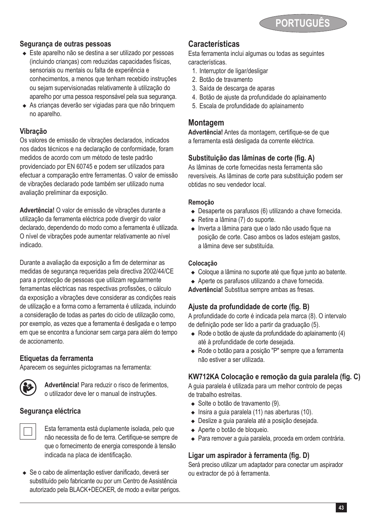

#### **Segurança de outras pessoas**

- ◆ Este aparelho não se destina a ser utilizado por pessoas (incluindo crianças) com reduzidas capacidades físicas, sensoriais ou mentais ou falta de experiência e conhecimentos, a menos que tenham recebido instruções ou sejam supervisionadas relativamente à utilização do aparelho por uma pessoa responsável pela sua segurança.
- ◆ As criancas deverão ser vigiadas para que não brinquem no aparelho.

#### **Vibração**

Os valores de emissão de vibrações declarados, indicados nos dados técnicos e na declaração de conformidade, foram medidos de acordo com um método de teste padrão providenciado por EN 60745 e podem ser utilizados para efectuar a comparação entre ferramentas. O valor de emissão de vibrações declarado pode também ser utilizado numa avaliação preliminar da exposição.

**Advertência!** O valor de emissão de vibrações durante a utilização da ferramenta eléctrica pode divergir do valor declarado, dependendo do modo como a ferramenta é utilizada. O nível de vibrações pode aumentar relativamente ao nível indicado.

Durante a avaliação da exposição a fim de determinar as medidas de segurança requeridas pela directiva 2002/44/CE para a protecção de pessoas que utilizam regularmente ferramentas eléctricas nas respectivas profissões, o cálculo da exposição a vibrações deve considerar as condições reais de utilização e a forma como a ferramenta é utilizada, incluindo a consideração de todas as partes do ciclo de utilização como, por exemplo, as vezes que a ferramenta é desligada e o tempo em que se encontra a funcionar sem carga para além do tempo de accionamento.

#### **Etiquetas da ferramenta**

Aparecem os seguintes pictogramas na ferramenta:



Advertência! Para reduzir o risco de ferimentos,<br>
o utilizador deve ler o manual de instruções.

#### **Segurança eléctrica**



# Esta ferramenta está duplamente isolada, pelo que não necessita de fio de terra. Certifique-se sempre de que o fornecimento de energia corresponde à tensão indicada na placa de identificação.

◆ Se o cabo de alimentação estiver danificado, deverá ser substituído pelo fabricante ou por um Centro de Assistência autorizado pela BLACK+DECKER, de modo a evitar perigos.

#### **Características**

Esta ferramenta inclui algumas ou todas as seguintes características.

- 1. Interruptor de ligar/desligar
- 2. Botão de travamento
- 3. Saída de descarga de aparas
- 4. Botão de ajuste da profundidade do aplainamento
- 5. Escala de profundidade do aplainamento

#### **Montagem**

**Advertência!** Antes da montagem, certifique-se de que a ferramenta está desligada da corrente eléctrica.

### **Substituição das lâminas de corte (fig. A)**

As lâminas de corte fornecidas nesta ferramenta são reversíveis. As lâminas de corte para substituição podem ser obtidas no seu vendedor local.

#### **Remoção**

- $\bullet$  Desaperte os parafusos (6) utilizando a chave fornecida.
- $\leftarrow$  Retire a lâmina (7) do suporte.
- ◆ Inverta a lâmina para que o lado não usado fique na posição de corte. Caso ambos os lados estejam gastos, a lâmina deve ser substituída.

#### **Colocação**

- ◆ Coloque a lâmina no suporte até que fique junto ao batente.
- $\triangle$  Aperte os parafusos utilizando a chave fornecida.
- **Advertência!** Substitua sempre ambas as fresas.

#### **Ajuste da profundidade de corte (fig. B)**

A profundidade do corte é indicada pela marca (8). O intervalo de definição pode ser lido a partir da graduação (5).

- ◆ Rode o botão de ajuste da profundidade do aplainamento (4) até à profundidade de corte desejada.
- <sup>u</sup> Rode o botão para a posição "P" sempre que a ferramenta não estiver a ser utilizada.

#### **KW712KA Colocação e remoção da guia paralela (fig. C)**

A guia paralela é utilizada para um melhor controlo de peças de trabalho estreitas.

- ◆ Solte o botão de travamento (9).
- $\bullet$  Insira a guia paralela (11) nas aberturas (10).
- <sup>u</sup> Deslize a guia paralela até a posição desejada.
- ◆ Aperte o botão de bloqueio.
- ◆ Para remover a guia paralela, proceda em ordem contrária.

#### **Ligar um aspirador à ferramenta (fig. D)**

Será preciso utilizar um adaptador para conectar um aspirador ou extractor de pó à ferramenta.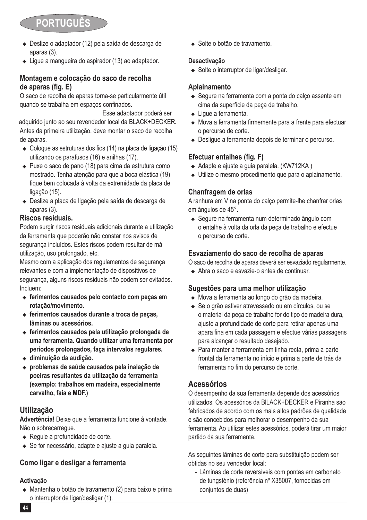# **PORTUGUÊ**

- ◆ Deslize o adaptador (12) pela saída de descarga de aparas (3).
- $\bullet$  Ligue a mangueira do aspirador (13) ao adaptador.

### **Montagem e colocação do saco de recolha de aparas (fig. E)**

O saco de recolha de aparas torna-se particularmente útil quando se trabalha em espaços confinados.

Antes da primeira utilização, deve montar o saco de recolha de aparas. Esse adaptador poderá ser adquirido junto ao seu revendedor local da BLACK+DECKER.

- $\bullet$  Coloque as estruturas dos fios (14) na placa de ligação (15) utilizando os parafusos (16) e anilhas (17).
- $\triangle$  Puxe o saco de pano (18) para cima da estrutura como mostrado. Tenha atenção para que a boca elástica (19) fique bem colocada à volta da extremidade da placa de ligação (15).
- ◆ Deslize a placa de ligação pela saída de descarga de aparas (3).

### **Riscos residuais.**

Podem surgir riscos residuais adicionais durante a utilização da ferramenta que poderão não constar nos avisos de segurança incluídos. Estes riscos podem resultar de má utilização, uso prolongado, etc.

Mesmo com a aplicação dos regulamentos de segurança relevantes e com a implementação de dispositivos de segurança, alguns riscos residuais não podem ser evitados. Incluem:

- $\bullet$  ferimentos causados pelo contacto com peças em **rotação/movimento.**
- ◆ ferimentos causados durante a troca de peças, **lâminas ou acessórios.**
- <sup>u</sup> **ferimentos causados pela utilização prolongada de uma ferramenta. Quando utilizar uma ferramenta por períodos prolongados, faça intervalos regulares.**
- ◆ diminuicão da audicão.
- <sup>u</sup> **problemas de saúde causados pela inalação de poeiras resultantes da utilização da ferramenta (exemplo: trabalhos em madeira, especialmente carvalho, faia e MDF.)**

### **Utilização**

**Advertência!** Deixe que a ferramenta funcione à vontade. Não o sobrecarregue.

- $\leftarrow$  Regule a profundidade de corte.
- ◆ Se for necessário, adapte e ajuste a quia paralela.

### **Como ligar e desligar a ferramenta**

### **Activação**

◆ Mantenha o botão de travamento (2) para baixo e prima o interruptor de ligar/desligar (1).

◆ Solte o botão de travamento.

#### **Desactivação**

 $\triangleleft$  Solte o interruptor de ligar/desligar.

### **Aplainamento**

- ◆ Segure na ferramenta com a ponta do calco assente em cima da superfície da peça de trabalho.
- $\bullet$  Lique a ferramenta.
- $\triangleq$  Mova a ferramenta firmemente para a frente para efectuar o percurso de corte.
- ◆ Deslique a ferramenta depois de terminar o percurso.

### **Efectuar entalhes (fig. F)**

- $\triangleleft$  Adapte e ajuste a quia paralela. (KW712KA)
- $\bullet$  Utilize o mesmo procedimento que para o aplainamento.

### **Chanfragem de orlas**

A ranhura em V na ponta do calço permite-lhe chanfrar orlas em ângulos de 45°.

◆ Segure na ferramenta num determinado ângulo com o entalhe à volta da orla da peça de trabalho e efectue o percurso de corte.

### **Esvaziamento do saco de recolha de aparas**

O saco de recolha de aparas deverá ser esvaziado regularmente.

◆ Abra o saco e esvazie-o antes de continuar

### **Sugestões para uma melhor utilização**

- ◆ Mova a ferramenta ao longo do grão da madeira.
- ◆ Se o grão estiver atravessado ou em círculos, ou se o material da peça de trabalho for do tipo de madeira dura, ajuste a profundidade de corte para retirar apenas uma apara fina em cada passagem e efectue várias passagens para alcançar o resultado desejado.
- ◆ Para manter a ferramenta em linha recta, prima a parte frontal da ferramenta no início e prima a parte de trás da ferramenta no fim do percurso de corte.

### **Acessórios**

O desempenho da sua ferramenta depende dos acessórios utilizados. Os acessórios da BlLACK+DECKER e Piranha são fabricados de acordo com os mais altos padrões de qualidade e são concebidos para melhorar o desempenho da sua ferramenta. Ao utilizar estes acessórios, poderá tirar um maior partido da sua ferramenta.

As seguintes lâminas de corte para substituição podem ser obtidas no seu vendedor local:

- Lâminas de corte reversíveis com pontas em carboneto de tungsténio (referência nº X35007, fornecidas em conjuntos de duas)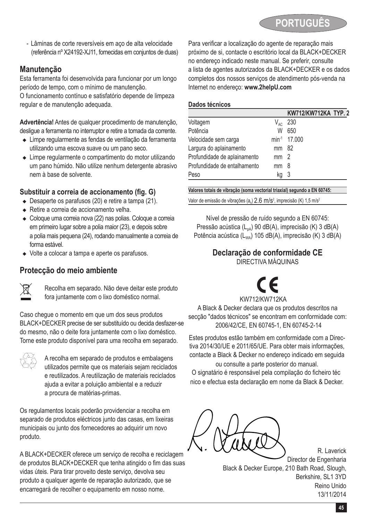

- Lâminas de corte reversíveis em aço de alta velocidade (referência nº X24192-XJ11, fornecidas em conjuntos de duas)

### **Manutenção**

Esta ferramenta foi desenvolvida para funcionar por um longo período de tempo, com o mínimo de manutenção.

O funcionamento contínuo e satisfatório depende de limpeza regular e de manutenção adequada.

**Advertência!** Antes de qualquer procedimento de manutenção, desligue a ferramenta no interruptor e retire a tomada da corrente.

- <sup>u</sup> Limpe regularmente as fendas de ventilação da ferramenta utilizando uma escova suave ou um pano seco.
- ◆ Limpe regularmente o compartimento do motor utilizando um pano húmido. Não utilize nenhum detergente abrasivo nem à base de solvente.

### **Substituir a correia de accionamento (fig. G)**

- $\bullet$  Desaperte os parafusos (20) e retire a tampa (21).
- $\triangleleft$  Retire a correia de accionamento velha.
- $\leftarrow$  Coloque uma correia nova (22) nas polias. Coloque a correia em primeiro lugar sobre a polia maior (23), e depois sobre a polia mais pequena (24), rodando manualmente a correia de forma estável.
- $\bullet$  Volte a colocar a tampa e aperte os parafusos.

### **Protecção do meio ambiente**



Recolha em separado. Não deve deitar este produto fora juntamente com o lixo doméstico normal.

Caso chegue o momento em que um dos seus produtos BLACK+DECKER precise de ser substituído ou decida desfazer-se do mesmo, não o deite fora juntamente com o lixo doméstico. Torne este produto disponível para uma recolha em separado.

 $\overbrace{a}^{\otimes 2}$  A recolha em separado de produtos e embalagens<br> $\overline{a}$  utilizados permite que os materiais sejam reciclados e reutilizados. A reutilização de materiais reciclados ajuda a evitar a poluição ambiental e a reduzir a procura de matérias-primas.

Os regulamentos locais poderão providenciar a recolha em separado de produtos eléctricos junto das casas, em lixeiras municipais ou junto dos fornecedores ao adquirir um novo produto.

A BLACK+DECKER oferece um serviço de recolha e reciclagem de produtos BLACK+DECKER que tenha atingido o fim das suas vidas úteis. Para tirar proveito deste serviço, devolva seu produto a qualquer agente de reparação autorizado, que se encarregará de recolher o equipamento em nosso nome.

Para verificar a localização do agente de reparação mais próximo de si, contacte o escritório local da BLACK+DECKER no endereço indicado neste manual. Se preferir, consulte a lista de agentes autorizados da BLACK+DECKER e os dados completos dos nossos serviços de atendimento pós-venda na Internet no endereço: **www.2helpU.com**

#### **Dados técnicos**

|                              |                                                         | KW712/KW712KA TYP. 2     |  |
|------------------------------|---------------------------------------------------------|--------------------------|--|
| Voltagem                     | $\mathsf{V}_{\scriptscriptstyle{\mathsf{A}\mathsf{C}}}$ | 230                      |  |
| Potência                     | W                                                       | 650                      |  |
| Velocidade sem carga         |                                                         | min <sup>-1</sup> 17.000 |  |
| Largura do aplainamento      | mm                                                      | - 82                     |  |
| Profundidade de aplainamento | mm                                                      | - 2                      |  |
| Profundidade de entalhamento | mm                                                      | 8                        |  |
| Peso                         | kq                                                      | 3                        |  |

**Valores totais de vibração (soma vectorial triaxial) segundo a EN 60745:**

Valor de emissão de vibrações  $(a<sub>n</sub>)$  2.6 m/s<sup>2</sup>, imprecisão (K) 1,5 m/s<sup>2</sup>

Nível de pressão de ruído segundo a EN 60745: Pressão acústica (L<sub>oa</sub>) 90 dB(A), imprecisão (K) 3 dB(A) Potência acústica (L<sub>WA</sub>) 105 dB(A), imprecisão (K) 3 dB(A)

## **Declaração de conformidade CE**

DIRECTIVA MÁQUINAS

### KW712 C E /KW712KA

A Black & Decker declara que os produtos descritos na secção "dados técnicos" se encontram em conformidade com: 2006/42/CE, EN 60745-1, EN 60745-2-14

Estes produtos estão também em conformidade com a Directiva 2014/30/UE e 2011/65/UE. Para obter mais informações, contacte a Black & Decker no endereço indicado em seguida

ou consulte a parte posterior do manual. O signatário é responsável pela compilação do ficheiro téc nico e efectua esta declaração em nome da Black & Decker.

R. Laverick Director de Engenharia Black & Decker Europe, 210 Bath Road, Slough, Berkshire, SL1 3YD Reino Unido 13/11/2014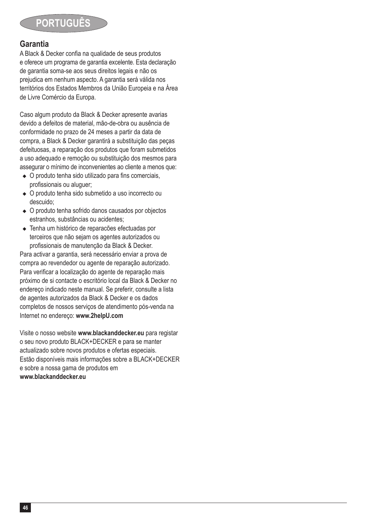

### **Garantia**

A Black & Decker confia na qualidade de seus produtos e oferece um programa de garantia excelente. Esta declaração de garantia soma-se aos seus direitos legais e não os prejudica em nenhum aspecto. A garantia será válida nos territórios dos Estados Membros da União Europeia e na Área de Livre Comércio da Europa.

Caso algum produto da Black & Decker apresente avarias devido a defeitos de material, mão-de-obra ou ausência de conformidade no prazo de 24 meses a partir da data de compra, a Black & Decker garantirá a substituição das peças defeituosas, a reparação dos produtos que foram submetidos a uso adequado e remoção ou substituição dos mesmos para assegurar o mínimo de inconvenientes ao cliente a menos que:

- $\bullet$  O produto tenha sido utilizado para fins comerciais, profissionais ou aluguer;
- ◆ O produto tenha sido submetido a uso incorrecto ou descuido;
- $\bullet$  O produto tenha sofrido danos causados por objectos estranhos, substâncias ou acidentes;
- ◆ Tenha um histórico de reparacões efectuadas por terceiros que não sejam os agentes autorizados ou profissionais de manutenção da Black & Decker.

Para activar a garantia, será necessário enviar a prova de compra ao revendedor ou agente de reparação autorizado. Para verificar a localização do agente de reparação mais próximo de si contacte o escritório local da Black & Decker no endereço indicado neste manual. Se preferir, consulte a lista de agentes autorizados da Black & Decker e os dados completos de nossos serviços de atendimento pós-venda na Internet no endereço: **www.2helpU.com**

Visite o nosso website **www.blackanddecker.eu** para registar o seu novo produto BLACK+DECKER e para se manter actualizado sobre novos produtos e ofertas especiais. Estão disponíveis mais informações sobre a BLACK+DECKER e sobre a nossa gama de produtos em **www.blackanddecker.eu**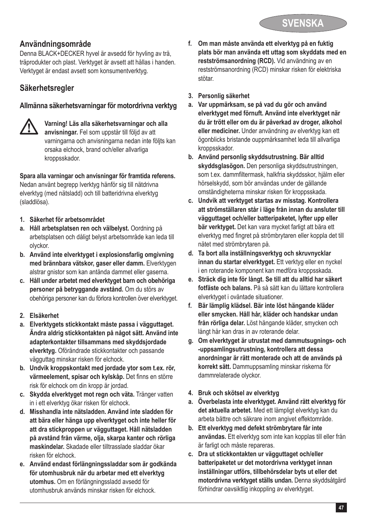

### **Användningsområde**

Denna BLACK+DECKER hyvel är avsedd för hyvling av trä, träprodukter och plast. Verktyget är avsett att hållas i handen. Verktyget är endast avsett som konsumentverktyg.

### **Säkerhetsregler**

#### **Allmänna säkerhetsvarningar för motordrivna verktyg**

### @ **Varning! Läs alla säkerhetsvarningar och alla anvisningar.** Fel som uppstår till följd av att varningarna och anvisningarna nedan inte följts kan orsaka elchock, brand och/eller allvarliga kroppsskador.

**Spara alla varningar och anvisningar för framtida referens.** Nedan använt begrepp lverktyg hänför sig till nätdrivna elverktyg (med nätsladd) och till batteridrivna elverktyg (sladdlösa).

- **1. Säkerhet för arbetsområdet**
- **a. Håll arbetsplatsen ren och välbelyst.** Oordning på arbetsplatsen och dåligt belyst arbetsområde kan leda till olyckor.
- **b. Använd inte elverktyget i explosionsfarlig omgivning med brännbara vätskor, gaser eller damm.** Elverktygen alstrar gnistor som kan antända dammet eller gaserna.
- **c. Håll under arbetet med elverktyget barn och obehöriga personer på betryggande avstånd.** Om du störs av obehöriga personer kan du förlora kontrollen över elverktyget.
- **2. Elsäkerhet**
- **a. Elverktygets stickkontakt måste passa i vägguttaget. Ändra aldrig stickkontakten på något sätt. Använd inte adapterkontakter tillsammans med skyddsjordade elverktyg.** Oförändrade stickkontakter och passande vägguttag minskar risken för elchock.
- **b. Undvik kroppskontakt med jordade ytor som t.ex. rör, värmeelement, spisar och kylskåp.** Det finns en större risk för elchock om din kropp är jordad.
- **c. Skydda elverktyget mot regn och väta.** Tränger vatten in i ett elverktyg ökar risken för elchock.
- **d. Misshandla inte nätsladden. Använd inte sladden för att bära eller hänga upp elverktyget och inte heller för att dra stickproppen ur vägguttaget. Håll nätsladden på avstånd från värme, olja, skarpa kanter och rörliga maskindelar.** Skadade eller tilltrasslade sladdar ökar risken för elchock.
- **e. Använd endast förlängningssladdar som är godkända för utomhusbruk när du arbetar med ett elverktyg utomhus.** Om en förlängningssladd avsedd för utomhusbruk används minskar risken för elchock.
- **f. Om man måste använda ett elverktyg på en fuktig plats bör man använda ett uttag som skyddats med en restströmsanordning (RCD).** Vid användning av en restströmsanordning (RCD) minskar risken för elektriska stötar.
- **3. Personlig säkerhet**
- **a. Var uppmärksam, se på vad du gör och använd elverktyget med förnuft. Använd inte elverktyget när du är trött eller om du är påverkad av droger, alkohol eller mediciner.** Under användning av elverktyg kan ett ögonblicks bristande ouppmärksamhet leda till allvarliga kroppsskador.
- **b. Använd personlig skyddsutrustning. Bär alltid skyddsglasögon.** Den personliga skyddsutrustningen, som t.ex. dammfiltermask, halkfria skyddsskor, hjälm eller hörselskydd, som bör användas under de gällande omständigheterna minskar risken för kroppsskada.
- **c. Undvik att verktyget startas av misstag. Kontrollera att strömställaren står i läge från innan du ansluter till vägguttaget och/eller batteripaketet, lyfter upp eller bär verktyget.** Det kan vara mycket farligt att bära ett elverktyg med fingret på strömbrytaren eller koppla det till nätet med strömbrytaren på.
- **d. Ta bort alla inställningsverktyg och skruvnycklar innan du startar elverktyget.** Ett verktyg eller en nyckel i en roterande komponent kan medföra kroppsskada.
- **e. Sträck dig inte för långt. Se till att du alltid har säkert fotfäste och balans.** På så sätt kan du lättare kontrollera elverktyget i oväntade situationer.
- **f. Bär lämplig klädsel. Bär inte löst hängande kläder eller smycken. Håll hår, kläder och handskar undan från rörliga delar.** Löst hängande kläder, smycken och långt hår kan dras in av roterande delar.
- **g. Om elverktyget är utrustat med dammutsugnings- och -uppsamlingsutrustning, kontrollera att dessa anordningar är rätt monterade och att de används på korrekt sätt.** Dammuppsamling minskar riskerna för dammrelaterade olyckor.
- **4. Bruk och skötsel av elverktyg**
- **a. Överbelasta inte elverktyget. Använd rätt elverktyg för det aktuella arbetet.** Med ett lämpligt elverktyg kan du arbeta bättre och säkrare inom angivet effektområde.
- **b. Ett elverktyg med defekt strömbrytare får inte användas.** Ett elverktyg som inte kan kopplas till eller från är farligt och måste repareras.
- **c. Dra ut stickkontakten ur vägguttaget och/eller batteripaketet ur det motordrivna verktyget innan inställningar utförs, tillbehörsdelar byts ut eller det motordrivna verktyget ställs undan.** Denna skyddsåtgärd förhindrar oavsiktlig inkoppling av elverktyget.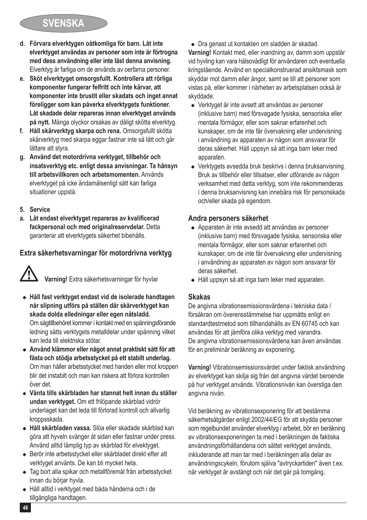## **SVENSKA**

- **d. Förvara elverktygen oåtkomliga för barn. Låt inte elverktyget användas av personer som inte är förtrogna med dess användning eller inte läst denna anvisning.** Elverktyg är farliga om de används av oerfarna personer.
- **e. Sköt elverktyget omsorgsfullt. Kontrollera att rörliga komponenter fungerar felfritt och inte kärvar, att komponenter inte brustit eller skadats och inget annat föreligger som kan påverka elverktygets funktioner. Låt skadade delar repareras innan elverktyget används på nytt.** Många olyckor orsakas av dåligt skötta elverktyg.
- **f. Håll skärverktyg skarpa och rena.** Omsorgsfullt skötta skärverktyg med skarpa eggar fastnar inte så lätt och går lättare att styra.
- **g. Använd det motordrivna verktyget, tillbehör och insatsverktyg etc. enligt dessa anvisningar. Ta hänsyn till arbetsvillkoren och arbetsmomenten.** Används elverktyget på icke ändamålsenligt sätt kan farliga situationer uppstå.
- **5. Service**
- **a. Låt endast elverktyget repareras av kvalificerad fackpersonal och med originalreservdelar.** Detta garanterar att elverktygets säkerhet bibehålls.

### **Extra säkerhetsvarningar för motordrivna verktyg**



- ◆ Håll fast verktyget endast vid de isolerade handtagen **när slipning utförs på ställen där skärverktyget kan skada dolda elledningar eller egen nätsladd.**  Om sågtillbehöret kommer i kontakt med en spänningsförande ledning sätts verktygets metalldelar under spänning vilket kan leda till elektriska stötar.
- <sup>u</sup> **Använd klämmor eller något annat praktiskt sätt för att fästa och stödja arbetsstycket på ett stabilt underlag.**  Om man håller arbetsstycket med handen eller mot kroppen blir det instabilt och man kan riskera att förlora kontrollen över det.
- ◆ Vänta tills skärbladen har stannat helt innan du ställer **undan verktyget.** Om ett frilöpande skärblad vidrör underlaget kan det leda till förlorad kontroll och allvarlig kroppsskada.
- <sup>u</sup> **Håll skärbladen vassa.** Slöa eller skadade skärblad kan göra att hyveln svänger åt sidan eller fastnar under press. Använd alltid lämplig typ av skärblad för elvektyget.
- $\triangle$  Berör inte arbetsstycket eller skärbladet direkt efter att verktyget använts. De kan bli mycket heta.
- <sup>u</sup> Tag bort alla spikar och metallföremål från arbetsstycket innan du börjar hyvla.
- <sup>u</sup> Håll alltid i verktyget med båda händerna och i de tillgängliga handtagen.

• Dra genast ut kontakten om sladden är skadad.

**Varning!** Kontakt med, eller inandning av, damm som uppstår vid hyvling kan vara hälsovådligt för användaren och eventuella kringstående. Använd en specialkonstruerad ansiktsmask som skyddar mot damm eller ångor, samt se till att personer som vistas på, eller kommer i närheten av arbetsplatsen också är skyddade.

- Verktyget är inte avsett att användas av personer (inklusive barn) med försvagade fysiska, sensoriska eller mentala förmågor, eller som saknar erfarenhet och kunskaper, om de inte får övervakning eller undervisning i användning av apparaten av någon som ansvarar för deras säkerhet. Håll uppsyn så att inga barn leker med apparaten.
- $\triangleq$  Verktygets avsedda bruk beskrivs i denna bruksanvisning. Bruk av tillbehör eller tillsatser, eller utförande av någon verksamhet med detta verktyg, som inte rekommenderas i denna bruksanvisning kan innebära risk för personskada och/eller skada på egendom.

#### **Andra personers säkerhet**

- ◆ Apparaten är inte avsedd att användas av personer (inklusive barn) med försvagade fysiska, sensoriska eller mentala förmågor, eller som saknar erfarenhet och kunskaper, om de inte får övervakning eller undervisning i användning av apparaten av någon som ansvarar för deras säkerhet.
- ◆ Håll uppsyn så att inga barn leker med apparaten.

### **Skakas**

De angivna vibrationsemissionsvärdena i tekniska data / försäkran om överensstämmelse har uppmätts enligt en standardtestmetod som tillhandahålls av EN 60745 och kan användas för att jämföra olika verktyg med varandra. De angivna vibrationsemissionsvärdena kan även användas för en preliminär beräkning av exponering.

**Varning!** Vibrationsemissionsvärdet under faktisk användning av elverktyget kan skilja sig från det angivna värdet beroende på hur verktyget används. Vibrationsnivån kan överstiga den angivna nivån.

Vid beräkning av vibrationsexponering för att bestämma säkerhetsåtgärder enligt 2002/44/EG för att skydda personer som regelbundet använder elverktyg i arbetet, bör en beräkning av vibrationsexponeringen ta med i beräkningen de faktiska användningsförhållandena och sättet verktyget används, inkluderande att man tar med i beräkningen alla delar av användningscykeln, förutom själva "avtryckartiden" även t.ex. när verktyget är avstängt och när det går på tomgång.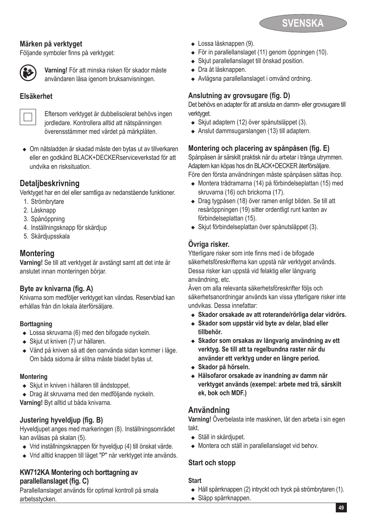

#### **Märken på verktyget**

Följande symboler finns på verktyget:



**(3) Varning!** För att minska risken för skador måste<br>
användaren läsa igenom bruksanvisningen.

### **Elsäkerhet**



**Eftersom verktyget är dubbelisolerat behövs ingen** i Eftersom verktyget är dubbelisolerat behövs ingen jordledare.<br>Jordledare. Kontrollera alltid att nätspänningen överensstämmer med värdet på märkplåten.

• Om nätsladden är skadad måste den bytas ut av tillverkaren eller en godkänd BLACK+DECKERserviceverkstad för att undvika en risksituation.

### **Detaljbeskrivning**

Verktyget har en del eller samtliga av nedanstående funktioner.

- 1. Strömbrytare
- 2. Låsknapp
- 3. Spånöppning
- 4. Inställningsknapp för skärdjup
- 5. Skärdjupsskala

### **Montering**

**Varning!** Se till att verktyget är avstängt samt att det inte är anslutet innan monteringen börjar.

### **Byte av knivarna (fig. A)**

Knivarna som medföljer verktyget kan vändas. Reservblad kan erhållas från din lokala återförsäljare.

#### **Borttagning**

- $\triangleleft$  Lossa skruvarna (6) med den bifogade nyckeln.
- $\triangleleft$  Skjut ut kniven (7) ur hållaren.
- ◆ Vänd på kniven så att den oanvända sidan kommer i läge. Om båda sidorna är slitna måste bladet bytas ut.

#### **Montering**

- <sup>u</sup> Skjut in kniven i hållaren till ändstoppet.
- Drag åt skruvarna med den medföljande nyckeln. **Varning!** Byt alltid ut båda knivarna.

### **Justering hyveldjup (fig. B)**

Hyveldjupet anges med markeringen (8). Inställningsområdet kan avläsas på skalan (5).

- $\bullet$  Vrid inställningsknappen för hyveldiup (4) till önskat värde.
- ◆ Vrid alltid knappen till läget "P" när verktyget inte används.

#### **KW712KA Montering och borttagning av parallellanslaget (fig. C)**

Parallellanslaget används för optimal kontroll på smala arbetsstycken.

- Lossa låsknappen (9).
- $\bullet$  För in parallellanslaget (11) genom öppningen (10).
- $\triangleq$  Skiut parallellanslaget till önskad position.
- Dra åt låsknappen.
- ◆ Avlägsna parallellanslaget i omvänd ordning.

### **Anslutning av grovsugare (fig. D)**

Det behövs en adapter för att ansluta en damm- eller grovsugare till verktyget.

- $\triangleq$  Skjut adaptern (12) över spånutsläppet (3).
- <sup>u</sup> Anslut dammsugarslangen (13) till adaptern.

### **Montering och placering av spånpåsen (fig. E)**

Spånpåsen är särskilt praktisk när du arbetar i trånga utrymmen. Före den första användningen måste spånpåsen sättas ihop. Adaptern kan köpas hos din BLACK+DECKER återförsäljare.

- <sup>u</sup> Montera trådramarna (14) på förbindelseplattan (15) med skruvarna (16) och brickorna (17).
- ◆ Drag tygpåsen (18) över ramen enligt bilden. Se till att resåröppningen (19) sitter ordentligt runt kanten av förbindelseplattan (15).
- <sup>u</sup> Skjut förbindelseplattan över spånutsläppet (3).

### **Övriga risker.**

Ytterligare risker som inte finns med i de bifogade säkerhetsföreskrifterna kan uppstå när verktyget används. Dessa risker kan uppstå vid felaktig eller långvarig användning, etc.

Även om alla relevanta säkerhetsföreskrifter följs och säkerhetsanordningar används kan vissa ytterligare risker inte undvikas. Dessa innefattar:

- <sup>u</sup> **Skador orsakade av att roterande/rörliga delar vidrörs.**
- <sup>u</sup> **Skador som uppstår vid byte av delar, blad eller tillbehör.**
- <sup>u</sup> **Skador som orsakas av långvarig användning av ett verktyg. Se till att ta regelbundna raster när du använder ett verktyg under en längre period.**
- <sup>u</sup> **Skador på hörseln.**
- <sup>u</sup> **Hälsofaror orsakade av inandning av damm när verktyget används (exempel: arbete med trä, särskilt ek, bok och MDF.)**

### **Användning**

**Varning!** Överbelasta inte maskinen, låt den arbeta i sin egen takt.

- $\bullet$  Ställ in skärdjupet.
- ◆ Montera och ställ in parallellanslaget vid behov.

### **Start och stopp**

#### **Start**

- ◆ Håll spärrknappen (2) intryckt och tryck på strömbrytaren (1).
- Släpp spärrknappen.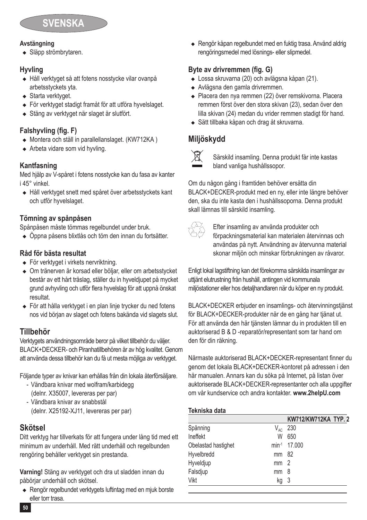

#### **Avstängning**

• Släpp strömbrytaren.

### **Hyvling**

- <sup>u</sup> Håll verktyget så att fotens nosstycke vilar ovanpå arbetsstyckets yta.
- $\triangleleft$  Starta verktyget.
- För verktyget stadigt framåt för att utföra hyvelslaget.
- Stäng av verktyget när slaget är slutfört.

### **Falshyvling (fig. F)**

- ◆ Montera och ställ in parallellanslaget. (KW712KA)
- $\triangle$  Arbeta vidare som vid hyvling.

#### **Kantfasning**

Med hjälp av V-spåret i fotens nosstycke kan du fasa av kanter i 45° vinkel.

<sup>u</sup> Håll verktyget snett med spåret över arbetsstyckets kant och utför hyvelslaget.

#### **Tömning av spånpåsen**

Spånpåsen måste tömmas regelbundet under bruk.

<sup>u</sup> Öppna påsens blixtlås och töm den innan du fortsätter.

### **Råd för bästa resultat**

- För verktyget i virkets nervriktning.
- Om tränerven är korsad eller böljar, eller om arbetsstycket består av ett hårt träslag, ställer du in hyveldjupet på mycket grund avhyvling och utför flera hyvelslag för att uppnå önskat resultat.
- ◆ För att hålla verktyget i en plan linje trycker du ned fotens nos vid början av slaget och fotens bakända vid slagets slut.

### **Tillbehör**

Verktygets användningsområde beror på vilket tillbehör du väljer. BLACK+DECKER- och Piranhatillbehören är av hög kvalitet. Genom att använda dessa tillbehör kan du få ut mesta möjliga av verktyget.

Följande typer av knivar kan erhållas från din lokala återförsäljare.

- Vändbara knivar med wolfram/karbidegg (delnr. X35007, levereras per par)
- Vändbara knivar av snabbstål (delnr. X25192-XJ11, levereras per par)

### **Skötsel**

Ditt verktyg har tillverkats för att fungera under lång tid med ett minimum av underhåll. Med rätt underhåll och regelbunden rengöring behåller verktyget sin prestanda.

**Varning!** Stäng av verktyget och dra ut sladden innan du påbörjar underhåll och skötsel.

◆ Rengör regelbundet verktygets luftintag med en mjuk borste eller torr trasa.

• Rengör kåpan regelbundet med en fuktig trasa. Använd aldrig rengöringsmedel med lösnings- eller slipmedel.

### **Byte av drivremmen (fig. G)**

- ◆ Lossa skruvarna (20) och avlägsna kåpan (21).
- ◆ Avlägsna den gamla drivremmen.
- ◆ Placera den nya remmen (22) över remskivorna. Placera remmen först över den stora skivan (23), sedan över den lilla skivan (24) medan du vrider remmen stadigt för hand.
- ◆ Sätt tillbaka kåpan och drag åt skruvarna.

### **Miljöskydd**



Särskild insamling. Denna produkt får inte kastas bland vanliga hushållssopor.

Om du någon gång i framtiden behöver ersätta din BLACK+DECKER-produkt med en ny, eller inte längre behöver den, ska du inte kasta den i hushållssoporna. Denna produkt skall lämnas till särskild insamling.

∀≪ Efter insamling av använda produkter och<br>T⇔ förpackningsmaterial kan materialen återvinnas och användas på nytt. Användning av återvunna material skonar miljön och minskar förbrukningen av råvaror.

Enligt lokal lagstiftning kan det förekomma särskilda insamlingar av uttjänt elutrustning från hushåll, antingen vid kommunala miljöstationer eller hos detaljhandlaren när du köper en ny produkt.

BLACK+DECKER erbjuder en insamlings- och återvinningstjänst för BLACK+DECKER-produkter när de en gång har tjänat ut. För att använda den här tjänsten lämnar du in produkten till en auktoriserad B & D -reparatör/representant som tar hand om den för din räkning.

Närmaste auktoriserad BLACK+DECKER-representant finner du genom det lokala BLACK+DECKER-kontoret på adressen i den här manualen. Annars kan du söka på Internet, på listan över auktoriserade BLACK+DECKER-representanter och alla uppgifter om vår kundservice och andra kontakter. **www.2helpU.com**

#### **Tekniska data**

|                     |                            | KW712/KW712KA TYP. 2 |  |
|---------------------|----------------------------|----------------------|--|
| Spänning            | $\mathsf{V}_{\mathsf{AC}}$ | 230                  |  |
| Ineffekt            | W                          | 650                  |  |
| Obelastad hastighet |                            | min-1 17,000         |  |
| Hyvelbredd          | mm 82                      |                      |  |
| Hyveldjup           | mm                         | - 2                  |  |
| Falsdjup            | mm                         | 8                    |  |
| Vikt                | kg                         | -3                   |  |
|                     |                            |                      |  |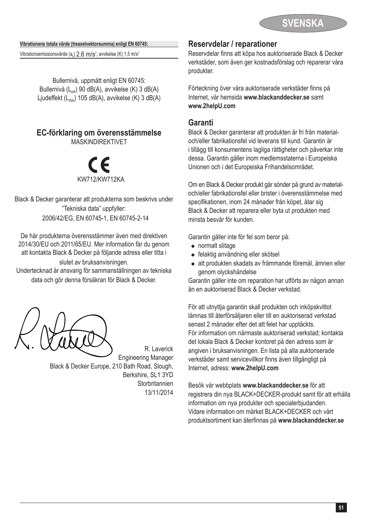

**Vibrationens totala värde (treaxelvektorsumma) enligt EN 60745:**

Vibrationsemissionsvärde (a<sub>h</sub>)  $2.6 \text{ m/s}^2$ , avvikelse (K) 1,5 m/s<sup>2</sup>

Bullernivå, uppmätt enligt EN 60745: Bullernivå (L<sub>na</sub>) 90 dB(A), avvikelse (K) 3 dB(A) Ljudeffekt  $(L_{\text{max}})$  105 dB(A), avvikelse (K) 3 dB(A)

### **EC-förklaring om överensstämmelse**

MASKINDIREKTIVET

KW712 /KW712KA %

Black & Decker garanterar att produkterna som beskrivs under "Tekniska data" uppfyller: 2006/42/EG, EN 60745-1, EN 60745-2-14

De här produkterna överensstämmer även med direktiven 2014/30/EU och 2011/65/EU. Mer information får du genom att kontakta Black & Decker på följande adress eller titta i slutet av bruksanvisningen.

Undertecknad är ansvarig för sammanställningen av tekniska data och gör denna försäkran för Black & Decker.

Engineering Manager Black & Decker Europe, 210 Bath Road, Slough, Berkshire, SL1 3YD Storbritannien 13/11/2014

R. Laverick

### **Reservdelar / reparationer**

Reservdelar finns att köpa hos auktoriserade Black & Decker verkstäder, som även ger kostnadsförslag och reparerar våra produkter.

Förteckning över våra auktoriserade verkstäder finns på Internet, vår hemsida **www.blackanddecker.se** samt **www.2helpU.com**

### **Garanti**

Black & Decker garanterar att produkten är fri från materialoch/eller fabrikationsfel vid leverans till kund. Garantin är i tillägg till konsumentens lagliga rättigheter och påverkar inte dessa. Garantin gäller inom medlemsstaterna i Europeiska Unionen och i det Europeiska Frihandelsområdet.

Om en Black & Decker produkt går sönder på grund av materialoch/eller fabrikationsfel eller brister i överensstämmelse med specifikationen, inom 24 månader från köpet, åtar sig Black & Decker att reparera eller byta ut produkten med minsta besvär för kunden.

Garantin gäller inte för fel som beror på:

- $\bullet$  normalt slitage
- felaktig användning eller skötsel
- ◆ att produkten skadats av främmande föremål, ämnen eller genom olyckshändelse

Garantin gäller inte om reparation har utförts av någon annan än en auktoriserad Black & Decker verkstad.

För att utnyttja garantin skall produkten och inköpskvittot lämnas till återförsäljaren eller till en auktoriserad verkstad senast 2 månader efter det att felet har upptäckts. För information om närmaste auktoriserad verkstad; kontakta det lokala Black & Decker kontoret på den adress som är angiven i bruksanvisningen. En lista på alla auktoriserade verkstäder samt servicevillkor finns även tillgängligt på Internet, adress: **www.2helpU.com**

Besök vår webbplats **www.blackanddecker.se** för att registrera din nya BLACK+DECKER-produkt samt för att erhålla information om nya produkter och specialerbjudanden. Vidare information om märket BLACK+DECKER och vårt produktsortiment kan återfinnas på **www.blackanddecker.se**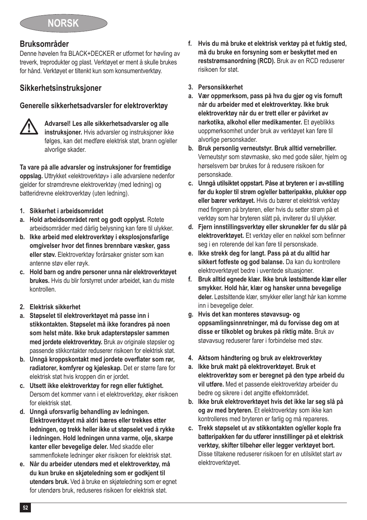### **Bruksområder**

Denne høvelen fra BLACK+DECKER er utformet for høvling av treverk, treprodukter og plast. Verktøyet er ment å skulle brukes for hånd. Verktøyet er tiltenkt kun som konsumentverktøy.

### **Sikkerhetsinstruksjoner**

### **Generelle sikkerhetsadvarsler for elektroverktøy**



@ **Advarsel! Les alle sikkerhetsadvarsler og alle instruksjoner.** Hvis advarsler og instruksjoner ikke følges, kan det medføre elektrisk støt, brann og/eller alvorlige skader.

**Ta vare på alle advarsler og instruksjoner for fremtidige oppslag.** Uttrykket «elektroverktøy» i alle advarslene nedenfor gjelder for strømdrevne elektroverktøy (med ledning) og batteridrevne elektroverktøy (uten ledning).

- **1. Sikkerhet i arbeidsområdet**
- **a. Hold arbeidsområdet rent og godt opplyst.** Rotete arbeidsområder med dårlig belysning kan føre til ulykker.
- **b. Ikke arbeid med elektroverktøy i eksplosjonsfarlige omgivelser hvor det finnes brennbare væsker, gass eller støv.** Elektroverktøy forårsaker gnister som kan antenne støv eller røyk.
- **c. Hold barn og andre personer unna når elektroverktøyet brukes.** Hvis du blir forstyrret under arbeidet, kan du miste kontrollen.
- **2. Elektrisk sikkerhet**
- **a. Støpselet til elektroverktøyet må passe inn i stikkontakten. Støpselet må ikke forandres på noen som helst måte. Ikke bruk adapterstøpsler sammen med jordete elektroverktøy.** Bruk av originale støpsler og passende stikkontakter reduserer risikoen for elektrisk støt.
- **b. Unngå kroppskontakt med jordete overflater som rør, radiatorer, komfyrer og kjøleskap.** Det er større fare for elektrisk støt hvis kroppen din er jordet.
- **c. Utsett ikke elektroverktøy for regn eller fuktighet.** Dersom det kommer vann i et elektroverktøy, øker risikoen for elektrisk støt.
- **d. Unngå uforsvarlig behandling av ledningen. Elektroverktøyet må aldri bæres eller trekkes etter ledningen, og trekk heller ikke ut støpselet ved å rykke i ledningen. Hold ledningen unna varme, olje, skarpe kanter eller bevegelige deler.** Med skadde eller sammenflokete ledninger øker risikoen for elektrisk støt.
- **e. Når du arbeider utendørs med et elektroverktøy, må du kun bruke en skjøteledning som er godkjent til utendørs bruk.** Ved å bruke en skjøteledning som er egnet for utendørs bruk, reduseres risikoen for elektrisk støt.
- **f. Hvis du må bruke et elektrisk verktøy på et fuktig sted, må du bruke en forsyning som er beskyttet med en reststrømsanordning (RCD).** Bruk av en RCD reduserer risikoen for støt.
- **3. Personsikkerhet**
- **a. Vær oppmerksom, pass på hva du gjør og vis fornuft når du arbeider med et elektroverktøy. Ikke bruk elektroverktøy når du er trett eller er påvirket av narkotika, alkohol eller medikamenter.** Et øyeblikks uoppmerksomhet under bruk av verktøyet kan føre til alvorlige personskader.
- **b. Bruk personlig verneutstyr. Bruk alltid vernebriller.** Verneutstyr som støvmaske, sko med gode såler, hjelm og hørselsvern bør brukes for å redusere risikoen for personskade.
- **c. Unngå utilsiktet oppstart. Påse at bryteren er i av-stilling før du kopler til strøm og/eller batteripakke, plukker opp eller bærer verktøyet.** Hvis du bærer et elektrisk verktøy med fingeren på bryteren, eller hvis du setter strøm på et verktøy som har bryteren slått på, inviterer du til ulykker.
- **d. Fjern innstillingsverktøy eller skrunøkler før du slår på elektroverktøyet.** Et verktøy eller en nøkkel som befinner seg i en roterende del kan føre til personskade.
- **e. Ikke strekk deg for langt. Pass på at du alltid har sikkert fotfeste og god balanse.** Da kan du kontrollere elektroverktøyet bedre i uventede situasjoner.
- **f. Bruk alltid egnede klær. Ikke bruk løstsittende klær eller smykker. Hold hår, klær og hansker unna bevegelige deler.** Løstsittende klær, smykker eller langt hår kan komme inn i bevegelige deler.
- **g. Hvis det kan monteres støvavsug- og oppsamlingsinnretninger, må du forvisse deg om at disse er tilkoblet og brukes på riktig måte.** Bruk av støvavsug reduserer farer i forbindelse med støv.
- **4. Aktsom håndtering og bruk av elektroverktøy**
- **a. Ikke bruk makt på elektroverktøyet. Bruk et elektroverktøy som er beregnet på den type arbeid du vil utføre.** Med et passende elektroverktøy arbeider du bedre og sikrere i det angitte effektområdet.
- **b. Ikke bruk elektroverktøyet hvis det ikke lar seg slå på og av med bryteren.** Et elektroverktøy som ikke kan kontrolleres med bryteren er farlig og må repareres.
- **c. Trekk støpselet ut av stikkontakten og/eller kople fra batteripakken før du utfører innstillinger på et elektrisk verktøy, skifter tilbehør eller legger verktøyet bort.** Disse tiltakene reduserer risikoen for en utilsiktet start av elektroverktøyet.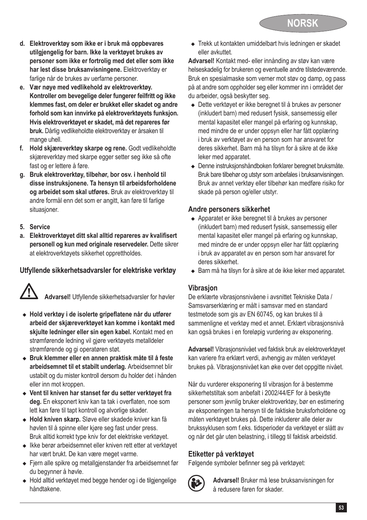- **d. Elektroverktøy som ikke er i bruk må oppbevares utilgjengelig for barn. Ikke la verktøyet brukes av personer som ikke er fortrolig med det eller som ikke har lest disse bruksanvisningene.** Elektroverktøy er farlige når de brukes av uerfarne personer.
- **e. Vær nøye med vedlikehold av elektroverktøy. Kontroller om bevegelige deler fungerer feilfritt og ikke klemmes fast, om deler er brukket eller skadet og andre forhold som kan innvirke på elektroverktøyets funksjon. Hvis elektroverktøyet er skadet, må det repareres før bruk.** Dårlig vedlikeholdte elektroverktøy er årsaken til mange uhell.
- **f. Hold skjæreverktøy skarpe og rene.** Godt vedlikeholdte skjæreverktøy med skarpe egger setter seg ikke så ofte fast og er lettere å føre.
- **g. Bruk elektroverktøy, tilbehør, bor osv. i henhold til disse instruksjonene. Ta hensyn til arbeidsforholdene og arbeidet som skal utføres.** Bruk av elektroverktøy til andre formål enn det som er angitt, kan føre til farlige situasioner.
- **5. Service**
- **a. Elektroverktøyet ditt skal alltid repareres av kvalifisert personell og kun med originale reservedeler.** Dette sikrer at elektroverktøyets sikkerhet opprettholdes.

### **Utfyllende sikkerhetsadvarsler for elektriske verktøy**



Advarsel! Utfyllende sikkerhetsadvarsler for høvler

- <sup>u</sup> **Hold verktøy i de isolerte gripeflatene når du utfører arbeid der skjæreverktøyet kan komme i kontakt med skjulte ledninger eller sin egen kabel.** Kontakt med en strømførende ledning vil gjøre verktøyets metalldeler strømførende og gi operatøren støt.
- ◆ Bruk klemmer eller en annen praktisk måte til å feste **arbeidsemnet til et stabilt underlag.** Arbeidsemnet blir ustabilt og du mister kontroll dersom du holder det i hånden eller inn mot kroppen.
- <sup>u</sup> **Vent til kniven har stanset før du setter verktøyet fra deg.** En eksponert kniv kan ta tak i overflaten, noe som lett kan føre til tapt kontroll og alvorlige skader.
- <sup>u</sup> **Hold kniven skarp.** Sløve eller skadede kniver kan få høvlen til å spinne eller kjøre seg fast under press. Bruk alltid korrekt type kniv for det elektriske verktøyet.
- $\bullet$  Ikke berør arbeidsemnet eller kniven rett etter at verktøvet har vært brukt. De kan være meget varme.
- ◆ Fjern alle spikre og metallgjenstander fra arbeidsemnet før du begynner å høvle.
- ◆ Hold alltid verktøyet med begge hender og i de tilgjengelige håndtakene.

◆ Trekk ut kontakten umiddelbart hvis ledningen er skadet eller avkuttet.

**Advarsel!** Kontakt med- eller innånding av støv kan være helseskadelig for brukeren og eventuelle andre tilstedeværende. Bruk en spesialmaske som verner mot støv og damp, og pass på at andre som oppholder seg eller kommer inn i området der du arbeider, også beskytter seg.

- ◆ Dette verktøvet er ikke beregnet til å brukes av personer (inkludert barn) med redusert fysisk, sansemessig eller mental kapasitet eller mangel på erfaring og kunnskap, med mindre de er under oppsyn eller har fått opplæring i bruk av verktøyet av en person som har ansvaret for deres sikkerhet. Barn må ha tilsyn for å sikre at de ikke leker med apparatet.
- <sup>u</sup> Denne instruksjonshåndboken forklarer beregnet bruksmåte. Bruk bare tilbehør og utstyr som anbefales i bruksanvisningen. Bruk av annet verktøy eller tilbehør kan medføre risiko for skade på person og/eller utstyr.

### **Andre personers sikkerhet**

- ◆ Apparatet er ikke beregnet til å brukes av personer (inkludert barn) med redusert fysisk, sansemessig eller mental kapasitet eller mangel på erfaring og kunnskap, med mindre de er under oppsyn eller har fått opplæring i bruk av apparatet av en person som har ansvaret for deres sikkerhet.
- ◆ Barn må ha tilsyn for å sikre at de ikke leker med apparatet.

### **Vibrasjon**

De erklærte vibrasjonsnivåene i avsnittet Tekniske Data / Samsvarserklæring er målt i samsvar med en standard testmetode som gis av EN 60745, og kan brukes til å sammenligne et verktøy med et annet. Erklært vibrasjonsnivå kan også brukes i en foreløpig vurdering av eksponering.

**Advarsel!** Vibrasjonsnivået ved faktisk bruk av elektroverktøyet kan variere fra erklært verdi, avhengig av måten verktøyet brukes på. Vibrasjonsnivået kan øke over det oppgitte nivået.

Når du vurderer eksponering til vibrasjon for å bestemme sikkerhetstiltak som anbefalt i 2002/44/EF for å beskytte personer som jevnlig bruker elektroverktøy, bør en estimering av eksponeringen ta hensyn til de faktiske bruksforholdene og måten verktøyet brukes på. Dette inkluderer alle deler av brukssyklusen som f.eks. tidsperioder da verktøyet er slått av og når det går uten belastning, i tillegg til faktisk arbeidstid.

### **Etiketter på verktøyet**

Følgende symboler befinner seg på verktøyet:



: **Advarsel!** Bruker må lese bruksanvisningen for å redusere faren for skader.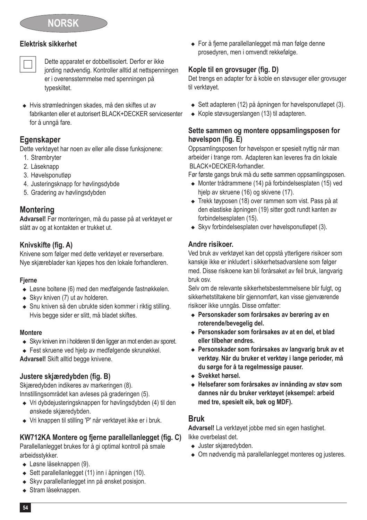### **Elektrisk sikkerhet**

# Dette apparatet er dobbeltisolert. Derfor er ikke jording nødvendig. Kontroller alltid at nettspenningen er i overensstemmelse med spenningen på typeskiltet.

<sup>u</sup> Hvis strømledningen skades, må den skiftes ut av fabrikanten eller et autorisert BLACK+DECKER servicesenter for å unngå fare.

### **Egenskaper**

Dette verktøyet har noen av eller alle disse funksjonene:

- 1. Strømbryter
- 2. Låseknapp
- 3. Høvelsponutløp
- 4. Justeringsknapp for høvlingsdybde
- 5. Gradering av høvlingsdybden

### **Montering**

**Advarsel!** Før monteringen, må du passe på at verktøyet er slått av og at kontakten er trukket ut.

### **Knivskifte (fig. A)**

Knivene som følger med dette verktøyet er reverserbare. Nye skjæreblader kan kjøpes hos den lokale forhandleren.

#### **Fjerne**

- $\triangle$  Løsne boltene (6) med den medfølgende fastnøkkelen.
- $\triangleq$  Skyv kniven (7) ut av holderen.
- Snu kniven så den ubrukte siden kommer i riktig stilling. Hvis begge sider er slitt, må bladet skiftes.

#### **Montere**

- ◆ Skyv kniven inn i holderen til den ligger an mot enden av sporet.
- ◆ Fest skruene ved hielp av medfølgende skrunøkkel.

**Advarsel!** Skift alltid begge knivene.

### **Justere skjæredybden (fig. B)**

Skjæredybden indikeres av markeringen (8). Innstillingsområdet kan avleses på graderingen (5).

- $\bullet$  Vri dybdejusteringsknappen for høvlingsdybden (4) til den ønskede skjæredybden.
- ◆ Vri knappen til stilling 'P' når verktøvet ikke er i bruk.

### **KW712KA Montere og fjerne parallellanlegget (fig. C)**

Parallellanlegget brukes for å gi optimal kontroll på smale arbeidsstykker.

- $\triangleleft$  Løsne låseknappen (9).
- $\triangleq$  Sett parallellanlegget (11) inn i åpningen (10).
- Skyv parallellanlegget inn på ønsket posisjon.
- $\triangle$  Stram låseknappen.

◆ For å fjerne parallellanlegget må man følge denne prosedyren, men i omvendt rekkefølge.

### **Kople til en grovsuger (fig. D)**

Det trengs en adapter for å koble en støvsuger eller grovsuger til verktøyet.

- $\bullet$  Sett adapteren (12) på åpningen for høvelsponutløpet (3).
- ◆ Kople støvsugerslangen (13) til adapteren.

#### **Sette sammen og montere oppsamlingsposen for høvelspon (fig. E)**

Oppsamlingsposen for høvelspon er spesielt nyttig når man arbeider i trange rom. Adapteren kan leveres fra din lokale BLACK+DECKER-forhandler.

Før første gangs bruk må du sette sammen oppsamlingsposen.

- <sup>u</sup> Monter trådrammene (14) på forbindelsesplaten (15) ved hjelp av skruene (16) og skivene (17).
- ◆ Trekk tøyposen (18) over rammen som vist. Pass på at den elastiske åpningen (19) sitter godt rundt kanten av forbindelsesplaten (15).
- $\triangleq$  Skyv forbindelsesplaten over høvelsponutløpet (3).

### **Andre risikoer.**

Ved bruk av verktøyet kan det oppstå ytterligere risikoer som kanskje ikke er inkludert i sikkerhetsadvarslene som følger med. Disse risikoene kan bli forårsaket av feil bruk, langvarig bruk osv.

Selv om de relevante sikkerhetsbestemmelsene blir fulgt, og sikkerhetstiltakene blir gjennomført, kan visse gjenværende risikoer ikke unngås. Disse omfatter:

- ◆ Personskader som forårsakes av berøring av en **roterende/bevegelig del.**
- <sup>u</sup> **Personskader som forårsakes av at en del, et blad eller tilbehør endres.**
- <sup>u</sup> **Personskader som forårsakes av langvarig bruk av et verktøy. Når du bruker et verktøy i lange perioder, må du sørge for å ta regelmessige pauser.**
- <sup>u</sup> **Svekket hørsel.**
- <sup>u</sup> **Helsefarer som forårsakes av innånding av støv som dannes når du bruker verktøyet (eksempel: arbeid med tre, spesielt eik, bøk og MDF).**

### **Bruk**

**Advarsel!** La verktøyet jobbe med sin egen hastighet. Ikke overbelast det.

- Juster skjæredybden.
- Om nødvendig må parallellanlegget monteres og justeres.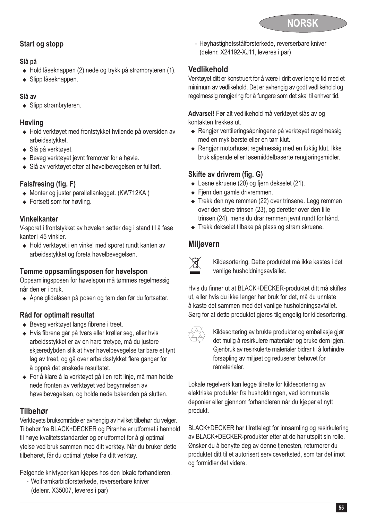

### **Start og stopp**

#### **Slå på**

- ◆ Hold låseknappen (2) nede og trykk på strømbryteren (1).
- $\triangleleft$  Slipp låseknappen.

### **Slå av**

 $\bullet$  Slipp strømbryteren.

### **Høvling**

- <sup>u</sup> Hold verktøyet med frontstykket hvilende på oversiden av arbeidsstykket.
- $\bullet$  Slå på verktøvet.
- $\triangleleft$  Beveg verktøyet jevnt fremover for å høvle.
- ◆ Slå av verktøyet etter at høvelbevegelsen er fullført.

### **Falsfresing (fig. F)**

- $\triangleq$  Monter og juster parallellanlegget. (KW712KA)
- $\bullet$  Fortsett som for høvling.

### **Vinkelkanter**

V-sporet i frontstykket av høvelen setter deg i stand til å fase kanter i 45 vinkler.

◆ Hold verktøvet i en vinkel med sporet rundt kanten av arbeidsstykket og foreta høvelbevegelsen.

### **Tømme oppsamlingsposen for høvelspon**

Oppsamlingsposen for høvelspon må tømmes regelmessig når den er i bruk.

◆ Åpne glidelåsen på posen og tøm den før du fortsetter.

### **Råd for optimalt resultat**

- $\triangleleft$  Beveg verktøyet langs fibrene i treet.
- <sup>u</sup> Hvis fibrene går på tvers eller krøller seg, eller hvis arbeidsstykket er av en hard tretype, må du justere skjæredybden slik at hver høvelbevegelse tar bare et tynt lag av treet, og gå over arbeidsstykket flere ganger for å oppnå det ønskede resultatet.
- ◆ For å klare å la verktøyet gå i en rett linje, må man holde nede fronten av verktøyet ved begynnelsen av høvelbevegelsen, og holde nede bakenden på slutten.

### **Tilbehør**

Verktøyets bruksområde er avhengig av hvilket tilbehør du velger. Tilbehør fra BLACK+DECKER og Piranha er utformet i henhold til høye kvalitetsstandarder og er utformet for å gi optimal ytelse ved bruk sammen med ditt verktøy. Når du bruker dette tilbehøret, får du optimal ytelse fra ditt verktøy.

Følgende knivtyper kan kjøpes hos den lokale forhandleren.

- Wolframkarbidforsterkede, reverserbare kniver (delenr. X35007, leveres i par)

- Høyhastighetsstålforsterkede, reverserbare kniver (delenr. X24192-XJ11, leveres i par)

### **Vedlikehold**

Verktøyet ditt er konstruert for å være i drift over lengre tid med et minimum av vedlikehold. Det er avhengig av godt vedlikehold og regelmessig rengjøring for å fungere som det skal til enhver tid.

**Advarsel!** Før alt vedlikehold må verktøyet slås av og kontakten trekkes ut.

- <sup>u</sup> Rengjør ventileringsåpningene på verktøyet regelmessig med en myk børste eller en tørr klut.
- ◆ Rengjør motorhuset regelmessig med en fuktig klut. Ikke bruk slipende eller løsemiddelbaserte rengjøringsmidler.

### **Skifte av drivrem (fig. G)**

- ◆ Løsne skruene (20) og fjern dekselet (21).
- $\leftarrow$  Fjern den gamle drivremmen.
- ◆ Trekk den nye remmen (22) over trinsene. Legg remmen over den store trinsen (23), og deretter over den lille trinsen (24), mens du drar remmen jevnt rundt for hånd.
- ◆ Trekk dekselet tilbake på plass og stram skruene.

### **Miljøvern**



Kildesortering. Dette produktet må ikke kastes i det vanlige husholdningsavfallet.

Hvis du finner ut at BLACK+DECKER-produktet ditt må skiftes ut, eller hvis du ikke lenger har bruk for det, må du unnlate å kaste det sammen med det vanlige husholdningsavfallet. Sørg for at dette produktet gjøres tilgjengelig for kildesortering.



z Kildesortering av brukte produkter og emballasje gjør det mulig å resirkulere materialer og bruke dem igjen. Gjenbruk av resirkulerte materialer bidrar til å forhindre forsøpling av miljøet og reduserer behovet for råmaterialer.

Lokale regelverk kan legge tilrette for kildesortering av elektriske produkter fra husholdningen, ved kommunale deponier eller gjennom forhandleren når du kjøper et nytt produkt.

BLACK+DECKER har tilrettelagt for innsamling og resirkulering av BLACK+DECKER-produkter etter at de har utspilt sin rolle. Ønsker du å benytte deg av denne tjenesten, returnerer du produktet ditt til et autorisert serviceverksted, som tar det imot og formidler det videre.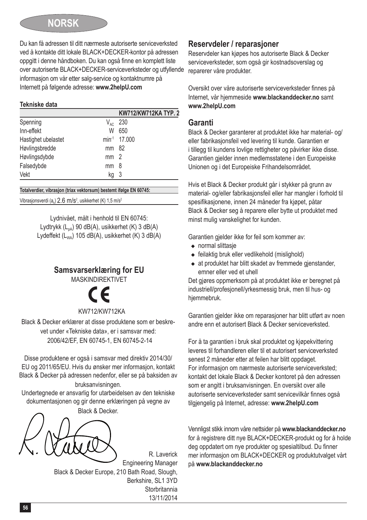

Du kan få adressen til ditt nærmeste autoriserte serviceverksted ved å kontakte ditt lokale BLACK+DECKER-kontor på adressen oppgitt i denne håndboken. Du kan også finne en komplett liste over autoriserte BLACK+DECKER-serviceverksteder og utfyllende informasjon om vår etter salg-service og kontaktnumre på Internett på følgende adresse: **www.2helpU.com**

#### **Tekniske data**

| KW712/KW712KA TYP. 2     |
|--------------------------|
| 230                      |
| 650                      |
| min <sup>-1</sup> 17,000 |
| mm 82                    |
| mm <sub>2</sub>          |
| mm <sub>8</sub>          |
| - 3                      |
|                          |

#### **Totalverdier, vibrasjon (triax vektorsum) bestemt ifølge EN 60745:**

Vibrasjonsverdi (a<sub>h</sub>)  $2.6 \text{ m/s}^2$ , usikkerhet (K) 1,5 m/s<sup>2</sup>

Lydnivået, målt i henhold til EN 60745: Lydtrykk  $(L_{n})$  90 dB(A), usikkerhet (K) 3 dB(A) Lydeffekt (L<sub>WA</sub>) 105 dB(A), usikkerhet (K) 3 dB(A)

### **Samsvarserklæring for EU**

**MASKINDIREKTIVET** 



#### KW712/KW712KA

Black & Decker erklærer at disse produktene som er beskrevet under «Tekniske data», er i samsvar med: 2006/42/EF, EN 60745-1, EN 60745-2-14

Disse produktene er også i samsvar med direktiv 2014/30/ EU og 2011/65/EU. Hvis du ønsker mer informasjon, kontakt Black & Decker på adressen nedenfor, eller se på baksiden av bruksanvisningen.

Undertegnede er ansvarlig for utarbeidelsen av den tekniske dokumentasjonen og gir denne erklæringen på vegne av

Black & Decker.

R. Laverick Engineering Manager Black & Decker Europe, 210 Bath Road, Slough, Berkshire, SL1 3YD **Storbritannia** 13/11/2014

### **Reservdeler / reparasjoner**

Reservdeler kan kjøpes hos autoriserte Black & Decker serviceverksteder, som også gir kostnadsoverslag og reparerer våre produkter.

Oversikt over våre autoriserte serviceverksteder finnes på Internet, vår hjemmeside **www.blackanddecker.no** samt **www.2helpU.com**

### **Garanti**

Black & Decker garanterer at produktet ikke har material- og/ eller fabrikasjonsfeil ved levering til kunde. Garantien er i tillegg til kundens lovlige rettigheter og påvirker ikke disse. Garantien gjelder innen medlemsstatene i den Europeiske Unionen og i det Europeiske Frihandelsområdet.

Hvis et Black & Decker produkt går i stykker på grunn av material- og/eller fabrikasjonsfeil eller har mangler i forhold til spesifikasjonene, innen 24 måneder fra kjøpet, påtar Black & Decker seg å reparere eller bytte ut produktet med minst mulig vanskelighet for kunden.

Garantien gjelder ikke for feil som kommer av:

- $\bullet$  normal slittasie
- $\triangleq$  feilaktig bruk eller vedlikehold (mislighold)
- $\bullet$  at produktet har blitt skadet av fremmede gjenstander. emner eller ved et uhell

Det gjøres oppmerksom på at produktet ikke er beregnet på industriell/profesjonell/yrkesmessig bruk, men til hus- og hiemmebruk.

Garantien gjelder ikke om reparasioner har blitt utført av noen andre enn et autorisert Black & Decker serviceverksted.

For å ta garantien i bruk skal produktet og kjøpekvittering leveres til forhandleren eller til et autorisert serviceverksted senest 2 måneder etter at feilen har blitt oppdaget. For informasjon om nærmeste autoriserte serviceverksted; kontakt det lokale Black & Decker kontoret på den adressen som er angitt i bruksanvisningen. En oversikt over alle autoriserte serviceverksteder samt servicevilkår finnes også tilgjengelig på Internet, adresse: **www.2helpU.com**

Vennligst stikk innom våre nettsider på **www.blackanddecker.no** for å registrere ditt nye BLACK+DECKER-produkt og for å holde deg oppdatert om nye produkter og spesialtilbud. Du finner mer informasjon om BLACK+DECKER og produktutvalget vårt på **www.blackanddecker.no**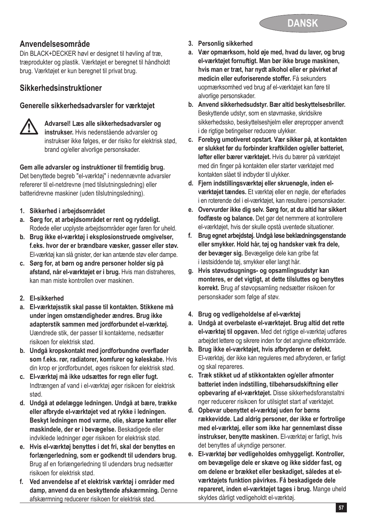

### **Anvendelsesområde**

Din BLACK+DECKER høvl er designet til høvling af træ, træprodukter og plastik. Værktøjet er beregnet til håndholdt brug. Værktøjet er kun beregnet til privat brug.

### **Sikkerhedsinstruktioner**

#### **Generelle sikkerhedsadvarsler for værktøjet**



## @ **Advarsel! Læs alle sikkerhedsadvarsler og instrukser.** Hvis nedenstående advarsler og instrukser ikke følges, er der risiko for elektrisk stød, brand og/eller alvorlige personskader.

**Gem alle advarsler og instruktioner til fremtidig brug.**

Det benyttede begreb "el-værktøj" i nedennævnte advarsler refererer til el-netdrevne (med tilslutningsledning) eller batteridrevne maskiner (uden tilslutningsledning).

- **1. Sikkerhed i arbejdsområdet**
- **a. Sørg for, at arbejdsområdet er rent og ryddeligt.** Rodede eller uoplyste arbejdsområder øger faren for uheld.
- **b. Brug ikke el-værktøj i eksplosionstruede omgivelser, f.eks. hvor der er brændbare væsker, gasser eller støv.** El-værktøj kan slå gnister, der kan antænde støv eller dampe.
- **c. Sørg for, at børn og andre personer holder sig på afstand, når el-værktøjet er i brug.** Hvis man distraheres, kan man miste kontrollen over maskinen.
- **2. El-sikkerhed**
- **a. El-værktøjsstik skal passe til kontakten. Stikkene må under ingen omstændigheder ændres. Brug ikke adapterstik sammen med jordforbundet el-værktøj.** Uændrede stik, der passer til kontakterne, nedsætter risikoen for elektrisk stød.
- **b. Undgå kropskontakt med jordforbundne overflader som f.eks. rør, radiatorer, komfurer og køleskabe.** Hvis din krop er jordforbundet, øges risikoen for elektrisk stød.
- **c. El-værktøj må ikke udsættes for regn eller fugt.** Indtrængen af vand i el-værktøj øger risikoen for elektrisk stød.
- **d. Undgå at ødelægge ledningen. Undgå at bære, trække eller afbryde el-værktøjet ved at rykke i ledningen. Beskyt ledningen mod varme, olie, skarpe kanter eller maskindele, der er i bevægelse.** Beskadigede eller indviklede ledninger øger risikoen for elektrisk stød.
- **e. Hvis el-værktøj benyttes i det fri, skal der benyttes en forlængerledning, som er godkendt til udendørs brug.** Brug af en forlængerledning til udendørs brug nedsætter risikoen for elektrisk stød.
- **f. Ved anvendelse af et elektrisk værktøj i områder med damp, anvend da en beskyttende afskærmning.** Denne afskærmning reducerer risikoen for elektrisk stød.
- **3. Personlig sikkerhed**
- **a. Vær opmærksom, hold øje med, hvad du laver, og brug el-værktøjet fornuftigt. Man bør ikke bruge maskinen, hvis man er træt, har nydt alkohol eller er påvirket af medicin eller euforiserende stoffer.** Få sekunders uopmærksomhed ved brug af el-værktøjet kan føre til alvorlige personskader.
- **b. Anvend sikkerhedsudstyr. Bær altid beskyttelsesbriller.** Beskyttende udstyr, som en støvmaske, skridsikre sikkerhedssko, beskyttelseshjelm eller ørepropper anvendt i de rigtige betingelser reducere ulykker.
- **c. Forebyg umotiveret opstart. Vær sikker på, at kontakten er slukket før du forbinder kraftkilden og/eller batteriet, løfter eller bærer værktøjet.** Hvis du bærer på værktøjet med din finger på kontakten eller starter værktøjet med kontakten slået til indbyder til ulykker.
- **d. Fjern indstillingsværktøj eller skruenøgle, inden elværktøjet tændes.** Et værktøj eller en nøgle, der efterlades i en roterende del i el-værktøjet, kan resultere i personskader.
- **e. Overvurder ikke dig selv. Sørg for, at du altid har sikkert fodfæste og balance.** Det gør det nemmere at kontrollere el-værktøjet, hvis der skulle opstå uventede situationer.
- **f. Brug egnet arbejdstøj. Undgå løse beklædningsgenstande eller smykker. Hold hår, tøj og handsker væk fra dele, der bevæger sig.** Bevægelige dele kan gribe fat i løstsiddende tøj, smykker eller langt hår.
- **g. Hvis støvudsugnings- og opsamlingsudstyr kan monteres, er det vigtigt, at dette tilsluttes og benyttes korrekt.** Brug af støvopsamling nedsætter risikoen for personskader som følge af støv.
- **4. Brug og vedligeholdelse af el-værktøj**
- **a. Undgå at overbelaste el-værktøjet. Brug altid det rette el-værktøj til opgaven.** Med det rigtige el-værktøj udføres arbejdet lettere og sikrere inden for det angivne effektområde.
- **b. Brug ikke el-værktøjet, hvis afbryderen er defekt.** El-værktøj, der ikke kan reguleres med afbryderen, er farligt og skal repareres.
- **c. Træk stikket ud af stikkontakten og/eller afmonter batteriet inden indstilling, tilbehørsudskiftning eller opbevaring af el-værktøjet.** Disse sikkerhedsforanstaltni nger reducerer risikoen for utilsigtet start af værktøjet.
- **d. Opbevar ubenyttet el-værktøj uden for børns rækkevidde. Lad aldrig personer, der ikke er fortrolige med el-værktøj, eller som ikke har gennemlæst disse instrukser, benytte maskinen.** El-værktøj er farligt, hvis det benyttes af ukyndige personer.
- **e. El-værktøj bør vedligeholdes omhyggeligt. Kontroller, om bevægelige dele er skæve og ikke sidder fast, og om delene er brækket eller beskadiget, således at elværktøjets funktion påvirkes. Få beskadigede dele repareret, inden el-værktøjet tages i brug.** Mange uheld skyldes dårligt vedligeholdt el-værktøj.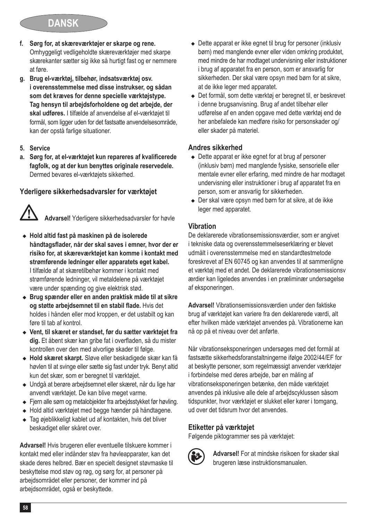## **DANSK**

- **f. Sørg for, at skæreværktøjer er skarpe og rene.** Omhyggeligt vedligeholdte skæreværktøjer med skarpe skærekanter sætter sig ikke så hurtigt fast og er nemmere at føre.
- **g. Brug el-værktøj, tilbehør, indsatsværktøj osv. i overensstemmelse med disse instrukser, og sådan som det kræves for denne specielle værktøjstype. Tag hensyn til arbejdsforholdene og det arbejde, der skal udføres.** I tilfælde af anvendelse af el-værktøjet til formål, som ligger uden for det fastsatte anvendelsesområde, kan der opstå farlige situationer.
- **5. Service**
- **a. Sørg for, at el-værktøjet kun repareres af kvalificerede fagfolk, og at der kun benyttes originale reservedele.** Dermed bevares el-værktøjets sikkerhed.

### **Yderligere sikkerhedsadvarsler for værktøjet**

Advarsel! Yderligere sikkerhedsadvarsler for høvle

- <sup>u</sup> **Hold altid fast på maskinen på de isolerede håndtagsflader, når der skal saves i emner, hvor der er risiko for, at skæreværktøjet kan komme i kontakt med strømførende ledninger eller apparatets eget kabel.**  I tilfælde af at skæretilbehør kommer i kontakt med strømførende ledninger, vil metaldelene på værktøjet være under spænding og give elektrisk stød.
- <sup>u</sup> **Brug spænder eller en anden praktisk måde til at sikre og støtte arbejdsemnet til en stabil flade.** Hvis det holdes i hånden eller mod kroppen, er det ustabilt og kan føre til tab af kontrol.
- <sup>u</sup> **Vent, til skæret er standset, før du sætter værktøjet fra dig.** Et åbent skær kan gribe fat i overfladen, så du mister kontrollen over den med alvorlige skader til følge.
- <sup>u</sup> **Hold skæret skarpt.** Sløve eller beskadigede skær kan få høvlen til at svinge eller sætte sig fast under tryk. Benyt altid kun det skær, som er beregnet til værktøjet.
- ◆ Undgå at berøre arbeidsemnet eller skæret, når du lige har anvendt værktøjet. De kan blive meget varme.
- ◆ Fjern alle søm og metalobjekter fra arbejdsstykket før høvling.
- ◆ Hold altid værktøjet med begge hænder på håndtagene.
- ◆ Tag øjeblikkeligt kablet ud af kontakten, hvis det bliver beskadiget eller skåret over.

**Advarsel!** Hvis brugeren eller eventuelle tilskuere kommer i kontakt med eller indånder støv fra høvleapparater, kan det skade deres helbred. Bær en specielt designet støvmaske til beskyttelse mod støv og røg, og sørg for, at personer på arbejdsområdet eller personer, der kommer ind på arbejdsområdet, også er beskyttede.

- ◆ Dette apparat er ikke egnet til brug for personer (inklusiv børn) med manglende evner eller viden omkring produktet, med mindre de har modtaget undervisning eller instruktioner i brug af apparatet fra en person, som er ansvarlig for sikkerheden. Der skal være opsyn med børn for at sikre, at de ikke leger med apparatet.
- ◆ Det formål, som dette værktøj er beregnet til, er beskrevet i denne brugsanvisning. Brug af andet tilbehør eller udførelse af en anden opgave med dette værktøj end de her anbefalede kan medføre risiko for personskader og/ eller skader på materiel.

### **Andres sikkerhed**

- $\bullet$  Dette apparat er ikke egnet for at brug af personer (inklusiv børn) med manglende fysiske, sensorielle eller mentale evner eller erfaring, med mindre de har modtaget undervisning eller instruktioner i brug af apparatet fra en person, som er ansvarlig for sikkerheden.
- $\bullet$  Der skal være opsyn med børn for at sikre, at de ikke leger med apparatet.

#### **Vibration**

De deklarerede vibrationsemissionsværdier, som er angivet i tekniske data og overensstemmelseserklæring er blevet udmålt i overensstemmelse med en standardtestmetode foreskrevet af EN 60745 og kan anvendes til at sammenligne et værktøj med et andet. De deklarerede vibrationsemissionsv ærdier kan ligeledes anvendes i en præliminær undersøgelse af eksponeringen.

**Advarsel!** Vibrationsemissionsværdien under den faktiske brug af værktøjet kan variere fra den deklarerede værdi, alt efter hvilken måde værktøjet anvendes på. Vibrationerne kan nå op på et niveau over det anførte.

Når vibrationseksponeringen undersøges med det formål at fastsætte sikkerhedsforanstaltningerne ifølge 2002/44/EF for at beskytte personer, som regelmæssigt anvender værktøjer i forbindelse med deres arbejde, bør en måling af vibrationseksponeringen betænke, den måde værktøjet anvendes på inklusive alle dele af arbejdscyklussen såsom tidspunkter, hvor værktøjet er slukket eller kører i tomgang, ud over det tidsrum hvor det anvendes.

### **Etiketter på værktøjet**

Følgende piktogrammer ses på værktøjet:



: **Advarsel!** For at mindske risikoen for skader skal brugeren læse instruktionsmanualen.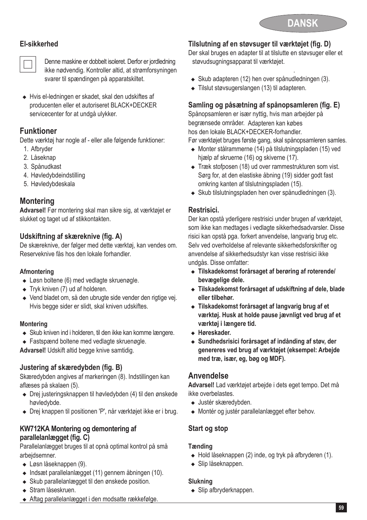

### **El-sikkerhed**



**Denne maskine er dobbelt isoleret. Derfor er jordledning**<br>ikke nødvendig. Kontroller altid, at strømforsyningen svarer til spændingen på apparatskiltet.

◆ Hvis el-ledningen er skadet, skal den udskiftes af producenten eller et autoriseret BLACK+DECKER servicecenter for at undgå ulykker.

### **Funktioner**

Dette værktøj har nogle af - eller alle følgende funktioner:

- 1. Afbryder
- 2. Låseknap
- 3. Spånudkast
- 4. Høvledybdeindstilling
- 5. Høvledybdeskala

### **Montering**

**Advarsel!** Før montering skal man sikre sig, at værktøjet er slukket og taget ud af stikkontakten.

### **Udskiftning af skæreknive (fig. A)**

De skæreknive, der følger med dette værktøj, kan vendes om. Reserveknive fås hos den lokale forhandler.

### **Afmontering**

- $\bullet$  Løsn boltene (6) med vedlagte skruenøgle.
- $\bullet$  Tryk kniven (7) ud af holderen.
- ◆ Vend bladet om, så den ubrugte side vender den rigtige vei. Hvis begge sider er slidt, skal kniven udskiftes.

### **Montering**

- ◆ Skub kniven ind i holderen, til den ikke kan komme længere.
- ◆ Fastspænd boltene med vedlagte skruenøgle.

**Advarsel!** Udskift altid begge knive samtidig.

### **Justering af skæredybden (fig. B)**

Skæredybden angives af markeringen (8). Indstillingen kan aflæses på skalaen (5).

- ◆ Drej justeringsknappen til høvledybden (4) til den ønskede høvledybde.
- ◆ Drej knappen til positionen 'P', når værktøjet ikke er i brug.

#### **KW712KA Montering og demontering af parallelanlægget (fig. C)**

Parallelanlægget bruges til at opnå optimal kontrol på små arbejdsemner.

- $\triangleleft$  Løsn låseknappen (9).
- $\bullet$  Indsæt parallelanlægget (11) gennem åbningen (10).
- Skub parallelanlægget til den ønskede position.
- Stram låseskruen.
- ◆ Aftag parallelanlægget i den modsatte rækkefølge.

### **Tilslutning af en støvsuger til værktøjet (fig. D)**

Der skal bruges en adapter til at tilslutte en støvsuger eller et støvudsugningsapparat til værktøjet.

- . • Skub adapteren (12) hen over spånudledningen (3).
- $\bullet$  Tilslut støvsugerslangen (13) til adapteren.

### **Samling og påsætning af spånopsamleren (fig. E)**

Spånopsamleren er især nyttig, hvis man arbejder på begrænsede områder. Adapteren kan købes hos den lokale BLACK+DECKER-forhandler.

Før værktøjet bruges første gang, skal spånopsamleren samles.

- <sup>u</sup> Monter stålrammerne (14) på tilslutningspladen (15) ved hjælp af skruerne (16) og skiverne (17).
- $\triangleleft$  Træk stofposen (18) ud over rammestrukturen som vist. Sørg for, at den elastiske åbning (19) sidder godt fast omkring kanten af tilslutningspladen (15).
- Skub tilslutningspladen hen over spånudledningen (3).

### **Restrisici.**

Der kan opstå yderligere restrisici under brugen af værktøjet, som ikke kan medtages i vedlagte sikkerhedsadvarsler. Disse risici kan opstå pga. forkert anvendelse, langvarig brug etc. Selv ved overholdelse af relevante sikkerhedsforskrifter og anvendelse af sikkerhedsudstyr kan visse restrisici ikke undgås. Disse omfatter:

- <sup>u</sup> **Tilskadekomst forårsaget af berøring af roterende/ bevægelige dele.**
- <sup>u</sup> **Tilskadekomst forårsaget af udskiftning af dele, blade eller tilbehør.**
- ◆ Tilskadekomst forårsaget af langvarig brug af et **værktøj. Husk at holde pause jævnligt ved brug af et værktøj i længere tid.**
- <sup>u</sup> **Høreskader.**
- <sup>u</sup> **Sundhedsrisici forårsaget af indånding af støv, der genereres ved brug af værktøjet (eksempel: Arbejde med træ, især, eg, bøg og MDF).**

### **Anvendelse**

**Advarsel!** Lad værktøjet arbejde i dets eget tempo. Det må ikke overbelastes.

- <sup>u</sup> Justér skæredybden.
- ◆ Montér og justér parallelanlægget efter behov.

### **Start og stop**

### **Tænding**

- $\bullet$  Hold låseknappen (2) inde, og tryk på afbryderen (1).
- $\bullet$  Slip låseknappen.

### **Slukning**

 $\triangleleft$  Slip afbryderknappen.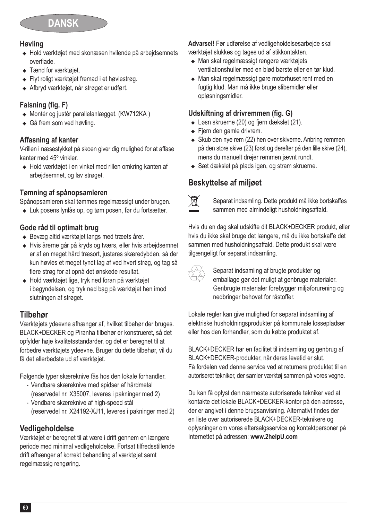

### **Høvling**

- ◆ Hold værktøjet med skonæsen hvilende på arbeidsemnets overflade.
- Tænd for værktøjet.
- ◆ Flyt roligt værktøjet fremad i et høylestrøg.
- <sup>u</sup> Afbryd værktøjet, når strøget er udført.

### **Falsning (fig. F)**

- $\bullet$  Montér og justér parallelanlægget. (KW712KA)
- $\triangleleft$  Gå frem som ved høvling.

#### **Affasning af kanter**

V-rillen i næsestykket på skoen giver dig mulighed for at affase kanter med 45º vinkler.

◆ Hold værktøjet i en vinkel med rillen omkring kanten af arbejdsemnet, og lav strøget.

#### **Tømning af spånopsamleren**

Spånopsamleren skal tømmes regelmæssigt under brugen.

◆ Luk posens lynlås op, og tøm posen, før du fortsætter.

#### **Gode råd til optimalt brug**

- <sup>u</sup> Bevæg altid værktøjet langs med træets årer.
- <sup>u</sup> Hvis årerne går på kryds og tværs, eller hvis arbejdsemnet er af en meget hård træsort, justeres skæredybden, så der kun høvles et meget tyndt lag af ved hvert strøg, og tag så flere strøg for at opnå det ønskede resultat.
- <sup>u</sup> Hold værktøjet lige, tryk ned foran på værktøjet i begyndelsen, og tryk ned bag på værktøjet hen imod slutningen af strøget.

### **Tilbehør**

Værktøjets ydeevne afhænger af, hvilket tilbehør der bruges. BLACK+DECKER og Piranha tilbehør er konstrueret, så det opfylder høje kvalitetsstandarder, og det er beregnet til at forbedre værktøjets ydeevne. Bruger du dette tilbehør, vil du få det allerbedste ud af værktøjet.

Følgende typer skæreknive fås hos den lokale forhandler.

- Vendbare skæreknive med spidser af hårdmetal (reservedel nr. X35007, leveres i pakninger med 2)
- Vendbare skæreknive af high-speed stål (reservedel nr. X24192-XJ11, leveres i pakninger med 2)

### **Vedligeholdelse**

Værktøjet er beregnet til at være i drift gennem en længere periode med minimal vedligeholdelse. Fortsat tilfredsstillende drift afhænger af korrekt behandling af værktøjet samt regelmæssig rengøring.

**Advarsel!** Før udførelse af vedligeholdelsesarbejde skal værktøjet slukkes og tages ud af stikkontakten.

- Man skal regelmæssigt rengøre værktøjets ventilationshuller med en blød børste eller en tør klud.
- Man skal regelmæssigt gøre motorhuset rent med en fugtig klud. Man må ikke bruge slibemidler eller opløsningsmidler.

### **Udskiftning af drivremmen (fig. G)**

- ◆ Løsn skruerne (20) og fjern dækslet (21).
- $\leftarrow$  Fjern den gamle drivrem.
- $\triangleleft$  Skub den nye rem (22) hen over skiverne. Anbring remmen på den store skive (23) først og derefter på den lille skive (24), mens du manuelt drejer remmen jævnt rundt.
- ◆ Sæt dækslet på plads igen, og stram skruerne.

### **Beskyttelse af miljøet**



Separat indsamling. Dette produkt må ikke bortskaffes sammen med almindeligt husholdningsaffald.

Hvis du en dag skal udskifte dit BLACK+DECKER produkt, eller hvis du ikke skal bruge det længere, må du ikke bortskaffe det sammen med husholdningsaffald. Dette produkt skal være tilgængeligt for separat indsamling.

Separat indsamling af brugte produkter og<br>emballage gør det muligt at genbruge materialer. Genbrugte materialer forebygger miljøforurening og nedbringer behovet for råstoffer.

Lokale regler kan give mulighed for separat indsamling af elektriske husholdningsprodukter på kommunale lossepladser eller hos den forhandler, som du købte produktet af.

BLACK+DECKER har en facilitet til indsamling og genbrug af BLACK+DECKER-produkter, når deres levetid er slut. Få fordelen ved denne service ved at returnere produktet til en autoriseret tekniker, der samler værktøj sammen på vores vegne.

Du kan få oplyst den nærmeste autoriserede tekniker ved at kontakte det lokale BLACK+DECKER-kontor på den adresse, der er angivet i denne brugsanvisning. Alternativt findes der en liste over autoriserede BLACK+DECKER-teknikere og oplysninger om vores eftersalgsservice og kontaktpersoner på Internettet på adressen: **www.2helpU.com**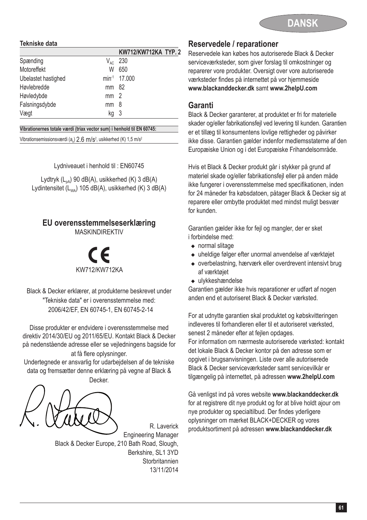

#### **Tekniske data**

|                     |                 | KW712/KW712KA TYP. 2 |
|---------------------|-----------------|----------------------|
| Spænding            | $V_{AC}$        | 230                  |
| Motoreffekt         | W               | 650                  |
| Ubelastet hastighed |                 | min-1 17,000         |
| Høvlebredde         | mm 82           |                      |
| Høvledybde          | mm <sub>2</sub> |                      |
| Falsningsdybde      | mm              | 8                    |
| Vægt                | ka              | -3                   |

**Vibrationernes totale værdi (triax vector sum) i henhold til EN 60745:**

Vibrationsemissionsværdi (a<sub>h</sub>)  $2.6\,$  M/s<sup>2</sup>, usikkerhed (K) 1,5 m/s<sup>2</sup>

Lydniveauet i henhold til : EN60745

Lydtryk  $(L_{pA})$  90 dB(A), usikkerhed (K) 3 dB(A) Lydintensitet  $(L_{\text{max}})$  105 dB(A), usikkerhed (K) 3 dB(A)

### **EU overensstemmelseserklæring**

MASKINDIREKTIV

 KW712 /KW712KA %

Black & Decker erklærer, at produkterne beskrevet under "Tekniske data" er i overensstemmelse med: 2006/42/EF, EN 60745-1, EN 60745-2-14

Disse produkter er endvidere i overensstemmelse med direktiv 2014/30/EU og 2011/65/EU. Kontakt Black & Decker på nedenstående adresse eller se vejledningens bagside for at få flere oplysninger.

Undertegnede er ansvarlig for udarbejdelsen af de tekniske data og fremsætter denne erklæring på vegne af Black & Decker.

R. Laverick Engineering Manager Black & Decker Europe, 210 Bath Road, Slough, Berkshire, SL1 3YD **Storbritannien** 13/11/2014

#### **Reservedele / reparationer**

Reservedele kan købes hos autoriserede Black & Decker serviceværksteder, som giver forslag til omkostninger og reparerer vore produkter. Oversigt over vore autoriserede værksteder findes på internettet på vor hjemmeside **www.blackanddecker.dk** samt **www.2helpU.com**

#### **Garanti**

Black & Decker garanterer, at produktet er fri for materielle skader og/eller fabrikationsfejl ved levering til kunden. Garantien er et tillæg til konsumentens lovlige rettigheder og påvirker ikke disse. Garantien gælder indenfor medlemsstaterne af den Europæiske Union og i det Europæiske Frihandelsområde.

Hvis et Black & Decker produkt går i stykker på grund af materiel skade og/eller fabrikationsfejl eller på anden måde ikke fungerer i overensstemmelse med specifikationen, inden for 24 måneder fra købsdatoen, påtager Black & Decker sig at reparere eller ombytte produktet med mindst muligt besvær for kunden.

Garantien gælder ikke for fejl og mangler, der er sket i forbindelse med:

- $\bullet$  normal slitage
- <sup>u</sup> uheldige følger efter unormal anvendelse af værktøjet
- $\bullet$  overbelastning, hærværk eller overdrevent intensivt brug af værktøjet
- $\bullet$  ulykkeshændelse

Garantien gælder ikke hvis reparationer er udført af nogen anden end et autoriseret Black & Decker værksted.

For at udnytte garantien skal produktet og købskvitteringen indleveres til forhandleren eller til et autoriseret værksted, senest 2 måneder efter at fejlen opdages.

For information om nærmeste autoriserede værksted: kontakt det lokale Black & Decker kontor på den adresse som er opgivet i brugsanvisningen. Liste over alle autoriserede Black & Decker serviceværksteder samt servicevilkår er tilgængelig på internettet, på adressen **www.2helpU.com**

Gå venligst ind på vores website **www.blackanddecker.dk** for at registrere dit nye produkt og for at blive holdt ajour om nye produkter og specialtilbud. Der findes yderligere oplysninger om mærket BLACK+DECKER og vores produktsortiment på adressen **www.blackanddecker.dk**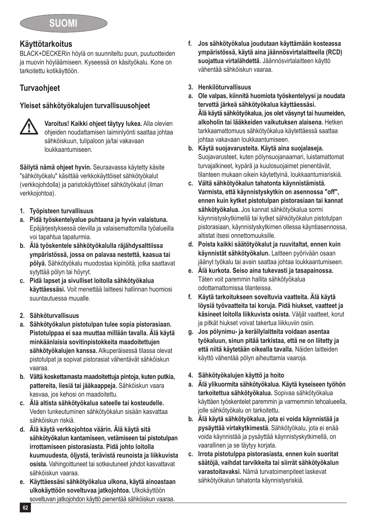### **Käyttötarkoitus**

BLACK+DECKERin höylä on suunniteltu puun, puutuotteiden ja muovin höyläämiseen. Kyseessä on käsityökalu. Kone on tarkoitettu kotikäyttöön.

### **Turvaohjeet**

### **Yleiset sähkötyökalujen turvallisuusohjeet**



**//\/** Varoitus! Kaikki ohjeet täytyy lukea. Alla olevien<br>ohjeiden noudattamisen laiminlyönti saattaa johtaa sähköiskuun, tulipaloon ja/tai vakavaan loukkaantumiseen.

**Säilytä nämä ohjeet hyvin.** Seuraavassa käytetty käsite "sähkötyökalu" käsittää verkkokäyttöiset sähkötyökalut (verkkojohdolla) ja paristokäyttöiset sähkötyökalut (ilman verkkojohtoa).

- **1. Työpisteen turvallisuus**
- **a. Pidä työskentelyalue puhtaana ja hyvin valaistuna.** Epäjärjestyksessä olevilla ja valaisemattomilla työalueilla voi tapahtua tapaturmia.
- **b. Älä työskentele sähkötyökalulla räjähdysalttiissa ympäristössä, jossa on palavaa nestettä, kaasua tai pölyä.** Sähkötyökalu muodostaa kipinöitä, jotka saattavat sytyttää pölyn tai höyryt.
- **c. Pidä lapset ja sivulliset loitolla sähkötyökalua käyttäessäsi.** Voit menettää laitteesi hallinnan huomiosi suuntautuessa muualle.
- **2. Sähköturvallisuus**
- **a. Sähkötyökalun pistotulpan tulee sopia pistorasiaan. Pistotulppaa ei saa muuttaa millään tavalla. Älä käytä minkäänlaisia sovitinpistokkeita maadoitettujen sähkötyökalujen kanssa.** Alkuperäisessä tilassa olevat pistotulpat ja sopivat pistorasiat vähentävät sähköiskun vaaraa.
- **b. Vältä koskettamasta maadoitettuja pintoja, kuten putkia, pattereita, liesiä tai jääkaappeja.** Sähköiskun vaara kasvaa, jos kehosi on maadoitettu.
- **c. Älä altista sähkötyökalua sateelle tai kosteudelle.** Veden tunkeutuminen sähkötyökalun sisään kasvattaa sähköiskun riskiä.
- **d. Älä käytä verkkojohtoa väärin. Älä käytä sitä sähkötyökalun kantamiseen, vetämiseen tai pistotulpan irrottamiseen pistorasiasta. Pidä johto loitolla kuumuudesta, öljystä, terävistä reunoista ja liikkuvista osista.** Vahingoittuneet tai sotkeutuneet johdot kasvattavat sähköiskun vaaraa.
- **e. Käyttäessäsi sähkötyökalua ulkona, käytä ainoastaan ulkokäyttöön soveltuvaa jatkojohtoa.** Ulkokäyttöön soveltuvan jatkojohdon käyttö pienentää sähköiskun vaaraa.
- **f. Jos sähkötyökalua joudutaan käyttämään kosteassa ympäristössä, käytä aina jäännösvirtalaitteella (RCD) suojattua virtalähdettä.** Jäännösvirtalaitteen käyttö vähentää sähköiskun vaaraa.
- **3. Henkilöturvallisuus**
- **a. Ole valpas, kiinnitä huomiota työskentelyysi ja noudata tervettä järkeä sähkötyökalua käyttäessäsi. Älä käytä sähkötyökalua, jos olet väsynyt tai huumeiden, alkoholin tai lääkkeiden vaikutuksen alaisena.** Hetken tarkkaamattomuus sähkötyökalua käytettäessä saattaa johtaa vakavaan loukkaantumiseen.
- **b. Käytä suojavarusteita. Käytä aina suojalaseja.** Suojavarusteet, kuten pölynsuojanaamari, luistamattomat turvajalkineet, kypärä ja kuulosuojaimet pienentävät, tilanteen mukaan oikein käytettyinä, loukkaantumisriskiä.
- **c. Vältä sähkötyökalun tahatonta käynnistämistä. Varmista, että käynnistyskytkin on asennossa "off", ennen kuin kytket pistotulpan pistorasiaan tai kannat sähkötyökalua.** Jos kannat sähkötyökalua sormi käynnistyskytkimellä tai kytket sähkötyökalun pistotulpan pistorasiaan, käynnistyskytkimen ollessa käyntiasennossa, altistat itsesi onnettomuuksille.
- **d. Poista kaikki säätötyökalut ja ruuvitaltat, ennen kuin käynnistät sähkötyökalun.** Laitteen pyörivään osaan jäänyt työkalu tai avain saattaa johtaa loukkaantumiseen.
- **e. Älä kurkota. Seiso aina tukevasti ja tasapainossa.** Täten voit paremmin hallita sähkötyökalua odottamattomissa tilanteissa.
- **f. Käytä tarkoitukseen soveltuvia vaatteita. Älä käytä löysiä työvaatteita tai koruja. Pidä hiukset, vaatteet ja käsineet loitolla liikkuvista osista.** Väljät vaatteet, korut ja pitkät hiukset voivat takertua liikkuviin osiin.
- **g. Jos pölynimu- ja keräilylaitteita voidaan asentaa työkaluun, sinun pitää tarkistaa, että ne on liitetty ja että niitä käytetään oikealla tavalla.** Näiden laitteiden käyttö vähentää pölyn aiheuttamia vaaroja.
- **4. Sähkötyökalujen käyttö ja hoito**
- **a. Älä ylikuormita sähkötyökalua. Käytä kyseiseen työhön tarkoitettua sähkötyökalua.** Sopivaa sähkötyökalua käyttäen työskentelet paremmin ja varmemmin tehoalueella, jolle sähkötyökalu on tarkoitettu.
- **b. Älä käytä sähkötyökalua, jota ei voida käynnistää ja pysäyttää virtakytkimestä.** Sähkötyökalu, jota ei enää voida käynnistää ja pysäyttää käynnistyskytkimellä, on vaarallinen ja se täytyy korjata.
- **c. Irrota pistotulppa pistorasiasta, ennen kuin suoritat säätöjä, vaihdat tarvikkeita tai siirrät sähkötyökalun varastoitavaksi.** Nämä turvatoimenpiteet laskevat sähkötyökalun tahatonta käynnistysriskiä.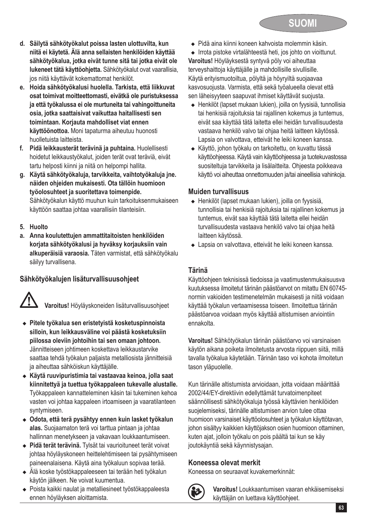

- **d. Säilytä sähkötyökalut poissa lasten ulottuvilta, kun niitä ei käytetä. Älä anna sellaisten henkilöiden käyttää sähkötyökalua, jotka eivät tunne sitä tai jotka eivät ole lukeneet tätä käyttöohjetta.** Sähkötyökalut ovat vaarallisia, jos niitä käyttävät kokemattomat henkilöt.
- **e. Hoida sähkötyökalusi huolella. Tarkista, että liikkuvat osat toimivat moitteettomasti, eivätkä ole puristuksessa ja että työkalussa ei ole murtuneita tai vahingoittuneita osia, jotka saattaisivat vaikuttaa haitallisesti sen toimintaan. Korjauta mahdolliset viat ennen käyttöönottoa.** Moni tapaturma aiheutuu huonosti huolletuista laitteista.
- **f. Pidä leikkausterät terävinä ja puhtaina.** Huolellisesti hoidetut leikkaustyökalut, joiden terät ovat teräviä, eivät tartu helposti kiinni ja niitä on helpompi hallita.
- **g. Käytä sähkötyökaluja, tarvikkeita, vaihtotyökaluja jne. näiden ohjeiden mukaisesti. Ota tällöin huomioon työolosuhteet ja suoritettava toimenpide.** Sähkötyökalun käyttö muuhun kuin tarkoituksenmukaiseen käyttöön saattaa johtaa vaarallisiin tilanteisiin.
- **5. Huolto**
- **a. Anna koulutettujen ammattitaitoisten henkilöiden korjata sähkötyökalusi ja hyväksy korjauksiin vain alkuperäisiä varaosia.** Täten varmistat, että sähkötyökalu säilyy turvallisena.

### **Sähkötyökalujen lisäturvallisuusohjeet**

@ **Varoitus!** Höyläyskoneiden lisäturvallisuusohjeet

- <sup>u</sup> **Pitele työkalua sen eristetyistä kosketuspinnoista silloin, kun leikkausväline voi päästä kosketuksiin piilossa oleviin johtoihin tai sen omaan johtoon.**  Jännitteiseen johtimeen koskettava leikkaustarvike saattaa tehdä työkalun paljaista metalliosista jännitteisiä ja aiheuttaa sähköiskun käyttäjälle.
- <sup>u</sup> **Käytä ruuvipuristimia tai vastaavaa keinoa, jolla saat kiinnitettyä ja tuettua työkappaleen tukevalle alustalle.**  Työkappaleen kannatteleminen käsin tai tukeminen kehoa vasten voi johtaa kappaleen irtoamiseen ja vaaratilanteen syntymiseen.
- <sup>u</sup> **Odota, että terä pysähtyy ennen kuin lasket työkalun alas.** Suojaamaton terä voi tarttua pintaan ja johtaa hallinnan menetykseen ja vakavaan loukkaantumiseen.
- <sup>u</sup> **Pidä terät terävinä.** Tylsät tai vaurioituneet terät voivat johtaa höyläyskoneen heittelehtimiseen tai pysähtymiseen paineenalaisena. Käytä aina työkaluun sopivaa terää.
- <sup>u</sup> Älä koske työstökappaleeseen tai terään heti työkalun käytön jälkeen. Ne voivat kuumentua.
- <sup>u</sup> Poista kaikki naulat ja metalliesineet työstökappaleesta ennen höyläyksen aloittamista.

◆ Pidä aina kiinni koneen kahvoista molemmin käsin.

◆ Irrota pistoke virtalähteestä heti, jos johto on vioittunut.

**Varoitus!** Höyläyksestä syntyvä pöly voi aiheuttaa terveyshaittoja käyttäjälle ja mahdollisille sivullisille. Käytä erityismuotoiltua, pölyltä ja höyryiltä suojaavaa kasvosuojusta. Varmista, että sekä työalueella olevat että sen läheisyyteen saapuvat ihmiset käyttävät suojusta.

- ◆ Henkilöt (lapset mukaan lukien), joilla on fyysisiä, tunnollisia tai henkisiä rajoituksia tai rajallinen kokemus ja tuntemus, eivät saa käyttää tätä laitetta ellei heidän turvallisuudesta vastaava henkilö valvo tai ohjaa heitä laitteen käytössä. Lapsia on valvottava, etteivät he leiki koneen kanssa.
- <sup>u</sup> Käyttö, johon työkalu on tarkoitettu, on kuvattu tässä käyttöohjeessa. Käytä vain käyttöohjeessa ja tuotekuvastossa suositeltuja tarvikkeita ja lisälaitteita. Ohjeesta poikkeava käyttö voi aiheuttaa onnettomuuden ja/tai aineellisia vahinkoja.

#### **Muiden turvallisuus**

- ◆ Henkilöt (lapset mukaan lukien), joilla on fyysisiä, tunnollisia tai henkisiä rajoituksia tai rajallinen kokemus ja tuntemus, eivät saa käyttää tätä laitetta ellei heidän turvallisuudesta vastaava henkilö valvo tai ohjaa heitä laitteen käytössä.
- Lapsia on valvottava, etteivät he leiki koneen kanssa.

### **Tärinä**

Käyttöohjeen teknisissä tiedoissa ja vaatimustenmukaisuusva kuutuksessa ilmoitetut tärinän päästöarvot on mitattu EN 60745 normin vakioiden testimenetelmän mukaisesti ja niitä voidaan käyttää työkalun vertaamisessa toiseen. Ilmoitettua tärinän päästöarvoa voidaan myös käyttää altistumisen arviointiin ennakolta.

**Varoitus!** Sähkötyökalun tärinän päästöarvo voi varsinaisen käytön aikana poiketa ilmoitetusta arvosta riippuen siitä, millä tavalla työkalua käytetään. Tärinän taso voi kohota ilmoitetun tason yläpuolelle.

Kun tärinälle altistumista arvioidaan, jotta voidaan määrittää 2002/44/EY-direktiivin edellyttämät turvatoimenpiteet säännöllisesti sähkötyökaluja työssä käyttävien henkilöiden suojelemiseksi, tärinälle altistumisen arvion tulee ottaa huomioon varsinaiset käyttöolosuhteet ja työkalun käyttötavan, johon sisältyy kaikkien käyttöjakson osien huomioon ottaminen, kuten ajat, jolloin työkalu on pois päältä tai kun se käy joutokäyntiä sekä käynnistysajan.

### **Koneessa olevat merkit**

Koneessa on seuraavat kuvakemerkinnät:



: **Varoitus!** Loukkaantumisen vaaran ehkäisemiseksi käyttäjän on luettava käyttöohjeet.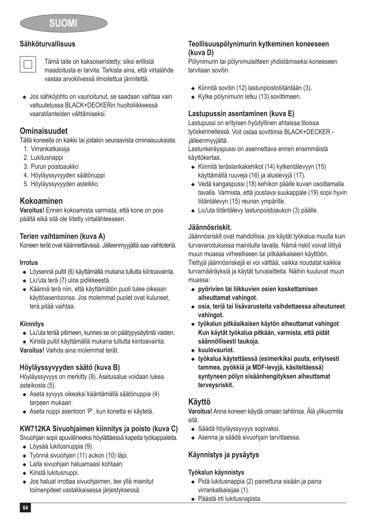#### **Sähköturvallisuus**



# Tämä laite on kaksoiseristetty; siksi erillistä maadoitusta ei tarvita. Tarkista aina, että virtalähde vastaa arvokilvessä ilmoitettua jännitettä.

◆ Jos sähköjohto on vaurioitunut, se saadaan vaihtaa vain valtuutetussa BLACK+DECKERin huoltoliikkeessä vaaratilanteiden välttämiseksi.

### **Ominaisuudet**

Tällä koneella on kaikki tai joitakin seuraavista ominaisuuksista.

- 1. Virrankatkaisija
- 2. Lukitusnappi
- 3. Purun poistoaukko
- 4. Höyläyssyvyyden säätönuppi
- 5. Höyläyssyvyyden asteikko

### **Kokoaminen**

**Varoitus!** Ennen kokoamista varmista, että kone on pois päältä eikä sitä ole liitetty virtalähteeseen.

### **Terien vaihtaminen (kuva A)**

Koneen terät ovat käännettävissä. Jälleenmyyjältä saa vaihtoteriä.

#### **Irrotus**

- ◆ Löysennä pultit (6) käyttämällä mukana tullutta kiintoavainta.
- Liu'uta terä (7) ulos pidikkeestä.
- <sup>u</sup> Käännä terä niin, että käyttämätön puoli tulee oikeaan käyttöasentoonsa. Jos molemmat puolet ovat kuluneet, terä pitää vaihtaa.

#### **Kiinnitys**

- Liu'uta terää pitimeen, kunnes se on päätypysäytintä vasten.
- <sup>u</sup> Kiristä pultit käyttämällä mukana tullutta kiintoavainta.

**Varoitus!** Vaihda aina molemmat terät.

### **Höyläyssyvyyden säätö (kuva B)**

Höyläyssyvyys on merkitty (8). Asetusalue voidaan lukea asteikosta (5).

- <sup>u</sup> Aseta syvyys oikeaksi kääntämällä säätönuppia (4) tarpeen mukaan.
- <sup>u</sup> Aseta nuppi asentoon 'P', kun konetta ei käytetä.

### **KW712KA Sivuohjaimen kiinnitys ja poisto (kuva C)**

Sivuohjain sopii apuvälineeksi höylättäessä kapeita työkappaleita.

- Lövsää lukitusnuppia (9).
- ◆ Työnnä sivuohjain (11) aukon (10) läpi.
- Laita sivuohjain haluamaasi kohtaan.
- **Kiristä lukitusnuppi**
- Jos haluat irrottaa sivuohjaimen, tee yllä mainitut toimenpiteet vastakkaisessa järjestyksessä.

#### **Teollisuuspölynimurin kytkeminen koneeseen (kuva D)**

Pölynimurin tai pölynimulaitteen yhdistämiseksi koneeseen tarvitaan sovitin

- ◆ Kiinnitä sovitin (12) lastunpoistoliitäntään (3).
- $\triangleq$  Kytke pölynimurin letku (13) sovittimeen.

### **Lastupussin asentaminen (kuva E)**

Lastupussi on erityisen hyödyllinen ahtaissa tiloissa työskennellessä. Voit ostaa sovittimia BLACK+DECKER jälleenmyyjältä.

Lastunkeräyspussi on asennettava ennen ensimmäistä käyttökertaa.

- $\bullet$  Kiinnitä teräslankakehikot (14) kytkentälevyyn (15) käyttämällä ruuveja (16) ja aluslevyjä (17).
- <sup>u</sup> Vedä kangaspussi (18) kehikon päälle kuvan osoittamalla tavalla. Varmista, että joustava suukappale (19) sopii hyvin liitäntälevyn (15) reunan ympärille.
- Liu'uta liitäntälevy lastunpoistoaukon (3) päälle.

### **Jäännösriskit.**

Jäännösriskit ovat mahdollisia, jos käytät työkalua muulla kuin turvavaroituksissa mainitulla tavalla. Nämä riskit voivat liittyä muun muassa virheelliseen tai pitkäaikaiseen käyttöön.

Tiettyjä jäännösriskejä ei voi välttää, vaikka noudatat kaikkia turvamääräyksiä ja käytät turvalaitteita. Näihin kuuluvat muun muassa:

- ◆ pyörivien tai liikkuvien osien koskettamisen **aiheuttamat vahingot.**
- <sup>u</sup> **osia, teriä tai lisävarusteita vaihdettaessa aiheutuneet vahingot.**
- <sup>u</sup> **työkalun pitkäaikaisen käytön aiheuttamat vahingot Kun käytät työkalua pitkään, varmista, että pidät säännöllisesti taukoja.**
- $\triangleleft$  kuulovauriot.
- <sup>u</sup> **työkalua käytettäessä (esimerkiksi puuta, erityisesti tammea, pyökkiä ja MDF-levyjä, käsiteltäessä) syntyneen pölyn sisäänhengityksen aiheuttamat terveysriskit.**

### **Käyttö**

**Varoitus!** Anna koneen käydä omaan tahtiinsa. Älä ylikuormita sitä.

- ◆ Säädä höyläyssyvyys sopivaksi.
- <sup>u</sup> Asenna ja säädä sivuohjain tarvittaessa.

### **Käynnistys ja pysäytys**

#### **Työkalun käynnistys**

- ◆ Pidä lukitusnappia (2) painettuna sisään ja paina virrankatkaisijaa (1).
- <sup>u</sup> Päästä irti lukitusnapista.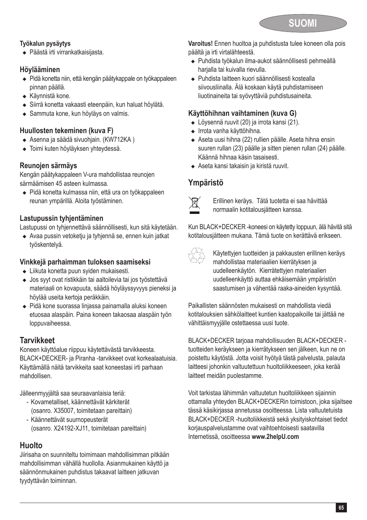

#### **Työkalun pysäytys**

◆ Päästä irti virrankatkaisijasta.

### **Höylääminen**

- ◆ Pidä konetta niin, että kengän päätykappale on työkappaleen pinnan päällä.
- $\triangleleft$  Käynnistä kone.
- <sup>u</sup> Siirrä konetta vakaasti eteenpäin, kun haluat höylätä.
- Sammuta kone, kun höyläys on valmis.

#### **Huullosten tekeminen (kuva F)**

- ◆ Asenna ja säädä sivuohjain. (KW712KA)
- Toimi kuten höyläyksen yhteydessä.

#### **Reunojen särmäys**

Kengän päätykappaleen V-ura mahdollistaa reunojen särmäämisen 45 asteen kulmassa.

◆ Pidä konetta kulmassa niin, että ura on työkappaleen reunan ympärillä. Aloita työstäminen.

### **Lastupussin tyhjentäminen**

Lastupussi on tyhjennettävä säännöllisesti, kun sitä käytetään.

<sup>u</sup> Avaa pussin vetoketju ja tyhjennä se, ennen kuin jatkat työskentelyä.

### **Vinkkejä parhaimman tuloksen saamiseksi**

- $\bullet$  Liikuta konetta puun syiden mukaisesti.
- Jos syyt ovat ristikkäin tai aaltoilevia tai jos työstettävä materiaali on kovapuuta, säädä höyläyssyvyys pieneksi ja höylää useita kertoja peräkkäin.
- ◆ Pidä kone suorassa linjassa painamalla aluksi koneen etuosaa alaspäin. Paina koneen takaosaa alaspäin työn loppuvaiheessa.

### **Tarvikkeet**

Koneen käyttöalue riippuu käytettävästä tarvikkeesta. BLACK+DECKER- ja Piranha -tarvikkeet ovat korkealaatuisia. Käyttämällä näitä tarvikkeita saat koneestasi irti parhaan mahdollisen.

Jälleenmyyjältä saa seuraavanlaisia teriä:

- Kovametalliset, käännettävät kärkiterät (osanro. X35007, toimitetaan pareittain)
- Käännettävät suurnopeusterät (osanro. X24192-XJ11, toimitetaan pareittain)

### **Huolto**

Jiirisaha on suunniteltu toimimaan mahdollisimman pitkään mahdollisimman vähällä huollolla. Asianmukainen käyttö ja säännönmukainen puhdistus takaavat laitteen jatkuvan tyydyttävän toiminnan.

**Varoitus!** Ennen huoltoa ja puhdistusta tulee koneen olla pois päältä ja irti virtalähteestä.

- <sup>u</sup> Puhdista työkalun ilma-aukot säännöllisesti pehmeällä harialla tai kuivalla rievulla.
- <sup>u</sup> Puhdista laitteen kuori säännöllisesti kostealla siivousliinalla. Älä koskaan käytä puhdistamiseen liuotinaineita tai syövyttäviä puhdistusaineita.

### **Käyttöhihnan vaihtaminen (kuva G)**

- ◆ Löysennä ruuvit (20) ja irrota kansi (21).
- Irrota vanha käyttöhihna.
- ◆ Aseta uusi hihna (22) rullien päälle. Aseta hihna ensin suuren rullan (23) päälle ja sitten pienen rullan (24) päälle. Käännä hihnaa käsin tasaisesti.
- <sup>u</sup> Aseta kansi takaisin ja kiristä ruuvit.

### **Ympäristö**



Erillinen keräys. Tätä tuotetta ei saa hävittää normaalin kotitalousjätteen kanssa.

Kun BLACK+DECKER -koneesi on käytetty loppuun, älä hävitä sitä kotitalousjätteen mukana. Tämä tuote on kerättävä erikseen.



Käytettyjen tuotteiden ja pakkausten erillinen keräys mahdollistaa materiaalien kierrätyksen ja uudelleenkäytön. Kierrätettyjen materiaalien uudelleenkäyttö auttaa ehkäisemään ympäristön saastumisen ja vähentää raaka-aineiden kysyntää.

Paikallisten säännösten mukaisesti on mahdollista viedä kotitalouksien sähkölaitteet kuntien kaatopaikoille tai jättää ne vähittäismyyjälle ostettaessa uusi tuote.

BLACK+DECKER tarjoaa mahdollisuuden BLACK+DECKER tuotteiden keräykseen ja kierrätykseen sen jälkeen, kun ne on poistettu käytöstä. Jotta voisit hyötyä tästä palvelusta, palauta laitteesi johonkin valtuutettuun huoltoliikkeeseen, joka kerää laitteet meidän puolestamme.

Voit tarkistaa lähimmän valtuutetun huoltoliikkeen sijainnin ottamalla yhteyden BLACK+DECKERin toimistoon, joka sijaitsee tässä käsikirjassa annetussa osoitteessa. Lista valtuutetuista BLACK+DECKER -huoltoliikkeistä sekä yksityiskohtaiset tiedot korjauspalvelustamme ovat vaihtoehtoisesti saatavilla Internetissä, osoitteessa **www.2helpU.com**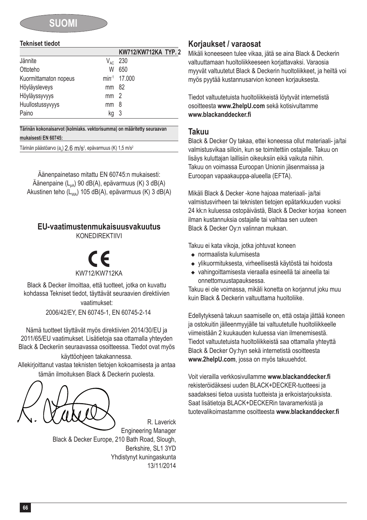### **SUOMI**

#### **Tekniset tiedot**

|                       |                 | KW712/KW712KA TYP. 2     |  |
|-----------------------|-----------------|--------------------------|--|
| Jännite               | $V_{AC}$        | 230                      |  |
| Ottoteho              | W               | 650                      |  |
| Kuormittamaton nopeus |                 | min <sup>-1</sup> 17,000 |  |
| Höyläysleveys         | mm 82           |                          |  |
| Höyläyssyvyys         | mm <sub>2</sub> |                          |  |
| Huullostussyvyys      | mm              | 8                        |  |
| Paino                 | kg              | - 3                      |  |

**Tärinän kokonaisarvot (kolmiaks. vektorisumma) on määritetty seuraavan mukaisesti EN 60745:**

<u>Tärinän päästöarvo (a<sub>h</sub>) 2.6 m/s<sup>2</sup>, epävarmuus (K) 1,5 m/s<sup>2</sup></u>

Äänenpainetaso mitattu EN 60745:n mukaisesti: Äänenpaine  $(L_{pA})$  90 dB(A), epävarmuus (K) 3 dB(A) Akustinen teho ( $L_{WA}$ ) 105 dB(A), epävarmuus (K) 3 dB(A)

### **EU-vaatimustenmukaisuusvakuutus**

KONEDIREKTIIVI

### KW712 % /KW712KA

Black & Decker ilmoittaa, että tuotteet, jotka on kuvattu kohdassa Tekniset tiedot, täyttävät seuraavien direktiivien vaatimukset:

2006/42/EY, EN 60745-1, EN 60745-2-14

Nämä tuotteet täyttävät myös direktiivien 2014/30/EU ja 2011/65/EU vaatimukset. Lisätietoja saa ottamalla yhteyden Black & Deckeriin seuraavassa osoitteessa. Tiedot ovat myös

käyttöohjeen takakannessa.

Allekirjoittanut vastaa teknisten tietojen kokoamisesta ja antaa tämän ilmoituksen Black & Deckerin puolesta.

R. Laverick Engineering Manager Black & Decker Europe, 210 Bath Road, Slough, Berkshire, SL1 3YD Yhdistynyt kuningaskunta 13/11/2014

### **Korjaukset / varaosat**

Mikäli koneeseen tulee vikaa, jätä se aina Black & Deckerin valtuuttamaan huoltoliikkeeseen korjattavaksi. Varaosia myyvät valtuutetut Black & Deckerin huoltoliikkeet, ja heiltä voi myös pyytää kustannusarvion koneen korjauksesta.

Tiedot valtuutetuista huoltoliikkeistä löytyvät internetistä osoitteesta **www.2helpU.com** sekä kotisivultamme **www.blackanddecker.fi**

#### **Takuu**

Black & Decker Oy takaa, ettei koneessa ollut materiaali- ja/tai valmistusvikaa silloin, kun se toimitettiin ostajalle. Takuu on lisäys kuluttajan laillisiin oikeuksiin eikä vaikuta niihin. Takuu on voimassa Euroopan Unionin jäsenmaissa ja Euroopan vapaakauppa-alueella (EFTA).

Mikäli Black & Decker -kone hajoaa materiaali- ja/tai valmistusvirheen tai teknisten tietojen epätarkkuuden vuoksi 24 kk:n kuluessa ostopäivästä, Black & Decker korjaa koneen ilman kustannuksia ostajalle tai vaihtaa sen uuteen Black & Decker Oy:n valinnan mukaan.

Takuu ei kata vikoja, jotka johtuvat koneen

- $\bullet$  normaalista kulumisesta
- ◆ vlikuormituksesta, virheellisestä käytöstä tai hoidosta
- <sup>u</sup> vahingoittamisesta vieraalla esineellä tai aineella tai onnettomuustapauksessa.

Takuu ei ole voimassa, mikäli konetta on korjannut joku muu kuin Black & Deckerin valtuuttama huoltoliike.

Edellytyksenä takuun saamiselle on, että ostaja jättää koneen ja ostokuitin jälleenmyyjälle tai valtuutetulle huoltoliikkeelle viimeistään 2 kuukauden kuluessa vian ilmenemisestä. Tiedot valtuutetuista huoltoliikkeistä saa ottamalla yhteyttä Black & Decker Oy:hyn sekä internetistä osoitteesta **www.2helpU.com**, jossa on myös takuuehdot.

Voit vierailla verkkosivullamme **www.blackanddecker.fi** rekisteröidäksesi uuden BLACK+DECKER-tuotteesi ja saadaksesi tietoa uusista tuotteista ja erikoistarjouksista. Saat lisätietoja BLACK+DECKERin tavaramerkistä ja tuotevalikoimastamme osoitteesta **www.blackanddecker.fi**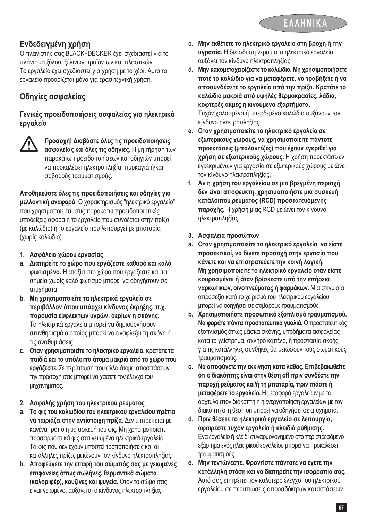### **Ενδεδειγμένη χρήση**

Ο πλανιστής σας BLACK+DECKER έχει σχεδιαστεί για το πλάνισμα ξύλου, ξύλινων προϊόντων και πλαστικών. Το εργαλείο έχει σχεδιαστεί για χρήση με το χέρι. Αυτο το εργαλείο προορίζεται μόνο για ερασιτεχνική χρήση.

### **Οδηγίες ασφαλείας**

#### **Γενικές προειδοποιήσεις ασφαλείας για ηλεκτρικά εργαλεία**



@ **Προσοχή! Διαβάστε όλες τις προειδοποιήσεις ασφαλείας και όλες τις οδηγίες.** Η μη τήρηση των παρακάτω προειδοποιήσεων και οδηγιών μπορεί να προκαλέσει ηλεκτροπληξία, πυρκαγιά ή/και σοβαρούς τραυματισμούς.

**Αποθηκεύστε όλες τις προειδοποιήσεις και οδηγίες για μελλοντική αναφορά.** Ο χαρακτηρισμός "ηλεκτρικό εργαλείο" που χρησιμοποιείται στις παρακάτω προειδοποιητικές υποδείξεις αφορά ή το εργαλείο που συνδέεται στην πρίζα (με καλώδιο) ή το εργαλείο που λειτουργεί με μπαταρία (χωρίς καλώδιο).

- **1. Ασφάλεια χώρου εργασίας**
- **a. Διατηρείτε το χώρο που εργάζεστε καθαρό και καλά φωτισμένο.** Η αταξία στο χώρο που εργάζεστε και τα σημεία χωρίς καλό φωτισμό μπορεί να οδηγήσουν σε ατυχήματα.
- **b. Μη χρησιμοποιείτε τα ηλεκτρικά εργαλεία σε περιβάλλον όπου υπάρχει κίνδυνος έκρηξης, π.χ. παρουσία εύφλεκτων υγρών, αερίων ή σκόνης.** Τα ηλεκτρικά εργαλεία μπορεί να δημιουργήσουν σπινθηρισμό ο οποίος μπορεί να αναφλέξει τη σκόνη ή τις αναθυμιάσεις.
- **c. Οταν χρησιμοποιείτετο ηλεκτρικό εργαλείο, κρατάτετα παιδιά και τα υπόλοιπα άτομα μακριά από το χώρο που εργάζεστε.** Σε περίπτωση που άλλα άτομα αποσπάσουν την προσοχή σας μπορεί να χάσετε τον έλεγχο του μηχανήματος.
- **2. Ασφαλής χρήση του ηλεκτρικού ρεύματος**
- **a. Το φις του καλωδίου του ηλεκτρικού εργαλείου πρέπει να ταιριάζει στην αντίστοιχη πρίζα.** Δεν επιτρέπεται με κανένα τρόπο η μετασκευή του φις. Μη χρησιμοποιείτε προσαρμοστικά φις στα γειωμένα ηλεκτρικά εργαλεία. Τα φις που δεν έχουν υποστεί τροποποιήσεις και οι κατάλληλες πρίζες μειώνουν τον κίνδυνο ηλεκτροπληξίας.
- **b. Αποφεύγετε την επαφή του σώματός σας με γειωμένες επιφάνειες όπως σωλήνες, θερμαντικά σώματα (καλοριφέρ), κουζίνες και ψυγεία.** Οταν το σώμα σας είναι γειωμένο, αυξάνεται ο κίνδυνος ηλεκτροπληξίας.
- **c. Μην εκθέτετε το ηλεκτρικό εργαλείο στη βροχή ή την υγρασία.** Η διείσδυση νερού στο ηλεκτρικό εργαλείο αυξάνει τον κίνδυνο ηλεκτροπληξίας.
- **d. Μην κακομεταχειρίζεστετο καλώδιο.Μη χρησιμοποιήσετε ποτέ το καλώδιο για να μεταφέρετε, να τραβήξετε ή να αποσυνδέσετε το εργαλείο από την πρίζα. Κρατάτε το καλώδιο μακριά από υψηλές θερμοκρασίες, λάδια, κοφτερές ακμές η κινούμενα εξαρτήματα.** Τυχόν χαλασμένα ή μπερδεμένα καλώδια αυξάνουν τον κίνδυνο ηλεκτροπληξίας.
- **e. Οταν χρησιμοποιείτε το ηλεκτρικό εργαλείο σε εξωτερικούς χώρους, να χρησιμοποιείτε πάντοτε προεκτάσεις (μπαλαντέζες) που έχουν εγκριθεί για χρήση σε εξωτερικούς χώρους.** Η χρήση προεκτάσεων εγκεκριμένων για εργασία σε εξωτερικούς χώρους μειώνει τον κίνδυνο ηλεκτροπληξίας.
- **f. Αν η χρήση του εργαλείου σε μια βρεγμένη περιοχή δεν είναι απόφευκτη, χρησιμοποιήστε μια συσκευή κατάλοιπου ρεύματος (RCD) προστατευόμενης παροχής.** Η χρήση μιας RCD μειώνει τον κίνδυνο ηλεκτροπληξίας.
- **3. Ασφάλεια προσώπων**
- **a. Οταν χρησιμοποιείτε το ηλεκτρικό εργαλείο, να είστε προσεκτικοί, να δίνετε προσοχή στην εργασία που κάνετε και να επιστρατεύετε την κοινή λογική. Μη χρησιμοποιείτε το ηλεκτρικό εργαλείο όταν είστε κουρασμένοι ή όταν βρίσκεστε υπό την επήρεια ναρκωτικών, οινοπνεύματος ή φαρμάκων.** Μια στιγμιαία απροσεξία κατά το χειρισμό του ηλεκτρικού εργαλείου μπορεί να οδηγήσει σε σοβαρούς τραυματισμούς.
- **b. Χρησιμοποιήστε προσωπικό εξοπλισμό τραυματισμού. Να φοράτε πάντα προστατευτικά γυαλιά.** Ο προστατευτικός εξοπλισμός όπως μάσκα σκόνης, υποδήματα ασφαλείας κατά το γλίστρημα, σκληρό καπέλο, ή προστασία ακοής για τις κατάλληλες συνθήκες θα μειώσουν τους σωματικούς τραυματισμούς.
- **c. Να αποφύγετετην εκκίνηση κατά λάθος. Επιβεβαιωθείτε ότι ο διακόπτης είναι στην θέση off πριν συνδέστετην παροχή ρεύματος και/ή τη μπαταρία, πριν πιάστε ή μεταφέρετετο εργαλείο.** Η μεταφορά εργαλείων με το δάχτυλο στον διακόπτη ή η ενεργοποίηση εργαλείων με τον διακόπτη στη θέση on μπορεί να οδηγήσει σε ατυχήματα.
- **d. Πριν θέσετε το ηλεκτρικό εργαλείο σε λειτουργία, αφαιρέστε τυχόν εργαλεία ή κλειδιά ρύθμισης.** Ενα εργαλείο ή κλειδί συναρμολογημένο στο περιστρεφόμενο εξάρτημα ενός ηλεκτρικού εργαλείου μπορεί να προκαλέσει τραυματισμούς.
- **e. Μην τεντώνεστε. Φροντίστε πάντοτε να έχετε την κατάλληλη στάση και να διατηρείτε την ισορροπία σας.** Αυτό σας επιτρέπει τον καλύτερο έλεγχο του ηλεκτρικού εργαλείου σε περιπτώσεις απροσδόκητων καταστάσεων.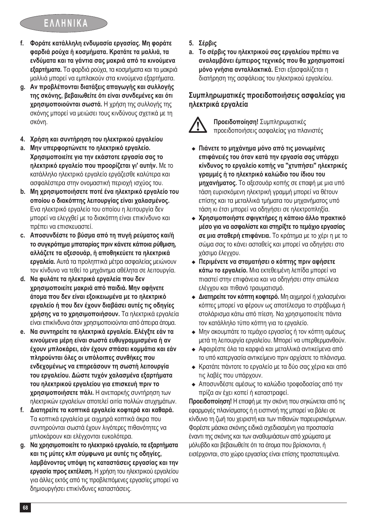## **ΕΛΛΗΝΙΚΑ**

- **f. Φοράτε κατάλληλη ενδυμασία εργασίας. Μη φοράτε φαρδιά ρούχα ή κοσμήματα. Κρατάτε τα μαλλιά, τα ενδύματα και τα γάντια σας μακριά από τα κινούμενα εξαρτήματα.** Τα φαρδιά ρούχα, τα κοσμήματα και τα μακριά μαλλιά μπορεί να εμπλακούν στα κινούμενα εξαρτήματα.
- **g. Αν προβλέπονται διατάξεις απαγωγής και συλλογής της σκόνης, βεβαιωθείτε ότι είναι συνδεμένες και ότι χρησιμοποιούνται σωστά.** Η χρήση της συλλογής της σκόνης μπορεί να μειώσει τους κινδύνους σχετικά με τη σκόνη.
- **4. Χρήση και συντήρηση του ηλεκτρικού εργαλείου**
- **a. Μην υπερφορτώνετε το ηλεκτρικό εργαλείο. Χρησιμοποιείτε για την εκάστοτε εργασία σας το ηλεκτρικό εργαλείο που προορίζεται γι' αυτήν.** Με το κατάλληλο ηλεκτρικό εργαλείο εργάζεσθε καλύτερα και ασφαλέστερα στην ονομαστική περιοχή ισχύος του.
- **b. Μη χρησιμοποιήσετε ποτέ ένα ηλεκτρικό εργαλείο του οποίου ο διακόπτης λειτουργίας είναι χαλασμένος.** Ενα ηλεκτρικό εργαλείο του οποίου η λειτουργία δεν μπορεί να ελεγχθεί με το διακόπτη είναι επικίνδυνο και πρέπει να επισκευαστεί.
- **c. Αποσυνδέστε το βύσμα από τη πυγή ρεύματος και/ή το συγκρότημα μπαταρίας πριν κάνετε κάποια ρύθμιση, αλλάζετε τα αξεσουάρ, ή αποθηκεύετε τα ηλεκτρικά εργαλεία.** Αυτά τα προληπτικά μέτρα ασφαλείας μειώνουν τον κίνδυνο να τεθεί το μηχάνημα αθέλητα σε λειτουργία.
- **d. Να φυλάτε τα ηλεκτρικά εργαλεία που δεν χρησιμοποιείτε μακριά από παιδιά. Μην αφήνετε άτομα που δεν είναι εξοικειωμένα με το ηλεκτρικό εργαλείο ή που δεν έχουν διαβάσει αυτές τις οδηγίες χρήσης να το χρησιμοποιήσουν.** Τα ηλεκτρικά εργαλεία είναι επικίνδυνα όταν χρησιμοποιούνται από άπειρα άτομα.
- **e. Να συντηρείτε τα ηλεκτρικά εργαλεία. Ελέγξτε εάν τα κινούμενα μέρη είναι σωστά ευθυγραμμισμένα ή αν έχουν μπλοκάρει, εάν έχουν σπάσει κομμάτια και εάν πληρούνται όλες οι υπόλοιπες συνθήκες που ενδεχομένως να επηρεάσουν τη σωστή λειτουργία του εργαλείου. Δώστε τυχόν χαλασμένα εξαρτήματα του ηλεκτρικού εργαλείου για επισκευή πριν το χρησιμοποιήσετε πάλι.** Η ανεπαρκής συντήρηση των ηλεκτρικών εργαλείων αποτελεί αιτία πολλών ατυχημάτων.
- **f. Διατηρείτε τα κοπτικά εργαλεία κοφτερά και καθαρά.** Τα κοπτικά εργαλεία με αιχμηρά κοπτικά άκρα που συντηρούνται σωστά έχουν λιγότερες πιθανότητες να μπλοκάρουν και ελέγχονται ευκολότερα.
- **g. Να χρησιμοποιείτετο ηλεκτρικό εργαλείο, τα εξαρτήματα και τις μύτες κλπ σύμφωνα με αυτές τις οδηγίες, λαμβάνοντας υπόψη τις καταστάσεις εργασίας και την εργασία προς εκτέλεση.** Η χρήση του ηλεκτρικού εργαλείου για άλλες εκτός από τις προβλεπόμενες εργασίες μπορεί να δημιουργήσει επικίνδυνες καταστάσεις.
- **5. Σέρβις**
- **a. Το σέρβις του ηλεκτρικού σας εργαλείου πρέπει να αναλαμβάνει έμπειρος τεχνικός που θα χρησιμοποιεί μόνο γνήσια ανταλλακτικά.** Ετσι εξασφαλίζεται η διατήρηση της ασφάλειας του ηλεκτρικού εργαλείου.

### **Συμπληρωματικές προειδοποιήσεις ασφαλείας για ηλεκτρικά εργαλεία**



@ **Προειδοποίηση!** Συμπληρωματικές προειδοποιήσεις ασφαλείας για πλανιστές

- <sup>u</sup> **Πιάνετε το μηχάνημα μόνο από τις μονωμένες επιφάνειές του όταν κατά την εργασία σας υπάρχει κίνδυνος το εργαλείο κοπής να "χτυπήσει" ηλεκτρικές γραμμές ή το ηλεκτρικό καλώδιο του ίδιου του μηχανήματος.** Το αξεσουάρ κοπής σε επαφή με μια υπό τάση ευρισκόμενη ηλεκτρική γραμμή μπορεί να θέτουν επίσης και τα μεταλλικά τμήματα του μηχανήματος υπό τάση κι έτσι μπορεί να οδηγήσει σε ηλεκτροπληξία.
- <sup>u</sup> **Χρησιμοποιήστε σφιγκτήρες η κάποιο άλλο πρακτικό μέσο για να ασφαλίστε και στηρίξτετο τεμάχιο εργασίας σε μια σταθερή επιφάνεια.** Το κράτημα με το χέρι η με το σώμα σας το κάνει ασταθείς και μπορεί να οδηγήσει στο χάσιμο έλεγχου.
- <sup>u</sup> **Περιμένετε να σταματήσει ο κόπτης πριν αφήσετε κάτω το εργαλείο.** Μια εκτεθειμένη λεπίδα μπορεί να πιαστεί στην επιφάνεια και να οδηγήσει στην απώλεια ελέγχου και πιθανό τραυματισμό.
- **← Διατηρείτε τον κόπτη κοφτερό.** Μη αιχμηροί ή χαλασμένοι κόπτες μπορεί να φέρουν ως αποτέλεσμα το στράβωμα ή στολάρισμα κάτω από πίεση. Να χρησιμοποιείτε πάντα τον κατάλληλο τύπο κόπτη για το εργαλείο.
- ◆ Μην ακουμπάτε το τεμάχιο εργασίας ή τον κόπτη αμέσως μετά τη λειτουργία εργαλείου. Μπορεί να υπερθερμανθούν.
- <sup>u</sup> Αφαιρέστε όλα τα καρφιά και μεταλλικά αντικείμενα από το υπό κατεργασία αντικείμενο πριν αρχίσετε το πλάνισμα.
- <sup>u</sup> Κρατάτε πάντοτε το εργαλείο με τα δύο σας χέρια και από τις λαβές που υπάρχουν.
- <sup>u</sup> Αποσυνδέστε αμέσως το καλώδιο τροφοδοσίας από την πρίζα αν έχει κοπεί ή καταστραφεί.

**Προειδοποίηση!** Η επαφή με την σκόνη που σηκώνεται από τις εφαρμογές πλανίσματος ή η εισπνοή της μπορεί να βάλει σε κίνδυνο τη ζωή του χειριστή και των πιθανών παρευρισκόμενων. Φορέστε μάσκα σκόvης ειδικά σχεδιασμένη για προστασία έναντι της σκόvης και των αναθυμιάσεων από χρώματα με μόλυβδο και βεβαιωθείτε ότι τα άτομα που βρίσκονται, ή εισέρχονται, στο χώρο εργασίας είναι επίσης προστατευμένα.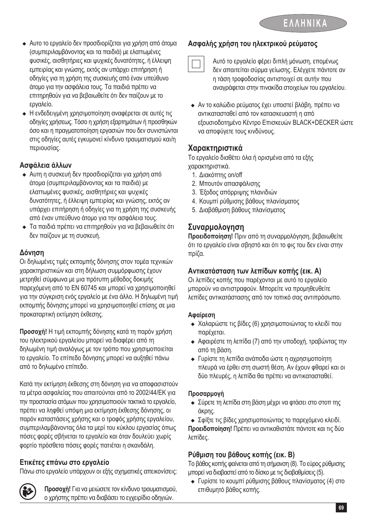- <sup>u</sup> Αυτο το εργαλείο δεν προσδιορίζεται για χρήση από άτομα (συμπεριλαμβάνοντας και τα παιδιά) με ελαττωμένες φυσικές, αισθητήριες και ψυχικές δυνατότητες, ή έλλειψη εμπειρίας και γνώσης, εκτός αν υπάρχει επιτήρηση ή οδηγίες για τη χρήση της συσκευής από έναν υπεύθυνο άτομο για την ασφάλεια τους. Τα παιδιά πρέπει να επιτηρηθούν για να βεβαιωθείτε ότι δεν παίζουν με το εργαλείο.
- <sup>u</sup> Η ενδεδειγμένη χρησιμοποίηση αναφέρεται σε αυτές τις οδηγίες χρήσεως. Τόσο η χρήση εξαρτημάτων ή προσθηκών όσο και η πραγματοποίηση εργασιών που δεν συνιστώνται στις οδηγίες αυτές εγκυμονεί κίνδυνο τραυματισμού και/η περιουσίας.

### **Ασφάλεια άλλων**

- <sup>u</sup>Αυτη η συσκευή δεν προσδιορίζεται για χρήση από άτομα (συμπεριλαμβάνοντας και τα παιδιά) με ελαττωμένες φυσικές, αισθητήριες και ψυχικές δυνατότητες, ή έλλειψη εμπειρίας και γνώσης, εκτός αν υπάρχει επιτήρηση ή οδηγίες για τη χρήση της συσκευής από έναν υπεύθυνο άτομο για την ασφάλεια τους.
- <sup>u</sup>Τα παιδιά πρέπει να επιτηρηθούν για να βεβαιωθείτε ότι δεν παίζουν με τη συσκευή.

### **Δόνηση**

Οι δηλωμένες τιμές εκπομπής δόνησης στον τομέα τεχνικών χαρακτηριστικών και στη δήλωση συμμόρφωσης έχουν μετρηθεί σύμφωνα με μια πρότυπη μέθοδος δοκιμής παρεχόμενη από το EN 60745 και μπορεί να χρησιμοποιηθεί για την σύγκριση ενός εργαλείο με ένα άλλο. Η δηλωμένη τιμή εκπομπής δόνησης μπορεί να χρησιμοποιηθεί επίσης σε μια προκαταρτική εκτίμηση έκθεσης.

**Προσοχή!** Η τιμή εκπομπής δόνησης κατά τη παρόν χρήση του ηλεκτρικού εργαλείου μπορεί να διαφέρει από τη δηλωμένη τιμή αναλόγως με τον τρόπο που χρησιμοποιείται το εργαλείο. Το επίπεδο δόνησης μπορεί να αυξηθεί πάνω από το δηλωμένο επίπεδο.

Κατά την εκτίμηση έκθεσης στη δόνηση για να αποφασιστούν τα μέτρα ασφαλείας που απαιτούνται από το 2002/44/EΚ για την προστασία ατόμων που χρησιμοποιούν τακτικά το εργαλείο, πρέπει να ληφθεί υπόψη μια εκτίμηση έκθεσης δόνησης, οι παρόν καταστάσεις χρήσης και ο τροφός χρήσης εργαλείου, συμπεριλαμβάνοντας όλα τα μερί του κύκλου εργασίας όπως πόσες φορές σβήνεται το εργαλείο και όταν δουλεύει χωρίς φορτίο πρόσθετα πόσες φορές πατιέται η σκανδάλη.

### **Ετικέτες επάνω στο εργαλείο**

Πάνω στο εργαλείο υπάρχουν οι εξής σχηματικές απεικονίσεις:



**( Προσοχή!** Για να μειώσετε τον κίνδυνο τραυματισμού, ο χρήστης πρέπει να διαβάσει το εγχειρίδιο οδηγιών.

### **Ασφαλής χρήση του ηλεκτρικού ρεύματος**

# Αυτό το εργαλείο φέρει διπλή μόνωση, επομένως δεν απαιτείται σύρμα γείωσης. Ελέγχετε πάντοτε αν η τάση τροφοδοσίας αντιστοιχεί σε αυτήν που αναγράφεται στην πινακίδα στοιχείων του εργαλείου.

<sup>u</sup> Αν το καλώδιο ρεύματος έχει υποστεί βλάβη, πρέπει να αντικατασταθεί από τον κατασκευαστή η από εξουσιοδοτημένο Κέντρο Επισκευών BLACK+DECKER ώστε να αποφύγετε τους κινδύνους.

### **Χαρακτηριστικά**

Το εργαλείο διαθέτει όλα ή ορισμένα από τα εξής χαρακτηριστικά.

- 1. Διακόπτης on/off
- 2. Μπουτόν απασφάλισης
- 3. Έξοδος απόρριψης πλανιδιών
- 4. Κουμπί ρύθμισης βάθους πλανίσματος
- 5. Διαβάθμιση βάθους πλανίσματος

### **Συναρμολογηση**

**Προειδοποίηση!** Πριν από τη συναρμολόγηση, βεβαιωθείτε ότι το εργαλείο είναι σβηστό και ότι το φις του δεν είναι στην πρίζα.

### **Αντικατάσταση των λεπίδων κοπής (εικ. Α)**

Οι λεπίδες κοπής που παρέχονται με αυτό το εργαλείο μπορούν να αντιστραφούν. Μπορείτε να προμηθευθείτε λεπίδες αντικατάστασης από τον τοπικό σας αντιπρόσωπο.

#### **Αφαίρεση**

- **Χαλαρώστε τις βίδες (6) χρησιμοποιώντας το κλειδί που** παρέχεται.
- <sup>u</sup> Αφαιρέστε τη λεπίδα (7) από την υποδοχή, τραβώντας την από τη βάση.
- <sup>u</sup> Γυρίστε τη λεπίδα ανάποδα ώστε η αχρησιμοποίητη πλευρά να έρθει στη σωστή θέση. Αν έχουν φθαρεί και οι δύο πλευρές, η λεπίδα θα πρέπει να αντικατασταθεί.

#### **Προσαρμογή**

- <sup>u</sup> Σύρετε τη λεπίδα στη βάση μέχρι να φτάσει στο στοπ της άκρης.
- <sup>u</sup> Σφίξτε τις βίδες χρησιμοποιώντας το παρεχόμενο κλειδί.

**Προειδοποίηση!** Πρέπει να αντικαθιστάτε πάντοτε και τις δύο λεπίδες.

### **Ρύθμιση του βάθους κοπής (εικ. Β)**

Το βάθος κοπής φαίνεται από τη σήμανση (8). Το εύρος ρύθμισης μπορεί να διαβαστεί από το δίσκο με τις διαβαθμίσεις (5).

<sup>u</sup> Γυρίστε το κουμπί ρύθμισης βάθους πλανίσματος (4) στο επιθυμητό βάθος κοπής.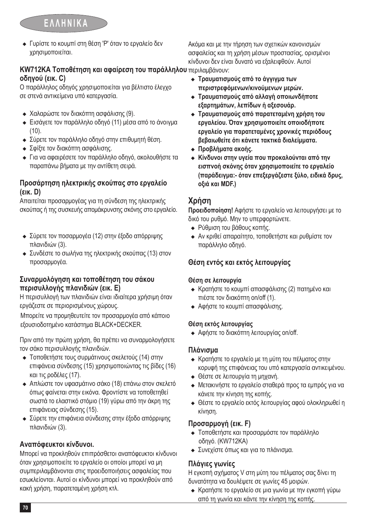<sup>u</sup> Γυρίστε το κουμπί στη θέση 'Ρ' όταν το εργαλείο δεν χρησιμοποιείται.

#### **KW712KA Τοποθέτηση και αφαίρεση του παράλληλου** περιλαμβάνουν: **οδηγού (εικ. C)** κίνδυνοι δεν είναι δυνατό να εξαλειφθούν. Αυτοί

Ο παράλληλος οδηγός χρησιμοποιείται για βέλτιστο έλεγχο σε στενά αντικείμενα υπό κατεργασία.

- <sup>u</sup> Χαλαρώστε τον διακόπτη ασφάλισης (9).
- <sup>u</sup> Εισάγετε τον παράλληλο οδηγό (11) μέσα από το άνοιγμα (10).
- <sup>u</sup> Σύρετε τον παράλληλο οδηγό στην επιθυμητή θέση.
- <sup>u</sup> Σφίξτε τον διακόπτη ασφάλισης.
- <sup>u</sup> Για να αφαιρέσετε τον παράλληλο οδηγό, ακολουθήστε τα παραπάνω βήματα με την αντίθετη σειρά.

### **Προσάρτηση ηλεκτρικής σκούπας στο εργαλείο (εικ. D)**

Απαιτείται προσαρμογέας για τη σύνδεση της ηλεκτρικής σκούπας ή της συσκευής απομάκρυνσης σκόνης στο εργαλείο.

- <sup>u</sup> Σύρετε τον ποσαρμογέα (12) στην έξοδο απόρριψης πλανιδιών (3).
- <sup>u</sup> Συνδέστε το σωλήνα της ηλεκτρικής σκούπας (13) στον προσαρμογέα.

### **Συναρμολόγηση και τοποθέτηση του σάκου περισυλλογής πλανιδιών (εικ. Ε)**

Η περισυλλογή των πλανιδιών είναι ιδιαίτερα χρήσιμη όταν εργάζεστε σε περιορισμένους χώρους.

Μπορείτε να προμηθευτείτε τον προσαρμογέα από κάποιο εξουσιοδοτημένο κατάστημα BLACK+DECKER.

Πριν από την πρώτη χρήση, θα πρέπει να συναρμολογήσετε τον σάκο περισυλλογής πλανιδιών.

- Τοποθετήστε τους συρμάτινους σκελετούς (14) στην επιφάνεια σύνδεσης (15) χρησιμοποιώντας τις βίδες (16) και τις ροδέλες (17).
- <sup>u</sup> Απλώστε τον υφασμάτινο σάκο (18) επάνω στον σκελετό όπως φαίνεται στην εικόνα. Φροντίστε να τοποθετηθεί σωστά το ελαστικό στόμιο (19) γύρω από την άκρη της επιφάνειας σύνδεσης (15).
- <sup>u</sup> Σύρετε την επιφάνεια σύνδεσης στην έξοδο απόρριψης πλανιδιών (3).

### **Αναπόφευκτοι κίνδυνοι.**

Μπορεί να προκληθούν επιπρόσθετοι αναπόφευκτοι κίνδυνοι όταν χρησιμοποιείτε το εργαλείο οι οποίοι μπορεί να μη συμπεριλαμβάνονται στις προειδοποιήσεις ασφαλείας που εσωκλείονται. Αυτοί οι κίνδυνοι μπορεί να προκληθούν από κακή χρήση, παρατεταμένη χρήση κτλ.

<sup>u</sup> **Τραυματισμούς από το άγγιγμα των περιστρεφόμενων/κινούμενων μερών.**

<sup>u</sup> **Τραυματισμούς από αλλαγή οποιωνδήποτε εξαρτημάτων, λεπίδων ή αξεσουάρ.**

Ακόμα και με την τήρηση των σχετικών κανονισμών ασφαλείας και τη χρήση μέσων προστασίας, ορισμένοι

- <sup>u</sup> **Τραυματισμούς από παρατεταμένη χρήση του εργαλείου. Όταν χρησιμοποιείτε οποιοδήποτε εργαλείο για παρατεταμένες χρονικές περιόδους βεβαιωθείτε ότι κάνετε τακτικά διαλείμματα.**
- <sup>u</sup> **Προβλήματα ακοής.**
- <sup>u</sup> **Κίνδυνοι στην υγεία που προκαλούνται από την εισπνοή σκόνης όταν χρησιμοποιείτε το εργαλείο (παράδειγμα:- όταν επεξεργάζεστε ξύλο, ειδικά δρυς, οξιά και MDF.)**

### **Χρήση**

**Προειδοποίηση!** Αφήστε το εργαλείο να λειτουργήσει με το δικό του ρυθμό. Μην το υπερφορτώνετε.

- **Ρύθμιση του βάθους κοπής.**
- <sup>u</sup> Αν κριθεί απαραίτητο, τοποθετήστε και ρυθμίστε τον παράλληλο οδηγό.

### **Θέση εντός και εκτός λειτουργίας**

### **Θέση σε λειτουργία**

- <sup>u</sup> Κρατήστε το κουμπί απασφάλισης (2) πατημένο και πιέστε τον διακόπτη on/off (1).
- **► Αφήστε το κουμπί απασφάλισης.**

### **Θέση εκτός λειτουργίας**

**-** Αφήστε το διακόπτη λειτουργίας on/off.

### **Πλάνισμα**

- <sup>u</sup> Κρατήστε το εργαλείο με τη μύτη του πέλματος στην κορυφή της επιφάνειας του υπό κατεργασία αντικειμένου.
- **← Θέστε σε λειτουργία τη μηχανή.**
- <sup>u</sup> Μετακινήστε το εργαλείο σταθερά προς τα εμπρός για να κάνετε την κίνηση της κοπής.
- <sup>u</sup> Θέστε το εργαλείο εκτός λειτουργίας αφού ολοκληρωθεί η κίνηση.

### **Προσαρμογή (εικ. F)**

- <sup>u</sup> Τοποθετήστε και προσαρμόστε τον παράλληλο οδηγό. (KW712KA)
- <sup>u</sup> Συνεχίστε όπως και για το πλάνισμα.

### **Πλάγιες γωνίες**

Η εγκοπή σχήματος V στη μύτη του πέλματος σας δίνει τη δυνατότητα να δουλέψετε σε γωνίες 45 μοιρών.

<sup>u</sup> Κρατήστε το εργαλείο σε μια γωνία με την εγκοπή γύρω από τη γωνία και κάντε την κίνηση της κοπής.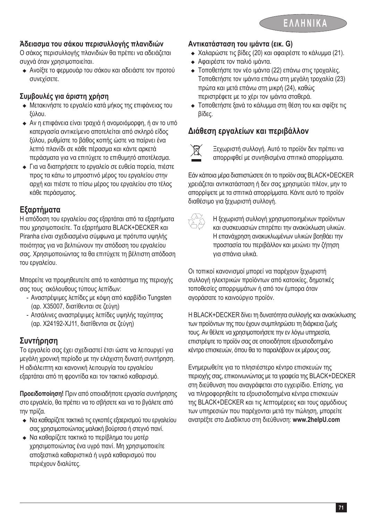

### **Άδειασμα του σάκου περισυλλογής πλανιδιών**

Ο σάκος περισυλλογής πλανιδιών θα πρέπει να αδειάζεται συχνά όταν χρησιμοποιείται.

<sup>u</sup> Ανοίξτε το φερμουάρ του σάκου και αδειάστε τον προτού συνεχίσετε.

### **Συμβουλές για άριστη χρήση**

- <sup>u</sup> Μετακινήστε το εργαλείο κατά μήκος της επιφάνειας του ξύλου.
- <sup>u</sup> Αν η επιφάνεια είναι τραχιά ή ανομοιόμορφη, ή αν το υπό κατεργασία αντικείμενο αποτελείται από σκληρό είδος ξύλου, ρυθμίστε το βάθος κοπής ώστε να παίρνει ένα λεπτό πλανίδι σε κάθε πέρασμα και κάντε αρκετά περάσματα για να επιτύχετε το επιθυμητό αποτέλεσμα.
- <sup>u</sup> Για να διατηρήσετε το εργαλείο σε ευθεία πορεία, πιέστε προς τα κάτω το μπροστινό μέρος του εργαλείου στην αρχή και πιέστε το πίσω μέρος του εργαλείου στο τέλος κάθε περάσματος.

### **Εξαρτήματα**

Η απόδοση του εργαλείου σας εξαρτάται από τα εξαρτήματα που χρησιμοποιείτε. Τα εξαρτήματα BLACK+DECKER και Piranha είναι σχεδιασμένα σύμφωνα με πρότυπα υψηλής ποιότητας για να βελτιώνουν την απόδοση του εργαλείου σας. Χρησιμοποιώντας τα θα επιτύχετε τη βέλτιστη απόδοση του εργαλείου.

Μπορείτε να προμηθευτείτε από το κατάστημα της περιοχής σας τους ακόλουθους τύπους λεπίδων:

- Αναστρέψιμες λεπίδες με κόψη από καρβίδιο Tungsten (αρ. X35007, διατίθενται σε ζεύγη)
- Ατσάλινες αναστρέψιμες λεπίδες υψηλής ταχύτητας (αρ. X24192-XJ11, διατίθενται σε ζεύγη)

### **Συντήρηση**

Το εργαλείο σας έχει σχεδιαστεί έτσι ώστε να λειτουργεί για μεγάλη χρονική περίοδο με την ελάχιστη δυνατή συντήρηση. Η αδιάλειπτη και κανονική λειτουργία του εργαλείου εξαρτάται από τη φροντίδα και τον τακτικό καθαρισμό.

**Προειδοποίηση!** Πριν από οποιαδήποτε εργασία συντήρησης στο εργαλείο, θα πρέπει να το σβήσετε και να το βγάλετε από την πρίζα.

- <sup>u</sup> Να καθαρίζετε τακτικά τις εγκοπές εξαερισμού του εργαλείου σας χρησιμοποιώντας μαλακή βούρτσα ή στεγνό πανί.
- <sup>u</sup> Να καθαρίζετε τακτικά το περίβλημα του μοτέρ χρησιμοποιώντας ένα υγρό πανί. Μη χρησιμοποιείτε αποξεστικά καθαριστικά ή υγρά καθαρισμού που περιέχουν διαλύτες.

### **Αντικατάσταση του ιμάντα (εικ. G)**

- $\bullet$  Χαλαρώστε τις βίδες (20) και αφαιρέστε το κάλυμμα (21).
- **► Αφαιρέστε τον παλιό ιμάντα.**
- ◆ Τοποθετήστε τον νέο ιμάντα (22) επάνω στις τροχαλίες. Τοποθετήστε τον ιμάντα επάνω στη μεγάλη τροχαλία (23) πρώτα και μετά επάνω στη μικρή (24), καθώς περιστρέφετε με το χέρι τον ιμάντα σταθερά.
- <sup>u</sup> Τοποθετήστε ξανά το κάλυμμα στη θέση του και σφίξτε τις βίδες.

### **Διάθεση εργαλείων και περιβάλλον**



Ξεχωριστή συλλογή. Αυτό το προϊόν δεν πρέπει να απορριφθεί με συνηθισμένα σπιτικά απορρίμματα.

Εάν κάποια μέρα διαπιστώσετε ότι το προϊόν σας BLACK+DECKER χρειάζεται αντικατάσταση ή δεν σας χρησιμεύει πλέον, μην το απορρίψετε με τα σπιτικά απορρίμματα. Κάντε αυτό το προϊόν διαθέσιμο για ξεχωριστή συλλογή.

z Η ξεχωριστή συλλογή χρησιμοποιημένων προϊόντων και συσκευασιών επιτρέπει την ανακύκλωση υλικών. Η επανάχρηση ανακυκλωμένων υλικών βοηθάει την προστασία του περιβάλλον και μειώνει την ζήτηση για σπάνια υλικά.

Οι τοπικοί κανονισμοί μπορεί να παρέχουν ξεχωριστή συλλογή ηλεκτρικών προϊόντων από κατοικίες, δημοτικές τοποθεσίες απορριμμάτων ή από τον έμπορα όταν αγοράσατε το καινούργιο προϊόν.

Η BLACK+DECKER δίνει τη δυνατότητα συλλογής και ανακύκλωσης των προϊόντων της που έχουν συμπληρώσει τη διάρκεια ζωής τους. Αν θέλετε να χρησιμοποιήσετε την εν λόγω υπηρεσία, επιστρέψτε το προϊόν σας σε οποιοδήποτε εξουσιοδοτημένο κέντρο επισκευών, όπου θα το παραλάβουν εκ μέρους σας.

Ενημερωθείτε για το πλησιέστερο κέντρο επισκευών της περιοχής σας, επικοινωνώντας με τα γραφεία της BLACK+DECKER στη διεύθυνση που αναγράφεται στο εγχειρίδιο. Επίσης, για να πληροφορηθείτε τα εξουσιοδοτημένα κέντρα επισκευών της BLACK+DECKER και τις λεπτομέρειες και τους αρμόδιους των υπηρεσιών που παρέχονται μετά την πώληση, μπορείτε ανατρέξτε στο Διαδίκτυο στη διεύθυνση: **www.2helpU.com**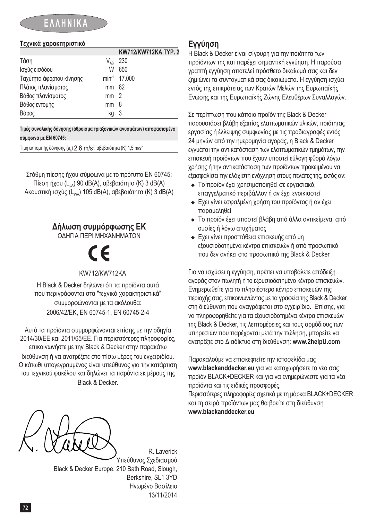## **ΕΛΛΗΝΙΚΑ**

#### **Τεχνικά χαρακτηριστικά**

|                          |                 | KW712/KW712KA TYP. 2     |
|--------------------------|-----------------|--------------------------|
| Τάση                     | $V_{AC}$        | 230                      |
| Ισχύς εισόδου            | W               | 650                      |
| Ταχύτητα άφορτου κίνησης |                 | min <sup>-1</sup> 17.000 |
| Πλάτος πλανίσματος       | mm 82           |                          |
| Βάθος πλανίσματος        | mm <sub>2</sub> |                          |
| Βάθος εντομής            | mm              | - 8                      |
| Βάρος                    | kg              | - 3                      |

**Τιμές συνολικής δόνησης (άθροισμα τριαξονικών ανυσμάτων) αποφασισμένο σύμφωνα με EN 60745:**

<u>Τιμή εκπομπής δόνησης (a<sub>n</sub>) 2.6 m/s<sup>2</sup>, αβεβαιότητα (K) 1,5 m/s<sup>2</sup></u>

Στάθμη πίεσης ήχου σύμφωνα με το πρότυπο EN 60745: Πίεση ήχου  $(L_{pA})$  90 dB(A), αβεβαιότητα (K) 3 dB(A) Ακουστική ισχύς (L<sub>wa</sub>) 105 dB(A), αβεβαιότητα (K) 3 dB(A)

### **Δήλωση συμμόρφωσης ΕΚ**

ΟΔΗΓΙΑ ΠΕΡΙ ΜΗΧΑΝΗΜΑΤΩΝ

%

KW712/KW712KA

Η Black & Decker δηλώνει ότι τα προϊόντα αυτά που περιγράφονται στα "τεχνικά χαρακτηριστικά" συμμορφώνονται με τα ακόλουθα: 2006/42/EΚ, EN 60745-1, EN 60745-2-4

Αυτά τα προϊόντα συμμορφώνονται επίσης με την οδηγία 2014/30/ΕΕ και 2011/65/ΕΕ. Για περισσότερες πληροφορίες, επικοινωνήστε με την Black & Decker στην παρακάτω διεύθυνση ή να ανατρέξετε στο πίσω μέρος του εγχειριδίου. Ο κάτωθι υπογεγραμμένος είναι υπεύθυνος για την κατάρτιση του τεχνικού φακέλου και δηλώνει τα παρόντα εκ μέρους της Black & Decker.

### **Εγγύηση**

Η Black & Decker είναι σίγουρη για την ποιότητα των προϊόντων της και παρέχει σημαντική εγγύηση. Η παρούσα γραπτή εγγύηση αποτελεί πρόσθετο δικαίωμά σας και δεν ζημιώνει τα συνταγματικά σας δικαιώματα. Η εγγύηση ισχύει εντός της επικράτειας των Κρατών Μελών της Ευρωπαϊκής Ενωσης και της Ευρωπαϊκής Ζώνης Ελευθέρων Συναλλαγών.

Σε περίπτωση που κάποιο προϊόν της Black & Decker παρουσιάσει βλάβη εξαιτίας ελαττωματικών υλικών, ποιότητας εργασίας ή έλλειψης συμφωνίας με τις προδιαγραφές εντός 24 μηνών από την ημερομηνία αγοράς, η Black & Decker εγγυάται την αντικατάσταση των ελαττωματικών τμημάτων, την επισκευή προϊόντων που έχουν υποστεί εύλογη φθορά λόγω χρήσης ή την αντικατάσταση των προϊόντων προκειμένου να εξασφαλίσει την ελάχιστη ενόχληση στους πελάτες της, εκτός αν:

- <sup>u</sup> Το προϊόν έχει χρησιμοποιηθεί σε εργασιακό, επαγγελματικό περιβάλλον ή αν έχει ενοικιαστεί
- <sup>u</sup> Εχει γίνει εσφαλμένη χρήση του προϊόντος ή αν έχει παραμεληθεί
- <sup>u</sup> Το προϊόν έχει υποστεί βλάβη από άλλα αντικείμενα, από ουσίες ή λόγω ατυχήματος
- **► Εχει γίνει προσπάθεια επισκευής από μη** εξουσιοδοτημένα κέντρα επισκευών ή από προσωπικό που δεν ανήκει στο προσωπικό της Black & Decker

Για να ισχύσει η εγγύηση, πρέπει να υποβάλετε απόδειξη αγοράς στον πωλητή ή το εξουσιοδοτημένο κέντρο επισκευών. Ενημερωθείτε για το πλησιέστερο κέντρο επισκευών της περιοχής σας, επικοινωνώντας με τα γραφεία της Black & Decker στη διεύθυνση που αναγράφεται στο εγχειρίδιο. Επίσης, για να πληροφορηθείτε για τα εξουσιοδοτημένα κέντρα επισκευών της Black & Decker, τις λεπτομέρειες και τους αρμόδιους των υπηρεσιών που παρέχονται μετά την πώληση, μπορείτε να ανατρέξτε στο Διαδίκτυο στη διεύθυνση: **www.2helpU.com**

Παρακαλούμε να επισκεφτείτε την ιστοσελίδα μας **www.blackanddecker.eu** για να καταχωρήσετε το νέο σας προϊόν BLACK+DECKER και για να ενημερώνεστε για τα νέα προϊόντα και τις ειδικές προσφορές. Περισσότερες πληροφορίες σχετικά με τη μάρκα BLACK+DECKER και τη σειρά προϊόντων μας θα βρείτε στη διεύθυνση **www.blackanddecker.eu**

R. Laverick Υπεύθυνος Σχεδιασμού Black & Decker Europe, 210 Bath Road, Slough, Berkshire, SL1 3YD Ηνωμένο Βασίλειο 13/11/2014